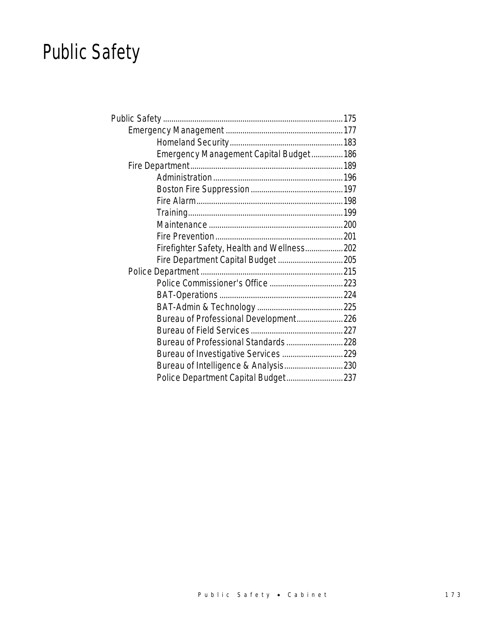# Public Safety

| Emergency Management Capital Budget 186     |  |
|---------------------------------------------|--|
|                                             |  |
|                                             |  |
|                                             |  |
|                                             |  |
|                                             |  |
|                                             |  |
|                                             |  |
| Firefighter Safety, Health and Wellness 202 |  |
| Fire Department Capital Budget  205         |  |
|                                             |  |
|                                             |  |
|                                             |  |
|                                             |  |
| Bureau of Professional Development 226      |  |
|                                             |  |
| Bureau of Professional Standards 228        |  |
|                                             |  |
| Bureau of Intelligence & Analysis 230       |  |
| Police Department Capital Budget 237        |  |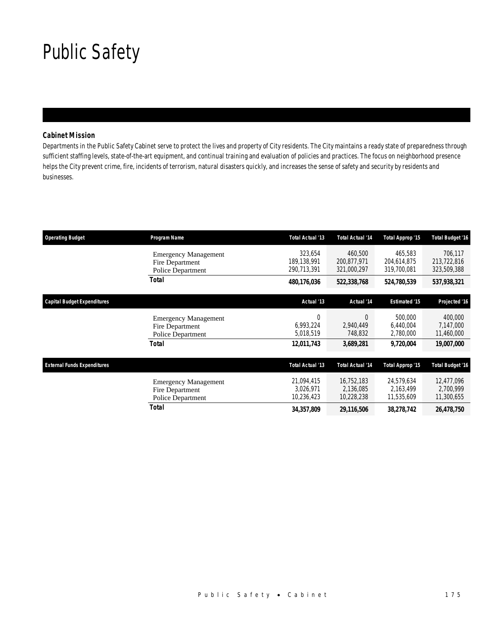## Public Safety

### *Cabinet Mission*

Departments in the Public Safety Cabinet serve to protect the lives and property of City residents. The City maintains a ready state of preparedness through sufficient staffing levels, state-of-the-art equipment, and continual training and evaluation of policies and practices. The focus on neighborhood presence helps the City prevent crime, fire, incidents of terrorism, natural disasters quickly, and increases the sense of safety and security by residents and businesses.

| <b>Operating Budget</b>            | Program Name                                                        | <b>Total Actual '13</b>               | <b>Total Actual '14</b>               | Total Approp '15                      | <b>Total Budget '16</b>               |
|------------------------------------|---------------------------------------------------------------------|---------------------------------------|---------------------------------------|---------------------------------------|---------------------------------------|
|                                    | <b>Emergency Management</b><br>Fire Department<br>Police Department | 323.654<br>189.138.991<br>290,713,391 | 460,500<br>200,877,971<br>321,000,297 | 465,583<br>204,614,875<br>319,700,081 | 706,117<br>213,722,816<br>323,509,388 |
|                                    | Total                                                               | 480,176,036                           | 522,338,768                           | 524,780,539                           | 537,938,321                           |
| <b>Capital Budget Expenditures</b> |                                                                     | Actual '13                            | Actual '14                            | <b>Estimated '15</b>                  | Projected '16                         |
|                                    | <b>Emergency Management</b><br>Fire Department<br>Police Department | 0<br>6,993,224<br>5,018,519           | $\Omega$<br>2,940,449<br>748,832      | 500,000<br>6,440,004<br>2,780,000     | 400,000<br>7,147,000<br>11,460,000    |
|                                    | Total                                                               | 12,011,743                            | 3,689,281                             | 9,720,004                             | <i><b>19,007,000</b></i>              |
| <b>External Funds Expenditures</b> |                                                                     | Total Actual '13                      | <b>Total Actual '14</b>               | Total Approp '15                      | <b>Total Budget '16</b>               |
|                                    | <b>Emergency Management</b><br>Fire Department<br>Police Department | 21,094,415<br>3,026,971<br>10,236,423 | 16,752,183<br>2,136,085<br>10,228,238 | 24,579,634<br>2,163,499<br>11,535,609 | 12,477,096<br>2,700,999<br>11,300,655 |
|                                    | Total                                                               | 34,357,809                            | 29,116,506                            | 38,278,742                            | 26,478,750                            |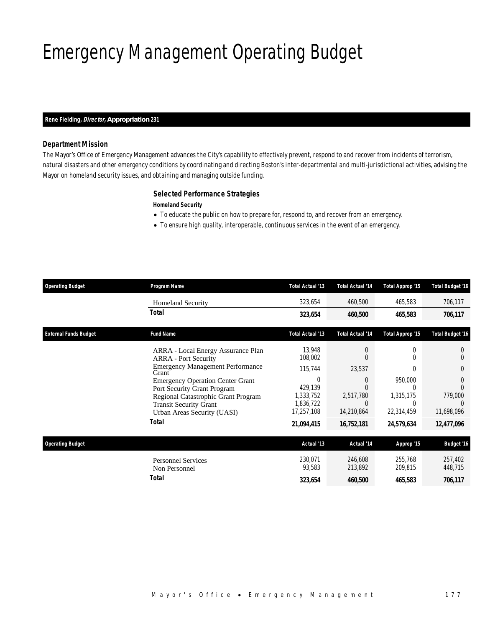# Emergency Management Operating Budget

#### *Rene Fielding, Director, Appropriation 231*

### *Department Mission*

The Mayor's Office of Emergency Management advances the City's capability to effectively prevent, respond to and recover from incidents of terrorism, natural disasters and other emergency conditions by coordinating and directing Boston's inter-departmental and multi-jurisdictional activities, advising the Mayor on homeland security issues, and obtaining and managing outside funding.

### *Selected Performance Strategies*

*Homeland Security* 

- To educate the public on how to prepare for, respond to, and recover from an emergency.
- To ensure high quality, interoperable, continuous services in the event of an emergency.

| <b>Operating Budget</b>      | Program Name                                                                                        | Total Actual '13                  | <b>Total Actual '14</b> | Total Approp '15   | <b>Total Budget '16</b> |
|------------------------------|-----------------------------------------------------------------------------------------------------|-----------------------------------|-------------------------|--------------------|-------------------------|
|                              | <b>Homeland Security</b>                                                                            | 323,654                           | 460,500                 | 465,583            | 706,117                 |
|                              | Total                                                                                               | 323,654                           | 460,500                 | 465,583            | 706,117                 |
| <b>External Funds Budget</b> | <b>Fund Name</b>                                                                                    | Total Actual '13                  | <b>Total Actual '14</b> | Total Approp '15   | <b>Total Budget '16</b> |
|                              | ARRA - Local Energy Assurance Plan<br><b>ARRA</b> - Port Security                                   | 13,948<br>108,002                 | 0<br>0                  | $\Omega$           |                         |
|                              | <b>Emergency Management Performance</b><br>Grant                                                    | 115,744                           | 23,537                  |                    | 0                       |
|                              | <b>Emergency Operation Center Grant</b>                                                             | 0                                 | 0                       | 950,000            | $\left( \right)$        |
|                              | Port Security Grant Program<br>Regional Catastrophic Grant Program<br><b>Transit Security Grant</b> | 429,139<br>1,333,752<br>1,836,722 | 2,517,780<br>0          | 1,315,175          | 779,000                 |
|                              | Urban Areas Security (UASI)                                                                         | 17,257,108                        | 14,210,864              | 22,314,459         | 11,698,096              |
|                              | <b>Total</b>                                                                                        | 21,094,415                        | 16,752,181              | 24,579,634         | 12,477,096              |
| <b>Operating Budget</b>      |                                                                                                     | Actual '13                        | Actual '14              | Approp '15         | <b>Budget '16</b>       |
|                              | <b>Personnel Services</b><br>Non Personnel                                                          | 230,071<br>93,583                 | 246,608<br>213,892      | 255,768<br>209,815 | 257,402<br>448,715      |
|                              | <b>Total</b>                                                                                        | 323,654                           | 460,500                 | 465,583            | 706,117                 |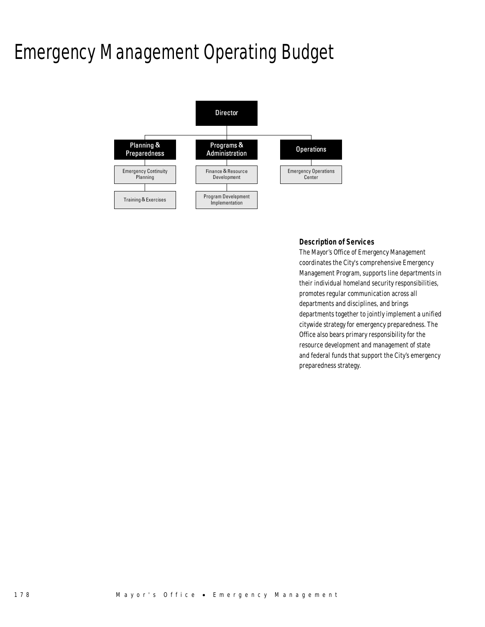## Emergency Management Operating Budget



### *Description of Services*

The Mayor's Office of Emergency Management coordinates the City's comprehensive Emergency Management Program, supports line departments in their individual homeland security responsibilities, promotes regular communication across all departments and disciplines, and brings departments together to jointly implement a unified citywide strategy for emergency preparedness. The Office also bears primary responsibility for the resource development and management of state and federal funds that support the City's emergency preparedness strategy.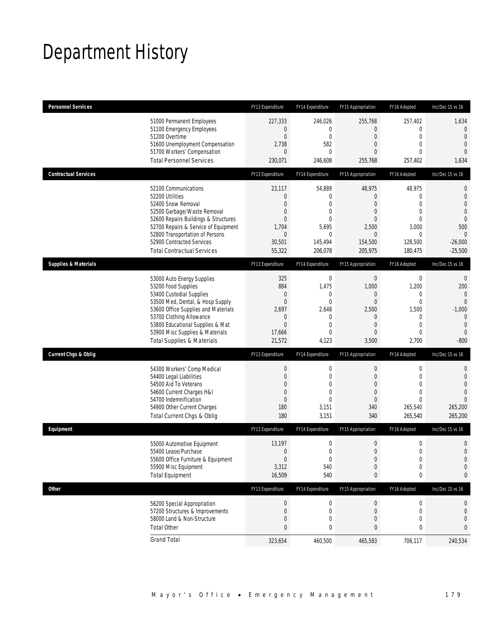## Department History

| <b>Personnel Services</b>       |                                                                                                                                                                                                                                                                                                      | FY13 Expenditure                                                                                | FY14 Expenditure                                                                           | FY15 Appropriation                                                                                         | FY16 Adopted                                                                                                | Inc/Dec 15 vs 16                                                                                                                |
|---------------------------------|------------------------------------------------------------------------------------------------------------------------------------------------------------------------------------------------------------------------------------------------------------------------------------------------------|-------------------------------------------------------------------------------------------------|--------------------------------------------------------------------------------------------|------------------------------------------------------------------------------------------------------------|-------------------------------------------------------------------------------------------------------------|---------------------------------------------------------------------------------------------------------------------------------|
|                                 | 51000 Permanent Employees<br>51100 Emergency Employees<br>51200 Overtime<br>51600 Unemployment Compensation<br>51700 Workers' Compensation<br><b>Total Personnel Services</b>                                                                                                                        | 227,333<br>0<br>$\boldsymbol{0}$<br>2,738<br>0<br>230,071                                       | 246,026<br>0<br>$\mathbf 0$<br>582<br>$\mathbf{0}$<br>246,608                              | 255,768<br>$\mathbf{0}$<br>$\boldsymbol{0}$<br>0<br>0<br>255,768                                           | 257,402<br>0<br>$\mathbf 0$<br>$\mathbf{0}$<br>$\Omega$<br>257,402                                          | 1,634<br>$\theta$<br>$\overline{0}$<br>$\mathbf{0}$<br>$\Omega$<br>1,634                                                        |
| <b>Contractual Services</b>     |                                                                                                                                                                                                                                                                                                      | FY13 Expenditure                                                                                | FY14 Expenditure                                                                           | FY15 Appropriation                                                                                         | FY16 Adopted                                                                                                | Inc/Dec 15 vs 16                                                                                                                |
|                                 | 52100 Communications<br>52200 Utilities<br>52400 Snow Removal<br>52500 Garbage/Waste Removal<br>52600 Repairs Buildings & Structures<br>52700 Repairs & Service of Equipment<br>52800 Transportation of Persons<br>52900 Contracted Services<br><b>Total Contractual Services</b>                    | 23,117<br>$\mathbf 0$<br>$\overline{0}$<br>0<br>0<br>1,704<br>$\mathbf 0$<br>30,501<br>55,322   | 54,889<br>0<br>0<br>0<br>$\mathbf{0}$<br>5,695<br>0<br>145,494<br>206,078                  | 48,975<br>$\mathbf{0}$<br>0<br>0<br>0<br>2,500<br>$\mathbf{0}$<br>154,500<br>205,975                       | 48,975<br>$\mathbf 0$<br>$\overline{0}$<br>$\mathbf{0}$<br>$\mathbf{0}$<br>3,000<br>0<br>128,500<br>180,475 | $\mathbf 0$<br>$\mathbf 0$<br>$\overline{0}$<br>$\overline{0}$<br>$\mathbf{0}$<br>500<br>$\mathbf{0}$<br>$-26,000$<br>$-25,500$ |
| <b>Supplies &amp; Materials</b> |                                                                                                                                                                                                                                                                                                      | FY13 Expenditure                                                                                | FY14 Expenditure                                                                           | FY15 Appropriation                                                                                         | FY16 Adopted                                                                                                | Inc/Dec 15 vs 16                                                                                                                |
|                                 | 53000 Auto Energy Supplies<br>53200 Food Supplies<br>53400 Custodial Supplies<br>53500 Med, Dental, & Hosp Supply<br>53600 Office Supplies and Materials<br>53700 Clothing Allowance<br>53800 Educational Supplies & Mat<br>53900 Misc Supplies & Materials<br><b>Total Supplies &amp; Materials</b> | 325<br>884<br>0<br>$\boldsymbol{0}$<br>2,697<br>$\mathbf 0$<br>$\mathbf{0}$<br>17,666<br>21,572 | $\boldsymbol{0}$<br>1,475<br>0<br>$\mathbf{0}$<br>2,648<br>$\mathbf{0}$<br>0<br>0<br>4,123 | $\boldsymbol{0}$<br>1,000<br>0<br>$\boldsymbol{0}$<br>2,500<br>$\mathbf 0$<br>$\overline{0}$<br>0<br>3,500 | $\mathbf 0$<br>1,200<br>0<br>$\overline{0}$<br>1,500<br>0<br>$\mathbf{0}$<br>$\overline{0}$<br>2,700        | $\mathbf{0}$<br>200<br>$\mathbf{0}$<br>$\overline{0}$<br>$-1,000$<br>$\mathbf{0}$<br>$\mathbf{0}$<br>$\mathbf{0}$<br>$-800$     |
| <b>Current Chgs &amp; Oblig</b> |                                                                                                                                                                                                                                                                                                      | FY13 Expenditure                                                                                | FY14 Expenditure                                                                           | FY15 Appropriation                                                                                         | FY16 Adopted                                                                                                | Inc/Dec 15 vs 16                                                                                                                |
|                                 | 54300 Workers' Comp Medical<br>54400 Legal Liabilities<br>54500 Aid To Veterans<br>54600 Current Charges H&I<br>54700 Indemnification<br>54900 Other Current Charges<br>Total Current Chgs & Oblig                                                                                                   | $\boldsymbol{0}$<br>$\boldsymbol{0}$<br>0<br>0<br>$\overline{0}$<br>180<br>180                  | 0<br>$\mathbf 0$<br>$\mathbf{0}$<br>$\overline{0}$<br>$\overline{0}$<br>3,151<br>3,151     | $\boldsymbol{0}$<br>$\boldsymbol{0}$<br>0<br>$\mathbf 0$<br>$\mathbf 0$<br>340<br>340                      | 0<br>$\mathbf 0$<br>$\mathbf{0}$<br>$\mathbf{0}$<br>$\Omega$<br>265,540<br>265,540                          | $\mathbf 0$<br>$\mathbf{0}$<br>$\overline{0}$<br>$\overline{0}$<br>$\Omega$<br>265,200<br>265,200                               |
| Equipment                       |                                                                                                                                                                                                                                                                                                      | FY13 Expenditure                                                                                | FY14 Expenditure                                                                           | FY15 Appropriation                                                                                         | FY16 Adopted                                                                                                | Inc/Dec 15 vs 16                                                                                                                |
|                                 | 55000 Automotive Equipment<br>55400 Lease/Purchase<br>55600 Office Furniture & Equipment<br>55900 Misc Equipment<br><b>Total Equipment</b>                                                                                                                                                           | 13,197<br>$\boldsymbol{0}$<br>$\boldsymbol{0}$<br>3,312<br>16,509                               | 0<br>$\overline{0}$<br>$\boldsymbol{0}$<br>540<br>540                                      | $\boldsymbol{0}$<br>$\mathbf{0}$<br>$\boldsymbol{0}$<br>$\boldsymbol{0}$<br>0                              | $\mathbf 0$<br>$\mathbf 0$<br>$\boldsymbol{0}$<br>$\mathbf 0$<br>0                                          | $\mathbf 0$<br>$\overline{0}$<br>$\mathbf 0$<br>$\mathbf 0$<br>0                                                                |
| <b>Other</b>                    |                                                                                                                                                                                                                                                                                                      | FY13 Expenditure                                                                                | FY14 Expenditure                                                                           | FY15 Appropriation                                                                                         | FY16 Adopted                                                                                                | Inc/Dec 15 vs 16                                                                                                                |
|                                 | 56200 Special Appropriation<br>57200 Structures & Improvements<br>58000 Land & Non-Structure<br><b>Total Other</b>                                                                                                                                                                                   | $\pmb{0}$<br>$\boldsymbol{0}$<br>$\boldsymbol{0}$<br>$\bf{0}$                                   | 0<br>0<br>0<br>0                                                                           | $\boldsymbol{0}$<br>$\mathbf 0$<br>$\boldsymbol{0}$<br>0                                                   | 0<br>0<br>0<br>0                                                                                            | 0<br>0<br>$\mathbf 0$<br>0                                                                                                      |
|                                 | <b>Grand Total</b>                                                                                                                                                                                                                                                                                   | 323,654                                                                                         | 460,500                                                                                    | 465,583                                                                                                    | 706,117                                                                                                     | 240,534                                                                                                                         |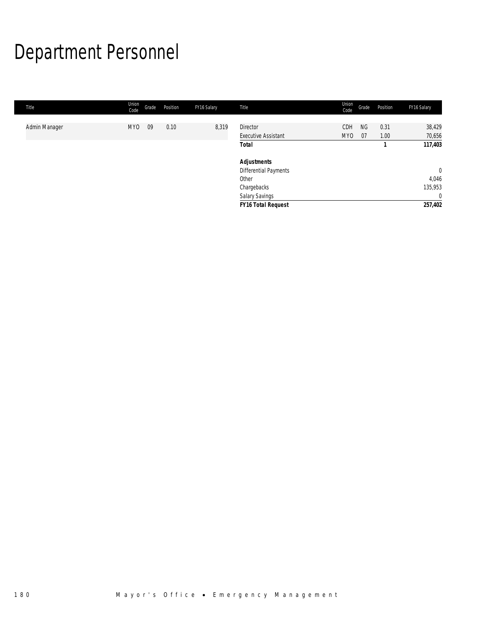# Department Personnel

| Title         | Union<br>Code   | Grade | Position | FY16 Salary | Title                        | Union<br>Code | Grade           | Position     | FY16 Salary      |
|---------------|-----------------|-------|----------|-------------|------------------------------|---------------|-----------------|--------------|------------------|
|               |                 |       |          |             | <b>Director</b>              |               |                 |              |                  |
| Admin Manager | MY <sub>0</sub> | 09    | 0.10     | 8,319       | <b>Executive Assistant</b>   | CDH<br>MY0    | <b>NG</b><br>07 | 0.31<br>1.00 | 38,429<br>70,656 |
|               |                 |       |          |             | <b>Total</b>                 |               |                 |              | 117,403          |
|               |                 |       |          |             | <b>Adjustments</b>           |               |                 |              |                  |
|               |                 |       |          |             | <b>Differential Payments</b> |               |                 |              | $\mathbf{0}$     |
|               |                 |       |          |             | Other                        |               |                 |              | 4,046            |
|               |                 |       |          |             | Chargebacks                  |               |                 |              | 135,953          |
|               |                 |       |          |             | <b>Salary Savings</b>        |               |                 |              | $\mathbf{0}$     |
|               |                 |       |          |             | <b>FY16 Total Request</b>    |               |                 |              | 257,402          |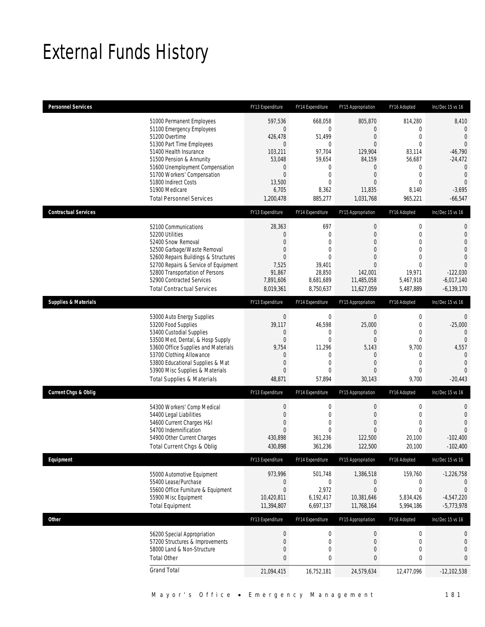## External Funds History

| <b>Personnel Services</b>       |                                                                                                                                                                                                                                                                                                            | FY13 Expenditure                                                                                                   | FY14 Expenditure                                                                                             | FY15 Appropriation                                                                                                                            | FY16 Adopted                                                                                                                               | Inc/Dec 15 vs 16                                                                                                                                            |
|---------------------------------|------------------------------------------------------------------------------------------------------------------------------------------------------------------------------------------------------------------------------------------------------------------------------------------------------------|--------------------------------------------------------------------------------------------------------------------|--------------------------------------------------------------------------------------------------------------|-----------------------------------------------------------------------------------------------------------------------------------------------|--------------------------------------------------------------------------------------------------------------------------------------------|-------------------------------------------------------------------------------------------------------------------------------------------------------------|
|                                 | 51000 Permanent Employees<br>51100 Emergency Employees<br>51200 Overtime<br>51300 Part Time Employees<br>51400 Health Insurance<br>51500 Pension & Annunity<br>51600 Unemployment Compensation<br>51700 Workers' Compensation<br>51800 Indirect Costs<br>51900 Medicare<br><b>Total Personnel Services</b> | 597,536<br>0<br>426,478<br>$\overline{0}$<br>103,211<br>53,048<br>0<br>$\mathbf 0$<br>13,500<br>6,705<br>1,200,478 | 668,058<br>0<br>51,499<br>$\mathbf{0}$<br>97,704<br>59,654<br>0<br>0<br>$\overline{0}$<br>8,362<br>885,277   | 805,870<br>$\theta$<br>$\mathbf 0$<br>$\overline{0}$<br>129,904<br>84,159<br>$\theta$<br>$\mathbf 0$<br>$\overline{0}$<br>11,835<br>1,031,768 | 814,280<br>$\mathbf 0$<br>$\mathbf 0$<br>$\overline{0}$<br>83,114<br>56,687<br>0<br>$\boldsymbol{0}$<br>$\overline{0}$<br>8,140<br>965,221 | 8,410<br>$\mathbf{0}$<br>$\mathbf{0}$<br>$\overline{0}$<br>$-46,790$<br>$-24,472$<br>$\mathbf 0$<br>$\mathbf{0}$<br>$\overline{0}$<br>$-3,695$<br>$-66,547$ |
| <b>Contractual Services</b>     |                                                                                                                                                                                                                                                                                                            | FY13 Expenditure                                                                                                   | FY14 Expenditure                                                                                             | FY15 Appropriation                                                                                                                            | FY16 Adopted                                                                                                                               | Inc/Dec 15 vs 16                                                                                                                                            |
|                                 | 52100 Communications<br>52200 Utilities<br>52400 Snow Removal<br>52500 Garbage/Waste Removal<br>52600 Repairs Buildings & Structures<br>52700 Repairs & Service of Equipment<br>52800 Transportation of Persons<br>52900 Contracted Services<br><b>Total Contractual Services</b>                          | 28,363<br>0<br>0<br>$\overline{0}$<br>0<br>7,525<br>91,867<br>7.891.606<br>8,019,361                               | 697<br>$\mathbf 0$<br>0<br>0<br>0<br>39,401<br>28,850<br>8,681,689<br>8,750,637                              | $\boldsymbol{0}$<br>$\mathbf 0$<br>$\mathbf{0}$<br>$\mathbf{0}$<br>$\overline{0}$<br>$\overline{0}$<br>142.001<br>11,485,058<br>11,627,059    | $\boldsymbol{0}$<br>$\mathbf 0$<br>$\overline{0}$<br>$\overline{0}$<br>$\overline{0}$<br>0<br>19,971<br>5,467,918<br>5,487,889             | $\mathbf 0$<br>$\mathbf{0}$<br>$\overline{0}$<br>$\overline{0}$<br>$\mathbf 0$<br>$\Omega$<br>$-122,030$<br>$-6,017,140$<br>$-6,139,170$                    |
| <b>Supplies &amp; Materials</b> |                                                                                                                                                                                                                                                                                                            | FY13 Expenditure                                                                                                   | FY14 Expenditure                                                                                             | FY15 Appropriation                                                                                                                            | FY16 Adopted                                                                                                                               | Inc/Dec 15 vs 16                                                                                                                                            |
|                                 | 53000 Auto Energy Supplies<br>53200 Food Supplies<br>53400 Custodial Supplies<br>53500 Med, Dental, & Hosp Supply<br>53600 Office Supplies and Materials<br>53700 Clothing Allowance<br>53800 Educational Supplies & Mat<br>53900 Misc Supplies & Materials<br><b>Total Supplies &amp; Materials</b>       | $\mathbf 0$<br>39,117<br>0<br>0<br>9,754<br>0<br>0<br>0<br>48,871                                                  | $\mathbf 0$<br>46,598<br>$\mathbf{0}$<br>$\mathbf{0}$<br>11,296<br>$\mathbf 0$<br>$\mathbf 0$<br>0<br>57,894 | $\mathbf 0$<br>25,000<br>$\theta$<br>$\mathbf 0$<br>5,143<br>$\theta$<br>$\mathbf{0}$<br>$\mathbf{0}$<br>30,143                               | 0<br>$\mathbf 0$<br>$\overline{0}$<br>$\mathbf 0$<br>9,700<br>0<br>$\overline{0}$<br>$\overline{0}$<br>9,700                               | 0<br>$-25,000$<br>$\overline{0}$<br>$\overline{0}$<br>4,557<br>$\mathbf{0}$<br>$\mathbf{0}$<br>$\Omega$<br>$-20,443$                                        |
| <b>Current Chgs &amp; Oblig</b> |                                                                                                                                                                                                                                                                                                            | FY13 Expenditure                                                                                                   | FY14 Expenditure                                                                                             | FY15 Appropriation                                                                                                                            | FY16 Adopted                                                                                                                               | Inc/Dec 15 vs 16                                                                                                                                            |
|                                 | 54300 Workers' Comp Medical<br>54400 Legal Liabilities<br>54600 Current Charges H&I<br>54700 Indemnification<br>54900 Other Current Charges<br>Total Current Chgs & Oblig                                                                                                                                  | $\boldsymbol{0}$<br>0<br>0<br>0<br>430,898<br>430,898                                                              | $\boldsymbol{0}$<br>$\boldsymbol{0}$<br>0<br>$\mathbf 0$<br>361,236<br>361,236                               | $\boldsymbol{0}$<br>$\mathbf 0$<br>$\overline{0}$<br>$\overline{0}$<br>122,500<br>122,500                                                     | $\boldsymbol{0}$<br>$\mathbf 0$<br>$\overline{0}$<br>$\theta$<br>20,100<br>20,100                                                          | $\mathbf 0$<br>$\mathbf{0}$<br>$\overline{0}$<br>$\Omega$<br>$-102,400$<br>$-102,400$                                                                       |
| Equipment                       |                                                                                                                                                                                                                                                                                                            | FY13 Expenditure                                                                                                   | FY14 Expenditure                                                                                             | FY15 Appropriation                                                                                                                            | FY16 Adopted                                                                                                                               | Inc/Dec 15 vs 16                                                                                                                                            |
|                                 | 55000 Automotive Equipment<br>55400 Lease/Purchase<br>55600 Office Furniture & Equipment<br>55900 Misc Equipment<br><b>Total Equipment</b>                                                                                                                                                                 | 973,996<br>0<br>$\mathbf 0$<br>10,420,811<br>11,394,807                                                            | 501,748<br>0<br>2,972<br>6,192,417<br>6,697,137                                                              | 1,386,518<br>$\boldsymbol{0}$<br>$\mathbf 0$<br>10,381,646<br>11,768,164                                                                      | 159,760<br>0<br>$\boldsymbol{0}$<br>5,834,426<br>5,994,186                                                                                 | $-1,226,758$<br>$\boldsymbol{0}$<br>$\mathbf{0}$<br>$-4,547,220$<br>$-5,773,978$                                                                            |
| Other                           |                                                                                                                                                                                                                                                                                                            | FY13 Expenditure                                                                                                   | FY14 Expenditure                                                                                             | FY15 Appropriation                                                                                                                            | FY16 Adopted                                                                                                                               | Inc/Dec 15 vs 16                                                                                                                                            |
|                                 | 56200 Special Appropriation<br>57200 Structures & Improvements<br>58000 Land & Non-Structure<br><b>Total Other</b>                                                                                                                                                                                         | $\boldsymbol{0}$<br>$\mathbf 0$<br>0<br>0                                                                          | $\boldsymbol{0}$<br>$\boldsymbol{0}$<br>$\boldsymbol{0}$<br>0                                                | $\boldsymbol{0}$<br>$\mathbf 0$<br>$\boldsymbol{0}$<br>$\bf{0}$                                                                               | $\boldsymbol{0}$<br>$\mathbf 0$<br>$\boldsymbol{0}$<br>$\bf{0}$                                                                            | 0<br>0<br>$\mathbf 0$<br>0                                                                                                                                  |
|                                 | <b>Grand Total</b>                                                                                                                                                                                                                                                                                         | 21,094,415                                                                                                         | 16,752,181                                                                                                   | 24,579,634                                                                                                                                    | 12,477,096                                                                                                                                 | $-12,102,538$                                                                                                                                               |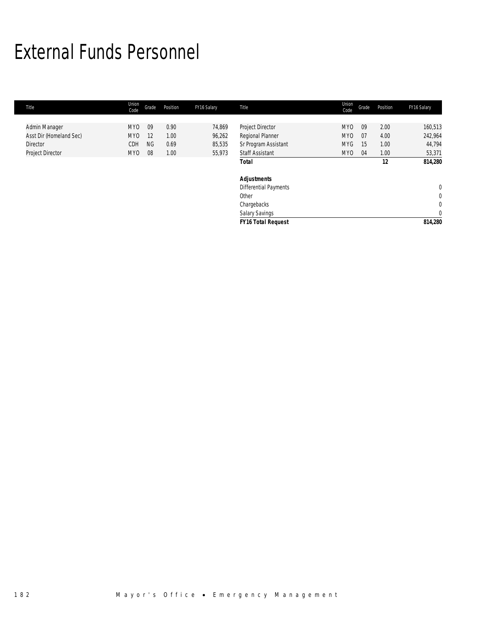## External Funds Personnel

| Title                   | Union<br>Code | Grade     | Position | FY16 Salary | Title                     | Union<br>Code   | Grade | Position | FY16 Salary |
|-------------------------|---------------|-----------|----------|-------------|---------------------------|-----------------|-------|----------|-------------|
|                         |               |           |          |             |                           |                 |       |          |             |
| Admin Manager           | MY0           | 09        | 0.90     | 74,869      | Project Director          | <b>MYO</b>      | 09    | 2.00     | 160,513     |
| Asst Dir (Homeland Sec) | MY0           | 12        | 1.00     | 96,262      | Regional Planner          | MY <sub>0</sub> | 07    | 4.00     | 242,964     |
| Director                | CDH           | <b>NG</b> | 0.69     | 85,535      | Sr Program Assistant      | <b>MYG</b>      | 15    | 1.00     | 44,794      |
| Project Director        | MY0           | 08        | 1.00     | 55,973      | <b>Staff Assistant</b>    | MY <sub>0</sub> | 04    | 1.00     | 53,371      |
|                         |               |           |          |             | <b>Total</b>              |                 |       | 12       | 814,280     |
|                         |               |           |          |             | <b>Adjustments</b>        |                 |       |          |             |
|                         |               |           |          |             | Differential Payments     |                 |       |          | $\mathbf 0$ |
|                         |               |           |          |             | Other                     |                 |       |          | 0           |
|                         |               |           |          |             | Chargebacks               |                 |       |          | 0           |
|                         |               |           |          |             | Salary Savings            |                 |       |          | $\mathbf 0$ |
|                         |               |           |          |             | <b>FY16 Total Request</b> |                 |       |          | 814,280     |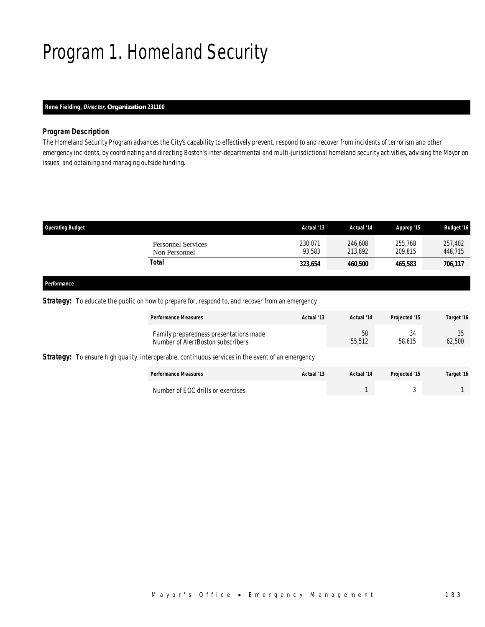## Program 1. Homeland Security

## *Rene Fielding, Director, Organization 231100*

### *Program Description*

The Homeland Security Program advances the City's capability to effectively prevent, respond to and recover from incidents of terrorism and other emergency incidents, by coordinating and directing Boston's inter-departmental and multi-jurisdictional homeland security activities, advising the Mayor on issues, and obtaining and managing outside funding.

| <b>Operating Budget</b>                    | Actual '13        | Actual '14         | Approp '15         | <b>Budget '16</b>  |
|--------------------------------------------|-------------------|--------------------|--------------------|--------------------|
| <b>Personnel Services</b><br>Non Personnel | 230,071<br>93.583 | 246,608<br>213,892 | 255,768<br>209,815 | 257,402<br>448,715 |
| Total                                      | 323,654           | 460,500            | 465,583            | 706,117            |
|                                            |                   |                    |                    |                    |

### *Performance*

### **Strategy:** To educate the public on how to prepare for, respond to, and recover from an emergency

| <b>Performance Measures</b>                                                                       | Actual '13 | Actual '14   | Projected '15 | Target '16   |
|---------------------------------------------------------------------------------------------------|------------|--------------|---------------|--------------|
| Family preparedness presentations made<br>Number of AlertBoston subscribers                       |            | 50<br>55,512 | 34<br>58,615  | 35<br>62,500 |
| Strategy: To ensure high quality, interoperable, continuous services in the event of an emergency |            |              |               |              |
| <b>Performance Measures</b>                                                                       | Actual '13 | Actual '14   | Projected '15 | Target '16   |
| Number of EOC drills or exercises                                                                 |            |              | J             |              |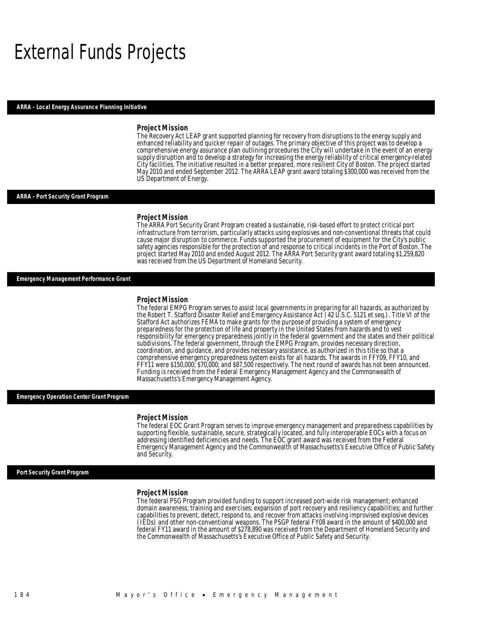## External Funds Projects

#### *ARRA - Local Energy Assurance Planning Initiative*

#### *Project Mission*

The Recovery Act LEAP grant supported planning for recovery from disruptions to the energy supply and enhanced reliability and quicker repair of outages. The primary objective of this project was to develop a comprehensive energy assurance plan outlining procedures the City will undertake in the event of an energy supply disruption and to develop a strategy for increasing the energy reliability of critical emergency-related City facilities. The initiative resulted in a better prepared, more resilient City of Boston. The project started May 2010 and ended September 2012. The ARRA LEAP grant award totaling \$300,000 was received from the US Department of Energy.

#### *ARRA - Port Security Grant Program*

#### *Project Mission*

The ARRA Port Security Grant Program created a sustainable, risk-based effort to protect critical port infrastructure from terrorism, particularly attacks using explosives and non-conventional threats that could cause major disruption to commerce. Funds supported the procurement of equipment for the City's public safety agencies responsible for the protection of and response to critical incidents in the Port of Boston. The project started May 2010 and ended August 2012. The ARRA Port Security grant award totaling \$1,259,820 was received from the US Department of Homeland Security.

#### *Emergency Management Performance Grant*

#### *Project Mission*

The federal EMPG Program serves to assist local governments in preparing for all hazards, as authorized by the Robert T. Stafford Disaster Relief and Emergency Assistance Act (42 U.S.C. 5121 et seq.). Title VI of the Stafford Act authorizes FEMA to make grants for the purpose of providing a system of emergency preparedness for the protection of life and property in the United States from hazards and to vest responsibility for emergency preparedness jointly in the federal government and the states and their political subdivisions. The federal government, through the EMPG Program, provides necessary direction, coordination, and guidance, and provides necessary assistance, as authorized in this title so that a comprehensive emergency preparedness system exists for all hazards. The awards in FFY09, FFY10, and FFY11 were \$150,000; \$70,000; and \$87,500 respectively. The next round of awards has not been announced. Funding is received from the Federal Emergency Management Agency and the Commonwealth of Massachusetts's Emergency Management Agency.

#### *Emergency Operation Center Grant Program*

#### *Project Mission*

The federal EOC Grant Program serves to improve emergency management and preparedness capabilities by supporting flexible, sustainable, secure, strategically located, and fully interoperable EOCs with a focus on addressing identified deficiencies and needs. The EOC grant award was received from the Federal Emergency Management Agency and the Commonwealth of Massachusetts's Executive Office of Public Safety and Security.

*Port Security Grant Program* 

#### *Project Mission*

The federal PSG Program provided funding to support increased port-wide risk management; enhanced domain awareness; training and exercises; expansion of port recovery and resiliency capabilities; and further capabilities to prevent, detect, respond to, and recover from attacks involving improvised explosive devices (IEDs) and other non-conventional weapons. The PSGP federal FY08 award in the amount of \$400,000 and federal FY11 award in the amount of \$278,890 was received from the Department of Homeland Security and the Commonwealth of Massachusetts's Executive Office of Public Safety and Security.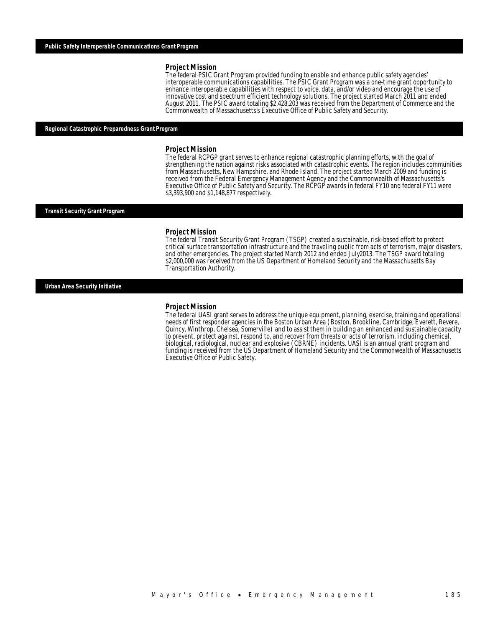#### *Project Mission*

The federal PSIC Grant Program provided funding to enable and enhance public safety agencies' interoperable communications capabilities. The PSIC Grant Program was a one-time grant opportunity to enhance interoperable capabilities with respect to voice, data, and/or video and encourage the use of innovative cost and spectrum efficient technology solutions. The project started March 2011 and ended August 2011. The PSIC award totaling \$2,428,203 was received from the Department of Commerce and the Commonwealth of Massachusetts's Executive Office of Public Safety and Security.

#### *Regional Catastrophic Preparedness Grant Program*

#### *Project Mission*

The federal RCPGP grant serves to enhance regional catastrophic planning efforts, with the goal of strengthening the nation against risks associated with catastrophic events. The region includes communities from Massachusetts, New Hampshire, and Rhode Island. The project started March 2009 and funding is received from the Federal Emergency Management Agency and the Commonwealth of Massachusetts's Executive Office of Public Safety and Security. The RCPGP awards in federal FY10 and federal FY11 were \$3,393,900 and \$1,148,877 respectively.

#### *Transit Security Grant Program*

#### *Project Mission*

The federal Transit Security Grant Program (TSGP) created a sustainable, risk-based effort to protect critical surface transportation infrastructure and the traveling public from acts of terrorism, major disasters, and other emergencies. The project started March 2012 and ended July2013. The TSGP award totaling \$2,000,000 was received from the US Department of Homeland Security and the Massachusetts Bay Transportation Authority.

#### *Urban Area Security Initiative*

#### *Project Mission*

The federal UASI grant serves to address the unique equipment, planning, exercise, training and operational needs of first responder agencies in the Boston Urban Area (Boston, Brookline, Cambridge, Everett, Revere, Quincy, Winthrop, Chelsea, Somerville) and to assist them in building an enhanced and sustainable capacity to prevent, protect against, respond to, and recover from threats or acts of terrorism, including chemical, biological, radiological, nuclear and explosive (CBRNE) incidents. UASI is an annual grant program and funding is received from the US Department of Homeland Security and the Commonwealth of Massachusetts Executive Office of Public Safety.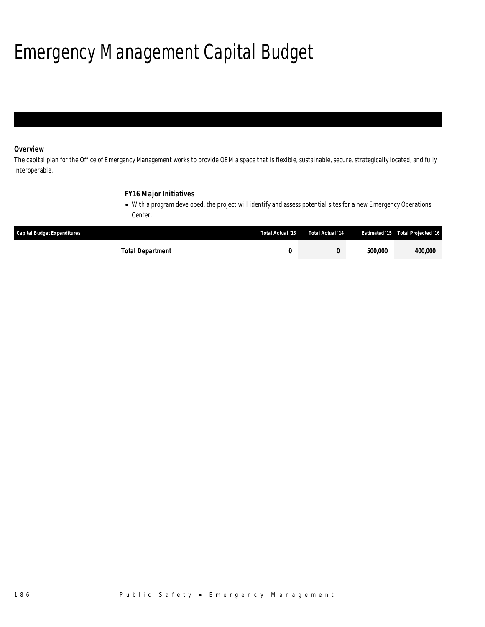# Emergency Management Capital Budget

## *Overview*

The capital plan for the Office of Emergency Management works to provide OEM a space that is flexible, sustainable, secure, strategically located, and fully interoperable.

## *FY16 Major Initiatives*

• With a program developed, the project will identify and assess potential sites for a new Emergency Operations Center.

| <b>Capital Budget Expenditures</b> | Total Actual '13 | Total Actual '14 |         | <b>Estimated '15 Total Projected '16</b> |
|------------------------------------|------------------|------------------|---------|------------------------------------------|
| Total Department                   |                  |                  | 500,000 | <i>400.000</i>                           |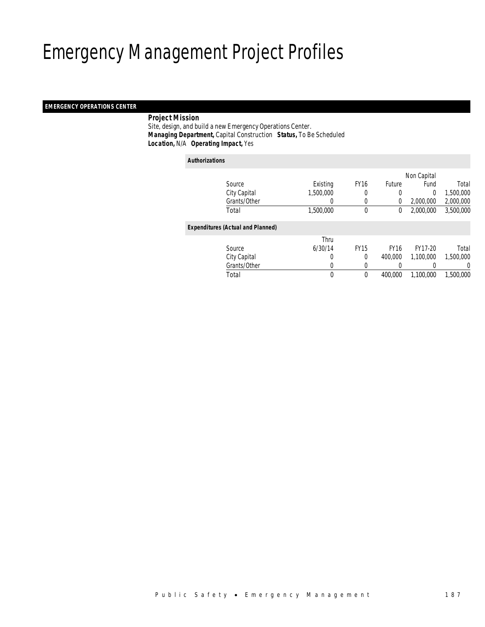## Emergency Management Project Profiles

### *EMERGENCY OPERATIONS CENTER*

### *Project Mission*

 Site, design, and build a new Emergency Operations Center. *Managing Department,* Capital Construction *Status,* To Be Scheduled*Location,* N/A *Operating Impact,* Yes

| <b>Authorizations</b>                    |           |             |               |             |           |
|------------------------------------------|-----------|-------------|---------------|-------------|-----------|
|                                          |           |             |               | Non Capital |           |
| Source                                   | Existing  | <b>FY16</b> | <b>Future</b> | Fund        | Total     |
| City Capital                             | 1,500,000 | 0           | 0             | 0           | 1,500,000 |
| Grants/Other                             | 0         | 0           | 0             | 2,000,000   | 2,000,000 |
| Total                                    | 1,500,000 | 0           | 0             | 2,000,000   | 3,500,000 |
| <b>Expenditures (Actual and Planned)</b> |           |             |               |             |           |
|                                          | Thru      |             |               |             |           |
| Source                                   | 6/30/14   | <b>FY15</b> | <b>FY16</b>   | FY17-20     | Total     |
| City Capital                             | 0         | 0           | 400,000       | 1.100.000   | 1,500,000 |
| Grants/Other                             | 0         | 0           | 0             | 0           | 0         |
| Total                                    | 0         | 0           | 400,000       | 1,100,000   | 1,500,000 |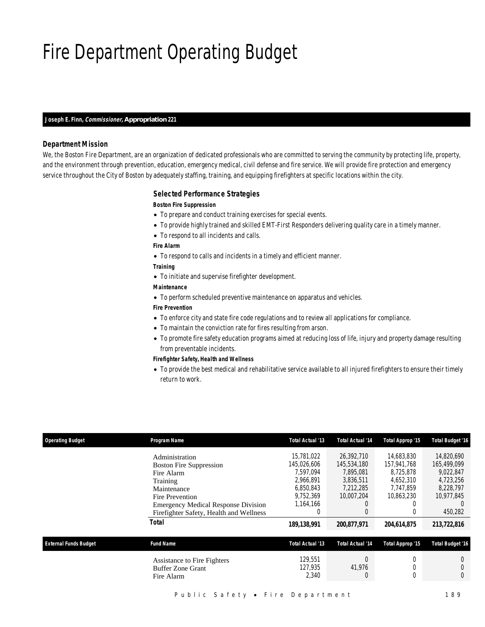## Fire Department Operating Budget

#### *Joseph E. Finn, Commissioner, Appropriation 221*

### *Department Mission*

We, the Boston Fire Department, are an organization of dedicated professionals who are committed to serving the community by protecting life, property, and the environment through prevention, education, emergency medical, civil defense and fire service. We will provide fire protection and emergency service throughout the City of Boston by adequately staffing, training, and equipping firefighters at specific locations within the city.

#### *Selected Performance Strategies*

### *Boston Fire Suppression*

- To prepare and conduct training exercises for special events.
- To provide highly trained and skilled EMT-First Responders delivering quality care in a timely manner.
- To respond to all incidents and calls.

#### *Fire Alarm*

• To respond to calls and incidents in a timely and efficient manner.

#### *Training*

- To initiate and supervise firefighter development.
- *Maintenance*
- To perform scheduled preventive maintenance on apparatus and vehicles.

## *Fire Prevention*

- To enforce city and state fire code regulations and to review all applications for compliance.
- To maintain the conviction rate for fires resulting from arson.
- To promote fire safety education programs aimed at reducing loss of life, injury and property damage resulting from preventable incidents.

#### *Firefighter Safety, Health and Wellness*

• To provide the best medical and rehabilitative service available to all injured firefighters to ensure their timely return to work.

| <b>Operating Budget</b>      | Program Name                               | Total Actual '13 | Total Actual '14        | Total Approp '15 | <b>Total Budget '16</b> |
|------------------------------|--------------------------------------------|------------------|-------------------------|------------------|-------------------------|
|                              | Administration                             | 15,781,022       | 26,392,710              | 14.683.830       | 14,820,690              |
|                              | <b>Boston Fire Suppression</b>             | 145,026,606      | 145,534,180             | 157.941.768      | 165.499.099             |
|                              | Fire Alarm                                 | 7.597.094        | 7.895.081               | 8.725.878        | 9.022.847               |
|                              | Training                                   | 2.966.891        | 3.836.511               | 4.652.310        | 4.723.256               |
|                              | Maintenance                                | 6.850.843        | 7.212.285               | 7.747.859        | 8.228.797               |
|                              | Fire Prevention                            | 9.752.369        | 10.007.204              | 10.863.230       | 10.977.845              |
|                              | <b>Emergency Medical Response Division</b> | 1,164,166        | 0                       |                  | $\left($                |
|                              | Firefighter Safety, Health and Wellness    | 0                | 0                       |                  | 450,282                 |
|                              | Total                                      | 189,138,991      | 200,877,971             | 204,614,875      | 213,722,816             |
| <b>External Funds Budget</b> | <b>Fund Name</b>                           | Total Actual '13 | <b>Total Actual '14</b> | Total Approp '15 | <b>Total Budget '16</b> |
|                              | Assistance to Fire Fighters                | 129.551          | 0                       |                  | $\Omega$                |
|                              | <b>Buffer Zone Grant</b>                   | 127.935          | 41,976                  |                  |                         |
|                              | Fire Alarm                                 | 2,340            | 0                       |                  | $\theta$                |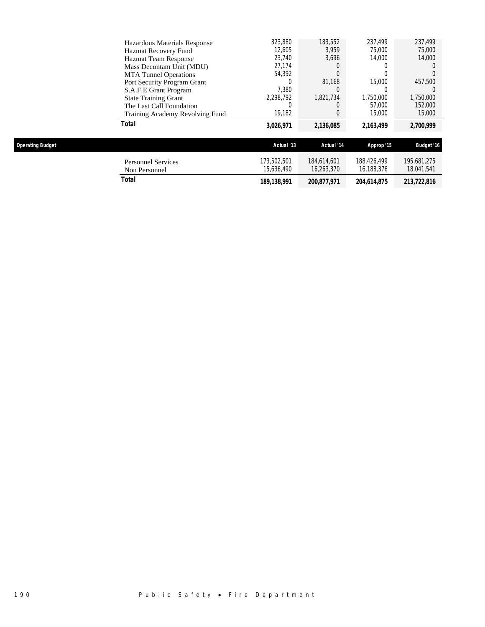|                         | <b>Personnel Services</b>                                | 173,502,501      | 184.614.601 | 188,426,499 | 195.681.275       |
|-------------------------|----------------------------------------------------------|------------------|-------------|-------------|-------------------|
| <b>Operating Budget</b> |                                                          | Actual '13       | Actual '14  | Approp '15  | <b>Budget '16</b> |
|                         | Total                                                    | 3,026,971        | 2,136,085   | 2.163.499   | 2,700,999         |
|                         | Training Academy Revolving Fund                          | 19,182           |             | 15,000      | 15,000            |
|                         | The Last Call Foundation                                 |                  |             | 57,000      | 152,000           |
|                         | <b>State Training Grant</b>                              | 2.298.792        | 1.821.734   | 1,750,000   | 1,750,000         |
|                         | S.A.F.E Grant Program                                    | 7.380            |             |             |                   |
|                         | Port Security Program Grant                              |                  | 81.168      | 15,000      | 457,500           |
|                         | Mass Decontam Unit (MDU)<br><b>MTA</b> Tunnel Operations | 54,392           |             |             |                   |
|                         | <b>Hazmat Team Response</b>                              | 23,740<br>27,174 | 3.696       | 14,000      | 14,000            |
|                         | Hazmat Recovery Fund                                     | 12,605           | 3,959       | 75,000      | 75,000            |
|                         | Hazardous Materials Response                             | 323,880          | 183,552     | 237.499     | 237,499           |
|                         |                                                          |                  |             |             |                   |

Non Personnel 15,636,490 16,263,370 16,188,376 18,041,541 *Total 189,138,991 200,877,971 204,614,875 213,722,816* 

190 Public Safety • Fire Department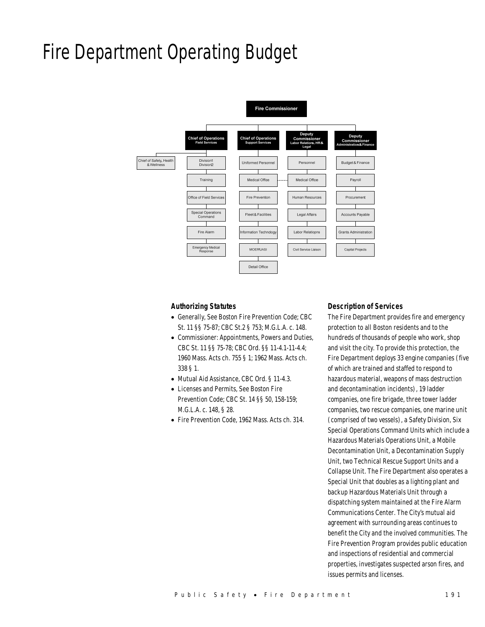## Fire Department Operating Budget



### *Authorizing Statutes*

- Generally, See Boston Fire Prevention Code; CBC St. 11 §§ 75-87; CBC St.2 § 753; M.G.L.A. c. 148.
- Commissioner: Appointments, Powers and Duties, CBC St. 11 §§ 75-78; CBC Ord. §§ 11-4.1-11-4.4; 1960 Mass. Acts ch. 755 § 1; 1962 Mass. Acts ch. 338 § 1.
- Mutual Aid Assistance, CBC Ord. § 11-4.3.
- Licenses and Permits, See Boston Fire Prevention Code; CBC St. 14 §§ 50, 158-159; M.G.L.A. c. 148, § 28.
- Fire Prevention Code, 1962 Mass. Acts ch. 314.

#### *Description of Services*

The Fire Department provides fire and emergency protection to all Boston residents and to the hundreds of thousands of people who work, shop and visit the city. To provide this protection, the Fire Department deploys 33 engine companies (five of which are trained and staffed to respond to hazardous material, weapons of mass destruction and decontamination incidents), 19 ladder companies, one fire brigade, three tower ladder companies, two rescue companies, one marine unit (comprised of two vessels), a Safety Division, Six Special Operations Command Units which include a Hazardous Materials Operations Unit, a Mobile Decontamination Unit, a Decontamination Supply Unit, two Technical Rescue Support Units and a Collapse Unit. The Fire Department also operates a Special Unit that doubles as a lighting plant and backup Hazardous Materials Unit through a dispatching system maintained at the Fire Alarm Communications Center. The City's mutual aid agreement with surrounding areas continues to benefit the City and the involved communities. The Fire Prevention Program provides public education and inspections of residential and commercial properties, investigates suspected arson fires, and issues permits and licenses.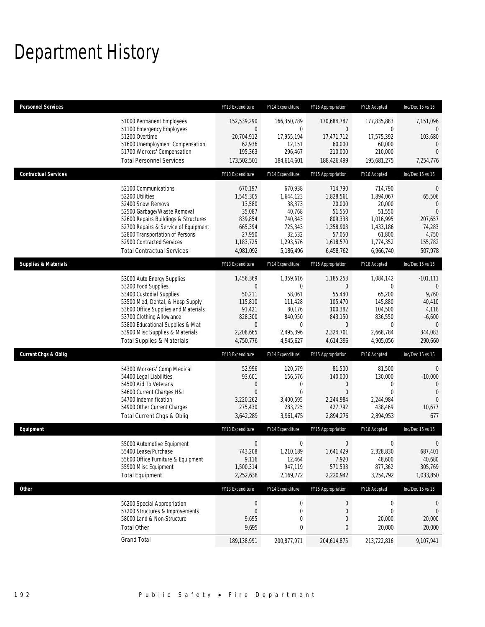# Department History

| <b>Personnel Services</b>       |                                                                                                                                                                                                                                                                                                      | FY13 Expenditure                                                                                      | FY14 Expenditure                                                                                            | FY15 Appropriation                                                                                                 | FY16 Adopted                                                                                                 | Inc/Dec 15 vs 16                                                                                           |
|---------------------------------|------------------------------------------------------------------------------------------------------------------------------------------------------------------------------------------------------------------------------------------------------------------------------------------------------|-------------------------------------------------------------------------------------------------------|-------------------------------------------------------------------------------------------------------------|--------------------------------------------------------------------------------------------------------------------|--------------------------------------------------------------------------------------------------------------|------------------------------------------------------------------------------------------------------------|
|                                 | 51000 Permanent Employees<br>51100 Emergency Employees<br>51200 Overtime<br>51600 Unemployment Compensation<br>51700 Workers' Compensation<br><b>Total Personnel Services</b>                                                                                                                        | 152,539,290<br>$\mathbf 0$<br>20,704,912<br>62,936<br>195,363<br>173,502,501                          | 166,350,789<br>0<br>17,955,194<br>12,151<br>296,467<br>184,614,601                                          | 170,684,787<br>0<br>17,471,712<br>60,000<br>210,000<br>188,426,499                                                 | 177,835,883<br>0<br>17,575,392<br>60,000<br>210,000<br>195,681,275                                           | 7,151,096<br>$\mathbf{0}$<br>103,680<br>$\overline{0}$<br>$\Omega$<br>7,254,776                            |
| <b>Contractual Services</b>     |                                                                                                                                                                                                                                                                                                      | FY13 Expenditure                                                                                      | FY14 Expenditure                                                                                            | FY15 Appropriation                                                                                                 | FY16 Adopted                                                                                                 | Inc/Dec 15 vs 16                                                                                           |
|                                 | 52100 Communications<br>52200 Utilities<br>52400 Snow Removal<br>52500 Garbage/Waste Removal<br>52600 Repairs Buildings & Structures<br>52700 Repairs & Service of Equipment<br>52800 Transportation of Persons<br>52900 Contracted Services<br><b>Total Contractual Services</b>                    | 670,197<br>1,545,305<br>13,580<br>35,087<br>839,854<br>665,394<br>27,950<br>1,183,725<br>4,981,092    | 670,938<br>1,644,123<br>38,373<br>40,768<br>740,843<br>725,343<br>32,532<br>1,293,576<br>5,186,496          | 714,790<br>1,828,561<br>20,000<br>51,550<br>809,338<br>1,358,903<br>57,050<br>1,618,570<br>6,458,762               | 714,790<br>1,894,067<br>20,000<br>51,550<br>1,016,995<br>1,433,186<br>61,800<br>1,774,352<br>6,966,740       | 0<br>65,506<br>0<br>$\Omega$<br>207,657<br>74,283<br>4,750<br>155,782<br>507,978                           |
| <b>Supplies &amp; Materials</b> |                                                                                                                                                                                                                                                                                                      | FY13 Expenditure                                                                                      | FY14 Expenditure                                                                                            | FY15 Appropriation                                                                                                 | FY16 Adopted                                                                                                 | Inc/Dec 15 vs 16                                                                                           |
|                                 | 53000 Auto Energy Supplies<br>53200 Food Supplies<br>53400 Custodial Supplies<br>53500 Med, Dental, & Hosp Supply<br>53600 Office Supplies and Materials<br>53700 Clothing Allowance<br>53800 Educational Supplies & Mat<br>53900 Misc Supplies & Materials<br><b>Total Supplies &amp; Materials</b> | 1,456,369<br>$\theta$<br>50,211<br>115,810<br>91,421<br>828,300<br>$\theta$<br>2,208,665<br>4,750,776 | 1,359,616<br>$\mathbf 0$<br>58,061<br>111,428<br>80,176<br>840,950<br>$\mathbf 0$<br>2,495,396<br>4,945,627 | 1,185,253<br>$\overline{0}$<br>55,440<br>105,470<br>100,382<br>843,150<br>$\overline{0}$<br>2,324,701<br>4,614,396 | 1,084,142<br>$\mathbf 0$<br>65,200<br>145,880<br>104,500<br>836,550<br>$\mathbf 0$<br>2,668,784<br>4,905,056 | $-101,111$<br>$\mathbf{0}$<br>9,760<br>40,410<br>4,118<br>$-6,600$<br>$\overline{0}$<br>344,083<br>290,660 |
| <b>Current Chgs &amp; Oblig</b> |                                                                                                                                                                                                                                                                                                      | FY13 Expenditure                                                                                      | FY14 Expenditure                                                                                            | FY15 Appropriation                                                                                                 | FY16 Adopted                                                                                                 | Inc/Dec 15 vs 16                                                                                           |
|                                 | 54300 Workers' Comp Medical<br>54400 Legal Liabilities<br>54500 Aid To Veterans<br>54600 Current Charges H&I<br>54700 Indemnification<br>54900 Other Current Charges<br>Total Current Chgs & Oblig                                                                                                   | 52,996<br>93,601<br>$\mathbf 0$<br>$\overline{0}$<br>3,220,262<br>275,430<br>3,642,289                | 120,579<br>156,576<br>$\mathbf 0$<br>$\mathbf 0$<br>3,400,595<br>283,725<br>3,961,475                       | 81,500<br>140,000<br>$\mathbf 0$<br>$\mathbf{0}$<br>2,244,984<br>427,792<br>2,894,276                              | 81,500<br>130,000<br>$\mathbf{0}$<br>$\mathbf{0}$<br>2,244,984<br>438,469<br>2,894,953                       | $\mathbf{0}$<br>$-10,000$<br>$\Omega$<br>$\overline{0}$<br>$\overline{0}$<br>10,677<br>677                 |
| Equipment                       |                                                                                                                                                                                                                                                                                                      | FY13 Expenditure                                                                                      | FY14 Expenditure                                                                                            | FY15 Appropriation                                                                                                 | FY16 Adopted                                                                                                 | Inc/Dec 15 vs 16                                                                                           |
|                                 | 55000 Automotive Equipment<br>55400 Lease/Purchase<br>55600 Office Furniture & Equipment<br>55900 Misc Equipment<br><b>Total Equipment</b>                                                                                                                                                           | $\boldsymbol{0}$<br>743,208<br>9,116<br>1,500,314<br>2,252,638                                        | $\mathbf 0$<br>1,210,189<br>12,464<br>947,119<br>2,169,772                                                  | $\boldsymbol{0}$<br>1,641,429<br>7,920<br>571,593<br>2,220,942                                                     | 0<br>2,328,830<br>48,600<br>877,362<br>3,254,792                                                             | $\mathbf 0$<br>687,401<br>40,680<br>305,769<br>1,033,850                                                   |
| Other                           |                                                                                                                                                                                                                                                                                                      | FY13 Expenditure                                                                                      | FY14 Expenditure                                                                                            | FY15 Appropriation                                                                                                 | FY16 Adopted                                                                                                 | Inc/Dec 15 vs 16                                                                                           |
|                                 | 56200 Special Appropriation<br>57200 Structures & Improvements<br>58000 Land & Non-Structure<br><b>Total Other</b>                                                                                                                                                                                   | $\theta$<br>$\theta$<br>9,695<br>9,695                                                                | 0<br>$\mathbf 0$<br>$\mathbf 0$<br>0                                                                        | 0<br>$\mathbf 0$<br>0<br>0                                                                                         | $\mathbf 0$<br>0<br>20,000<br>20,000                                                                         | $\theta$<br>$\overline{0}$<br>20,000<br>20,000                                                             |
|                                 | <b>Grand Total</b>                                                                                                                                                                                                                                                                                   | 189,138,991                                                                                           | 200,877,971                                                                                                 | 204,614,875                                                                                                        | 213,722,816                                                                                                  | 9,107,941                                                                                                  |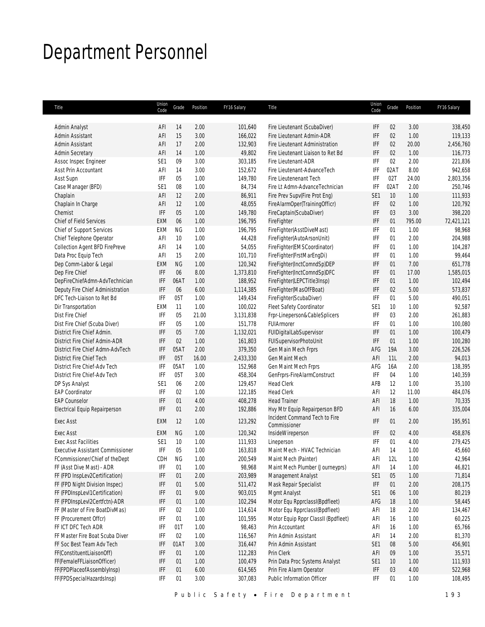# Department Personnel

| Title                                   | Union<br>Code               | Grade     | Position | FY16 Salary | Title                               | Union<br>Code   | Grade | Position | FY16 Salary |
|-----------------------------------------|-----------------------------|-----------|----------|-------------|-------------------------------------|-----------------|-------|----------|-------------|
|                                         |                             |           |          |             |                                     |                 |       |          |             |
| Admin Analyst                           | AFI                         | 14        | 2.00     | 101,640     | Fire Lieutenant (ScubaDiver)        | IFF             | 02    | 3.00     | 338,450     |
| Admin Assistant                         | AFI                         | 15        | 3.00     | 166,022     | Fire Lieutenant Admin-ADR           | IFF             | 02    | 1.00     | 119,133     |
| Admin Assistant                         | AFI                         | 17        | 2.00     | 132,903     | Fire Lieutenant Administration      | IFF             | 02    | 20.00    | 2,456,760   |
| <b>Admin Secretary</b>                  | AFI                         | 14        | 1.00     | 49,802      | Fire Lieutenant Liaison to Ret Bd   | <b>IFF</b>      | 02    | 1.00     | 116,773     |
| Assoc Inspec Engineer                   | SE <sub>1</sub>             | 09        | 3.00     | 303,185     | Fire Lieutenant-ADR                 | IFF             | 02    | 2.00     | 221,836     |
| Asst Prin Accountant                    | AFI                         | 14        | 3.00     | 152,672     | Fire Lieutenant-AdvanceTech         | IFF             | 02AT  | 8.00     | 942,658     |
| Asst Supn                               | IFF                         | 05        | 1.00     | 149,780     | Fire Lieutenenant Tech              | IFF             | 02T   | 24.00    | 2,803,356   |
| Case Manager (BFD)                      | SE1                         | 08        | 1.00     | 84,734      | Fire I t Admn-AdvanceTechnician     | IFF             | 02AT  | 2.00     | 250.746     |
| Chaplain                                | AFI                         | 12        | 2.00     | 86,911      | Fire Prev Supv(Fire Prot Eng)       | SE1             | 10    | 1.00     | 111,933     |
| Chaplain In Charge                      | AFI                         | 12        | 1.00     | 48,055      | FireAlarmOper(TrainingOfficr)       | IFF             | 02    | 1.00     | 120,792     |
| Chemist                                 | IFF                         | 05        | 1.00     | 149,780     | FireCaptain(ScubaDiver)             | IFF             | 03    | 3.00     | 398,220     |
| <b>Chief of Field Services</b>          | EXM                         | 06        | 1.00     | 196,795     | FireFighter                         | IFF             | 01    | 795.00   | 72,421,121  |
| Chief of Support Services               | EXM                         | ΝG        | 1.00     | 196,795     | FireFighter(AsstDiveMast)           | IFF             | 01    | 1.00     | 98,968      |
| Chief Telephone Operator                | AFI                         | 10        | 1.00     | 44,428      | FireFighter(AutoArsonUnit)          | IFF             | 01    | 2.00     | 204,988     |
| Collection Agent BFD FirePreve          | AFI                         | 14        | 1.00     | 54,055      | FireFighter(EMSCoordinator)         | IFF             | 01    | 1.00     | 104,287     |
| Data Proc Equip Tech                    | AFI                         | 15        | 2.00     | 101,710     | FireFighter(FrstMarEngDi)           | IFF             | 01    | 1.00     | 99,464      |
| Dep Comm-Labor & Legal                  | EXM                         | <b>NG</b> | 1.00     | 120,342     | FireFighter(InctComndSp)DEP         | IFF             | 01    | 7.00     | 651,778     |
| Dep Fire Chief                          | IFF                         | 06        | 8.00     | 1,373,810   | FireFighter(InctComndSp)DFC         | IFF             | 01    | 17.00    | 1,585,015   |
| DepFireChiefAdmn-AdvTechnician          | IFF                         | 06AT      | 1.00     | 188,952     | FireFighter(LEPCTitle3Insp)         | IFF             | 01    | 1.00     | 102,494     |
| Deputy Fire Chief Administration        | IFF                         | 06        | 6.00     | 1,114,385   | FireFighter(MasOfFBoat)             | IFF             | 02    | 5.00     | 573,837     |
| DFC Tech-Liaison to Ret Bd              | IFF                         | 05T       | 1.00     | 149,434     | FireFighter(ScubaDiver)             | IFF             | 01    | 5.00     | 490,051     |
| Dir Transportation                      | EXM                         | 11        | 1.00     | 100,022     | Fleet Safety Coordinator            | SE <sub>1</sub> | 10    | 1.00     | 92,587      |
| Dist Fire Chief                         | IFF                         | 05        | 21.00    | 3,131,838   | Frpr-Lineperson&CableSplicers       | IFF             | 03    | 2.00     | 261,883     |
| Dist Fire Chief (Scuba Diver)           | IFF                         | 05        | 1.00     | 151,778     | FUIArmorer                          | IFF             | 01    | 1.00     | 100,080     |
| District Fire Chief Admin.              | IFF                         | 05        | 7.00     | 1,132,021   | FUIDigitalLabSupervisor             | IFF             | 01    | 1.00     | 100,479     |
| District Fire Chief Admin-ADR           | IFF                         | 02        | 1.00     | 161,803     | FUISupervisorPhotoUnit              | IFF             | 01    | 1.00     | 100,280     |
| District Fire Chief Admn-AdvTech        | IFF                         | 05AT      | 2.00     | 379,350     | Gen Main Mech Frprs                 | AFG             | 19A   | 3.00     | 226,526     |
| District Fire Chief Tech                | IFF                         | 05T       | 16.00    | 2,433,330   | Gen Maint Mech                      | AFI             | 11L   | 2.00     | 94,013      |
| District Fire Chief-Adv Tech            | IFF                         | 05AT      | 1.00     | 152,968     | Gen Maint Mech Frprs                | AFG             | 16A   | 2.00     | 138,395     |
| District Fire Chief-Adv Tech            | IFF                         | 05T       | 3.00     | 458,304     | GenFrprs-FireAlarmConstruct         | IFF             | 04    | 1.00     | 140,359     |
| DP Sys Analyst                          | SE <sub>1</sub>             | 06        | 2.00     | 129,457     | <b>Head Clerk</b>                   | AFB             | 12    | 1.00     | 35,100      |
| <b>EAP Coordinator</b>                  | IFF                         | 02        | 1.00     | 122,185     | <b>Head Clerk</b>                   | AFI             | 12    | 11.00    | 484,076     |
| <b>EAP Counselor</b>                    | IFF                         | 01        | 4.00     | 408,278     | <b>Head Trainer</b>                 | AFI             | 18    | 1.00     | 70,335      |
| <b>Electrical Equip Repairperson</b>    | IFF                         | 01        | 2.00     | 192,886     | Hvy Mtr Equip Repairperson BFD      | AFI             | 16    | 6.00     | 335,004     |
| <b>Exec Asst</b>                        | EXM                         | 12        | 1.00     |             | Incident Command Tech to Fire       | IFF             | 01    | 2.00     | 195,951     |
|                                         |                             |           |          | 123,292     | Commissioner                        |                 |       |          |             |
| <b>Exec Asst</b>                        | EXM                         | <b>NG</b> | 1.00     | 120,342     | InsideWireperson                    | <b>IFF</b>      | 02    | 4.00     | 458,876     |
| <b>Exec Asst Facilities</b>             | SE <sub>1</sub>             | 10        | 1.00     | 111,933     | Lineperson                          | IFF             | 01    | 4.00     | 279,425     |
| <b>Executive Assistant Commissioner</b> | IFF                         | 05        | 1.00     | 163,818     | Maint Mech - HVAC Technician        | AFI             | 14    | 1.00     | 45,660      |
| FCommissioner/Chief of theDept          | CDH                         | ΝG        | 1.00     | 200,549     | Maint Mech (Painter)                | AFI             | 12L   | 1.00     | 42,964      |
| FF (Asst Dive Mast) - ADR               | IFF                         | 01        | 1.00     | 98,968      | Maint Mech Plumber (Journeyprs)     | AFI             | 14    | 1.00     | 46,821      |
| FF (FPD InspLev2Certification)          | IFF                         | 01        | 2.00     | 203,989     | Management Analyst                  | SE1             | 05    | 1.00     | 71,814      |
| FF (FPD Night Division Inspec)          | IFF                         | 01        | 5.00     | 511,472     | Mask Repair Specialist              | IFF             | 01    | 2.00     | 208,175     |
| FF (FPDInspLevI1Certification)          | IFF                         | 01        | 9.00     | 903,015     | Mgmt Analyst                        | SE1             | 06    | 1.00     | 80,219      |
| FF (FPDInspLevI2Certfctn)-ADR           | $\ensuremath{\mathsf{IFF}}$ | 01        | 1.00     | 102,294     | Motor Equ RpprclassI(Bpdfleet)      | AFG             | 18    | 1.00     | 58,445      |
| FF (Master of Fire BoatDivMas)          | IFF                         | 02        | 1.00     | 114,614     | Motor Equ RpprclassI(Bpdfleet)      | AFI             | 18    | 2.00     | 134,467     |
| FF (Procurement Offcr)                  | IFF                         | 01        | 1.00     | 101,595     | Motor Equip Rppr ClassII (Bpdfleet) | AFI             | 16    | 1.00     | 60,225      |
| FF ICT DFC Tech ADR                     | IFF                         | 01T       | 1.00     | 98,463      | Prin Accountant                     | AFI             | 16    | 1.00     | 65,766      |
| FF Master Fire Boat Scuba Diver         | IFF                         | 02        | 1.00     | 116,567     | Prin Admin Assistant                | AFI             | 14    | 2.00     | 81,370      |
| FF Soc Best Team Adv Tech               | IFF                         | 01AT      | 3.00     | 316,447     | Prin Admin Assistant                | SE <sub>1</sub> | 08    | 5.00     | 456,901     |
| FF(ConstituentLiaisonOff)               | IFF                         | 01        | 1.00     | 112,283     | Prin Clerk                          | AFI             | 09    | 1.00     | 35,571      |
| FF(FemaleFFLiaisonOfficer)              | IFF                         | 01        | 1.00     | 100,479     | Prin Data Proc Systems Analyst      | SE <sub>1</sub> | 10    | 1.00     | 111,933     |
| FF(FPDPlaceofAssemblyInsp)              | IFF                         | 01        | 6.00     | 614,565     | Prin Fire Alarm Operator            | IFF             | 03    | 4.00     | 522,968     |
| FF(FPDSpecialHazardsInsp)               | IFF                         | 01        | 3.00     | 307,083     | Public Information Officer          | IFF             | 01    | 1.00     | 108,495     |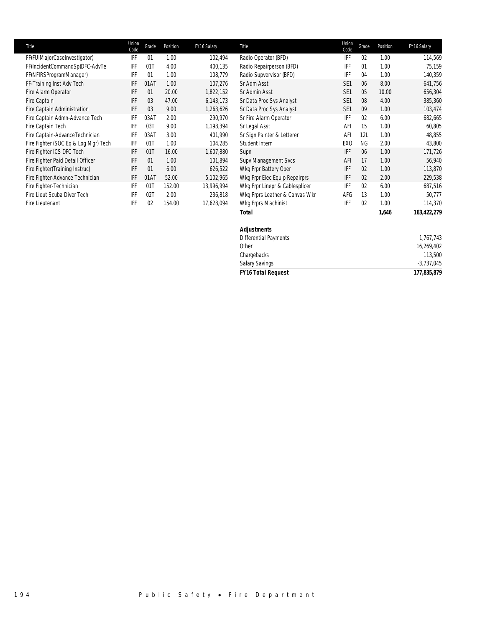| Title                                | Union<br>Code | Grade | Position | FY16 Salary | Title                          | Union<br>Code   | Grade     | Position | FY16 Salary |
|--------------------------------------|---------------|-------|----------|-------------|--------------------------------|-----------------|-----------|----------|-------------|
| FF(FUIMajorCaseInvestigator)         | IFF           | 01    | 1.00     | 102,494     | Radio Operator (BFD)           | IFF             | 02        | 1.00     | 114,569     |
| FF(IncidentCommandSp)DFC-AdvTe       | IFF           | 01T   | 4.00     | 400,135     | Radio Repairperson (BFD)       | IFF             | 01        | 1.00     | 75,159      |
| FF(NFIRSProgramManager)              | IFF           | 01    | 1.00     | 108,779     | Radio Supvervisor (BFD)        | <b>IFF</b>      | 04        | 1.00     | 140,359     |
| FF-Training Inst Adv Tech            | IFF           | 01AT  | 1.00     | 107,276     | Sr Adm Asst                    | SE <sub>1</sub> | 06        | 8.00     | 641,756     |
| Fire Alarm Operator                  | IFF           | 01    | 20.00    | 1,822,152   | Sr Admin Asst                  | SE <sub>1</sub> | 05        | 10.00    | 656,304     |
| Fire Captain                         | IFF           | 03    | 47.00    | 6,143,173   | Sr Data Proc Sys Analyst       | SE <sub>1</sub> | 08        | 4.00     | 385,360     |
| Fire Captain Administration          | IFF           | 03    | 9.00     | 1,263,626   | Sr Data Proc Sys Analyst       | SE <sub>1</sub> | 09        | 1.00     | 103,474     |
| Fire Captain Admn-Advance Tech       | IFF           | 03AT  | 2.00     | 290,970     | Sr Fire Alarm Operator         | <b>IFF</b>      | 02        | 6.00     | 682,665     |
| Fire Captain Tech                    | IFF           | 03T   | 9.00     | 1,198,394   | Sr Legal Asst                  | AFI             | 15        | 1.00     | 60,805      |
| Fire Captain-AdvanceTechnician       | IFF           | 03AT  | 3.00     | 401,990     | Sr Sign Painter & Letterer     | AFI             | 12L       | 1.00     | 48,855      |
| Fire Fighter (SOC Eq & Log Mgr) Tech | IFF           | 01T   | 1.00     | 104,285     | Student Intern                 | EX <sub>0</sub> | <b>NG</b> | 2.00     | 43,800      |
| Fire Fighter ICS DFC Tech            | IFF           | 01T   | 16.00    | 1,607,880   | Supn                           | <b>IFF</b>      | 06        | 1.00     | 171,726     |
| Fire Fighter Paid Detail Officer     | IFF           | 01    | 1.00     | 101,894     | Supy Management Svcs           | AFI             | 17        | 1.00     | 56,940      |
| Fire Fighter(Training Instruc)       | IFF           | 01    | 6.00     | 626,522     | Wkg Frpr Battery Oper          | <b>IFF</b>      | 02        | 1.00     | 113,870     |
| Fire Fighter-Advance Technician      | IFF           | 01AT  | 52.00    | 5,102,965   | Wkg Frpr Elec Equip Repairprs  | <b>IFF</b>      | 02        | 2.00     | 229,538     |
| Fire Fighter-Technician              | IFF           | 01T   | 152.00   | 13,996,994  | Wkg Frpr Linepr & Cablesplicer | IFF             | 02        | 6.00     | 687,516     |
| Fire Lieut Scuba Diver Tech          | IFF           | 02T   | 2.00     | 236,818     | Wkg Frprs Leather & Canvas Wkr | AFG             | 13        | 1.00     | 50,777      |
| Fire Lieutenant                      | IFF           | 02    | 154.00   | 17,628,094  | Wkg Frprs Machinist            | IFF             | 02        | 1.00     | 114,370     |
|                                      |               |       |          |             | <b>Total</b>                   |                 |           | 1,646    | 163,422,279 |
|                                      |               |       |          |             | <b>Adjustments</b>             |                 |           |          |             |

## Differential Payments 1,767,743 Other 16,269,402 Chargebacks 113,500 Salary Savings -3,737,045 *FY16 Total Request 177,835,879*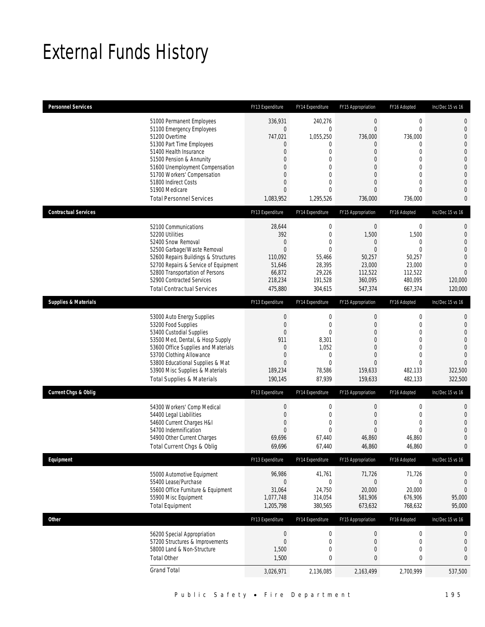## External Funds History

| <b>Personnel Services</b>       |                                                                                                                                                                                                                                                                                                            | FY13 Expenditure                                                                                                                  | FY14 Expenditure                                                                          | FY15 Appropriation                                                                                                                                                         | FY16 Adopted                                                                                                                                                         | Inc/Dec 15 vs 16                                                                                                                                                                    |
|---------------------------------|------------------------------------------------------------------------------------------------------------------------------------------------------------------------------------------------------------------------------------------------------------------------------------------------------------|-----------------------------------------------------------------------------------------------------------------------------------|-------------------------------------------------------------------------------------------|----------------------------------------------------------------------------------------------------------------------------------------------------------------------------|----------------------------------------------------------------------------------------------------------------------------------------------------------------------|-------------------------------------------------------------------------------------------------------------------------------------------------------------------------------------|
|                                 | 51000 Permanent Employees<br>51100 Emergency Employees<br>51200 Overtime<br>51300 Part Time Employees<br>51400 Health Insurance<br>51500 Pension & Annunity<br>51600 Unemployment Compensation<br>51700 Workers' Compensation<br>51800 Indirect Costs<br>51900 Medicare<br><b>Total Personnel Services</b> | 336,931<br>$\mathbf 0$<br>747,021<br>$\mathbf 0$<br>$\overline{0}$<br>0<br>0<br>$\overline{0}$<br>0<br>$\mathbf{0}$<br>1,083,952  | 240,276<br>$\mathbf{0}$<br>1,055,250<br>0<br>0<br>0<br>0<br>0<br>0<br>0<br>1,295,526      | $\boldsymbol{0}$<br>$\mathbf{0}$<br>736,000<br>$\overline{0}$<br>$\mathbf{0}$<br>$\overline{0}$<br>$\Omega$<br>$\mathbf{0}$<br>$\overline{0}$<br>$\overline{0}$<br>736,000 | $\boldsymbol{0}$<br>$\mathbf{0}$<br>736,000<br>$\mathbf{0}$<br>$\mathbf{0}$<br>$\overline{0}$<br>$\Omega$<br>$\mathbf{0}$<br>$\mathbf{0}$<br>$\mathbf{0}$<br>736,000 | $\mathbf 0$<br>$\mathbf 0$<br>$\mathbf{0}$<br>$\overline{0}$<br>$\overline{0}$<br>$\mathbf{0}$<br>$\mathbf 0$<br>$\overline{0}$<br>$\overline{0}$<br>$\overline{0}$<br>$\mathbf{0}$ |
| <b>Contractual Services</b>     |                                                                                                                                                                                                                                                                                                            | FY13 Expenditure                                                                                                                  | FY14 Expenditure                                                                          | FY15 Appropriation                                                                                                                                                         | FY16 Adopted                                                                                                                                                         | Inc/Dec 15 vs 16                                                                                                                                                                    |
|                                 | 52100 Communications<br>52200 Utilities<br>52400 Snow Removal<br>52500 Garbage/Waste Removal<br>52600 Repairs Buildings & Structures<br>52700 Repairs & Service of Equipment<br>52800 Transportation of Persons<br>52900 Contracted Services<br><b>Total Contractual Services</b>                          | 28,644<br>392<br>$\mathbf{0}$<br>$\overline{0}$<br>110,092<br>51,646<br>66,872<br>218,234<br>475,880                              | 0<br>$\mathbf 0$<br>0<br>$\mathbf{0}$<br>55,466<br>28,395<br>29,226<br>191,528<br>304,615 | $\bf 0$<br>1,500<br>$\mathbf{0}$<br>$\mathbf{0}$<br>50,257<br>23,000<br>112,522<br>360,095<br>547,374                                                                      | $\boldsymbol{0}$<br>1,500<br>$\mathbf{0}$<br>$\mathbf{0}$<br>50,257<br>23,000<br>112.522<br>480,095<br>667,374                                                       | $\mathbf 0$<br>$\mathbf{0}$<br>$\overline{0}$<br>$\overline{0}$<br>$\overline{0}$<br>$\overline{0}$<br>$\overline{0}$<br>120,000<br>120,000                                         |
| <b>Supplies &amp; Materials</b> |                                                                                                                                                                                                                                                                                                            | FY13 Expenditure                                                                                                                  | FY14 Expenditure                                                                          | FY15 Appropriation                                                                                                                                                         | FY16 Adopted                                                                                                                                                         | Inc/Dec 15 vs 16                                                                                                                                                                    |
|                                 | 53000 Auto Energy Supplies<br>53200 Food Supplies<br>53400 Custodial Supplies<br>53500 Med, Dental, & Hosp Supply<br>53600 Office Supplies and Materials<br>53700 Clothing Allowance<br>53800 Educational Supplies & Mat<br>53900 Misc Supplies & Materials<br><b>Total Supplies &amp; Materials</b>       | $\boldsymbol{0}$<br>$\boldsymbol{0}$<br>$\overline{0}$<br>911<br>$\mathbf 0$<br>$\mathbf 0$<br>$\mathbf{0}$<br>189,234<br>190,145 | 0<br>$\mathbf{0}$<br>0<br>8,301<br>1,052<br>0<br>$\mathbf{0}$<br>78,586<br>87,939         | 0<br>$\mathbf{0}$<br>$\Omega$<br>$\overline{0}$<br>$\Omega$<br>$\mathbf{0}$<br>$\mathbf{0}$<br>159,633<br>159,633                                                          | $\mathbf 0$<br>$\mathbf{0}$<br>$\overline{0}$<br>$\overline{0}$<br>$\overline{0}$<br>$\mathbf{0}$<br>$\mathbf{0}$<br>482,133<br>482,133                              | $\mathbf{0}$<br>$\mathbf 0$<br>$\overline{0}$<br>$\overline{0}$<br>$\overline{0}$<br>$\overline{0}$<br>$\Omega$<br>322,500<br>322,500                                               |
| <b>Current Chgs &amp; Oblig</b> |                                                                                                                                                                                                                                                                                                            | FY13 Expenditure                                                                                                                  | FY14 Expenditure                                                                          | FY15 Appropriation                                                                                                                                                         | FY16 Adopted                                                                                                                                                         | Inc/Dec 15 vs 16                                                                                                                                                                    |
|                                 | 54300 Workers' Comp Medical<br>54400 Legal Liabilities<br>54600 Current Charges H&I<br>54700 Indemnification<br>54900 Other Current Charges<br>Total Current Chgs & Oblig                                                                                                                                  | $\boldsymbol{0}$<br>$\boldsymbol{0}$<br>$\overline{0}$<br>$\mathbf{0}$<br>69,696<br>69,696                                        | 0<br>$\mathbf 0$<br>$\mathbf{0}$<br>$\overline{0}$<br>67,440<br>67,440                    | $\boldsymbol{0}$<br>$\mathbf{0}$<br>$\mathbf{0}$<br>$\mathbf{0}$<br>46,860<br>46,860                                                                                       | $\boldsymbol{0}$<br>$\mathbf 0$<br>$\mathbf{0}$<br>$\mathbf{0}$<br>46,860<br>46,860                                                                                  | $\mathbf 0$<br>$\mathbf 0$<br>$\overline{0}$<br>$\overline{0}$<br>$\mathbf 0$<br>$\mathbf{0}$                                                                                       |
| Equipment                       |                                                                                                                                                                                                                                                                                                            | FY13 Expenditure                                                                                                                  | FY14 Expenditure                                                                          | FY15 Appropriation                                                                                                                                                         | FY16 Adopted                                                                                                                                                         | Inc/Dec 15 vs 16                                                                                                                                                                    |
|                                 | 55000 Automotive Equipment<br>55400 Lease/Purchase<br>55600 Office Furniture & Equipment<br>55900 Misc Equipment<br><b>Total Equipment</b>                                                                                                                                                                 | 96,986<br>$\boldsymbol{0}$<br>31,064<br>1,077,748<br>1,205,798                                                                    | 41,761<br>$\mathbf 0$<br>24,750<br>314,054<br>380,565                                     | 71,726<br>$\boldsymbol{0}$<br>20,000<br>581,906<br>673,632                                                                                                                 | 71,726<br>$\boldsymbol{0}$<br>20,000<br>676,906<br>768,632                                                                                                           | 0<br>$\mathbf{0}$<br>$\mathbf 0$<br>95,000<br>95,000                                                                                                                                |
| Other                           |                                                                                                                                                                                                                                                                                                            | FY13 Expenditure                                                                                                                  | FY14 Expenditure                                                                          | FY15 Appropriation                                                                                                                                                         | FY16 Adopted                                                                                                                                                         | Inc/Dec 15 vs 16                                                                                                                                                                    |
|                                 | 56200 Special Appropriation<br>57200 Structures & Improvements<br>58000 Land & Non-Structure<br><b>Total Other</b>                                                                                                                                                                                         | $\boldsymbol{0}$<br>$\boldsymbol{0}$<br>1,500<br>1,500                                                                            | 0<br>$\mathbf 0$<br>0<br>0                                                                | $\boldsymbol{0}$<br>$\boldsymbol{0}$<br>$\boldsymbol{0}$<br>$\bf{0}$                                                                                                       | $\boldsymbol{0}$<br>$\mathbf 0$<br>$\mathbf 0$<br>$\mathbf 0$                                                                                                        | 0<br>$\boldsymbol{0}$<br>$\mathbf 0$<br>$\bf{0}$                                                                                                                                    |
|                                 | <b>Grand Total</b>                                                                                                                                                                                                                                                                                         | 3,026,971                                                                                                                         | 2,136,085                                                                                 | 2,163,499                                                                                                                                                                  | 2,700,999                                                                                                                                                            | 537,500                                                                                                                                                                             |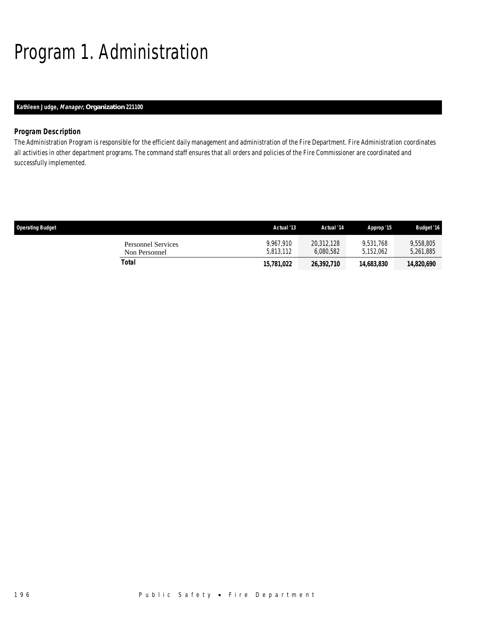# Program 1. Administration

## *Kathleen Judge, Manager, Organization 221100*

## *Program Description*

The Administration Program is responsible for the efficient daily management and administration of the Fire Department. Fire Administration coordinates all activities in other department programs. The command staff ensures that all orders and policies of the Fire Commissioner are coordinated and successfully implemented.

| <b>Operating Budget</b>                    | Actual '13             | Actual '14              | Approp '15             | <b>Budget '16</b>      |
|--------------------------------------------|------------------------|-------------------------|------------------------|------------------------|
| <b>Personnel Services</b><br>Non Personnel | 9.967.910<br>5.813.112 | 20.312.128<br>6,080,582 | 9.531.768<br>5.152.062 | 9,558,805<br>5,261,885 |
| Total                                      | 15,781,022             | 26,392,710              | 14,683,830             | 14,820,690             |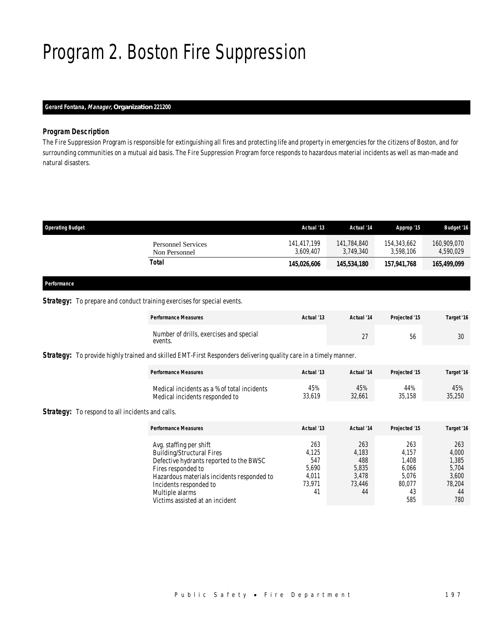## Program 2. Boston Fire Suppression

## *Gerard Fontana, Manager, Organization 221200*

### *Program Description*

The Fire Suppression Program is responsible for extinguishing all fires and protecting life and property in emergencies for the citizens of Boston, and for surrounding communities on a mutual aid basis. The Fire Suppression Program force responds to hazardous material incidents as well as man-made and natural disasters.

| 141.784.840<br>3.749.340 | 154.343.662<br>3.598.106 | 160,909,070<br>4,590,029 |
|--------------------------|--------------------------|--------------------------|
| 145,534,180              | 157,941,768              | 165,499,099              |
|                          |                          |                          |

## *Performance*

## **Strategy:** To prepare and conduct training exercises for special events.

| <b>Performance Measures</b>                        | Actual '13 | Actual '14 | Projected '15 | Target '16 |
|----------------------------------------------------|------------|------------|---------------|------------|
| Number of drills, exercises and special<br>events. |            | $\sim$     | ეტ            | $\Omega$   |

*Strategy:* To provide highly trained and skilled EMT-First Responders delivering quality care in a timely manner.

| <b>Performance Measures</b>                 | Actual '13 | Actual '14 | Projected '15 | Target '16 |
|---------------------------------------------|------------|------------|---------------|------------|
| Medical incidents as a % of total incidents | 45%        | 45%        | 44%           | 45%        |
| Medical incidents responded to              | 33.619     | 32.661     | 35.158        | 35,250     |

**Strategy:** To respond to all incidents and calls.

| <b>Performance Measures</b>                                                                                                                                                                          | Actual '13                                      | Actual '14                                      | Projected '15                                     | Target '16                                        |
|------------------------------------------------------------------------------------------------------------------------------------------------------------------------------------------------------|-------------------------------------------------|-------------------------------------------------|---------------------------------------------------|---------------------------------------------------|
| Avg. staffing per shift<br><b>Building/Structural Fires</b><br>Defective hydrants reported to the BWSC<br>Fires responded to<br>Hazardous materials incidents responded to<br>Incidents responded to | 263<br>4.125<br>547<br>5.690<br>4.011<br>73.971 | 263<br>4,183<br>488<br>5,835<br>3,478<br>73.446 | 263<br>4.157<br>1.408<br>6.066<br>5.076<br>80.077 | 263<br>4,000<br>1,385<br>5,704<br>3,600<br>78.204 |
| Multiple alarms<br>Victims assisted at an incident                                                                                                                                                   | 41                                              | 44                                              | 43<br>585                                         | 44<br>780                                         |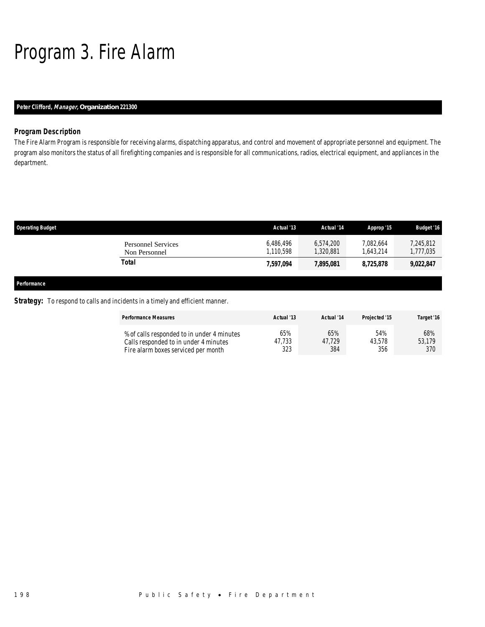# Program 3. Fire Alarm

## *Peter Clifford, Manager, Organization 221300*

## *Program Description*

The Fire Alarm Program is responsible for receiving alarms, dispatching apparatus, and control and movement of appropriate personnel and equipment. The program also monitors the status of all firefighting companies and is responsible for all communications, radios, electrical equipment, and appliances in the department.

| <b>Operating Budget</b> |                                            | Actual '13             | Actual '14             | Approp '15             | <b>Budget '16</b>      |
|-------------------------|--------------------------------------------|------------------------|------------------------|------------------------|------------------------|
|                         | <b>Personnel Services</b><br>Non Personnel | 6,486,496<br>1,110,598 | 6.574.200<br>1,320,881 | 7,082,664<br>1,643,214 | 7,245,812<br>1,777,035 |
|                         | <b>Total</b>                               | 7,597,094              | 7,895,081              | 8,725,878              | 9,022,847              |
|                         |                                            |                        |                        |                        |                        |
| Performance             |                                            |                        |                        |                        |                        |

## **Strategy:** To respond to calls and incidents in a timely and efficient manner.

| <b>Performance Measures</b>                | Actual '13 | Actual '14 | Projected '15 | Target '16 |
|--------------------------------------------|------------|------------|---------------|------------|
| % of calls responded to in under 4 minutes | 65%        | 65%        | 54%           | 68%        |
| Calls responded to in under 4 minutes      | 47.733     | 47.729     | 43.578        | 53,179     |
| Fire alarm boxes serviced per month        | 323        | 384        | 356           | 370        |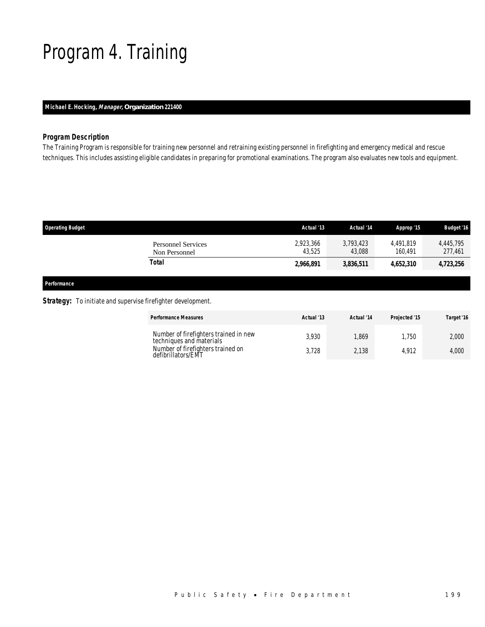## Program 4. Training

## *Michael E. Hocking, Manager, Organization 221400*

## *Program Description*

The Training Program is responsible for training new personnel and retraining existing personnel in firefighting and emergency medical and rescue techniques. This includes assisting eligible candidates in preparing for promotional examinations. The program also evaluates new tools and equipment.

| <b>Operating Budget</b>                    | Actual '13          | Actual '14          | Approp '15           | <b>Budget '16</b>    |
|--------------------------------------------|---------------------|---------------------|----------------------|----------------------|
| <b>Personnel Services</b><br>Non Personnel | 2,923,366<br>43.525 | 3.793.423<br>43,088 | 4.491.819<br>160.491 | 4.445.795<br>277,461 |
| Total                                      | 2,966,891           | 3,836,511           | 4,652,310            | 4,723,256            |
|                                            |                     |                     |                      |                      |

*Performance* 

### **Strategy:** To initiate and supervise firefighter development.

| <b>Performance Measures</b> |                                                                   | Actual '13 | Actual '14 | Projected '15 | Target '16 |
|-----------------------------|-------------------------------------------------------------------|------------|------------|---------------|------------|
|                             | Number of firefighters trained in new<br>techniques and materials | 3.930      | .869       | .750          | 2.000      |
| defibrillators/EMT          | Number of firefighters trained on                                 | 3.728      | 2,138      | 4.912         | 4.000      |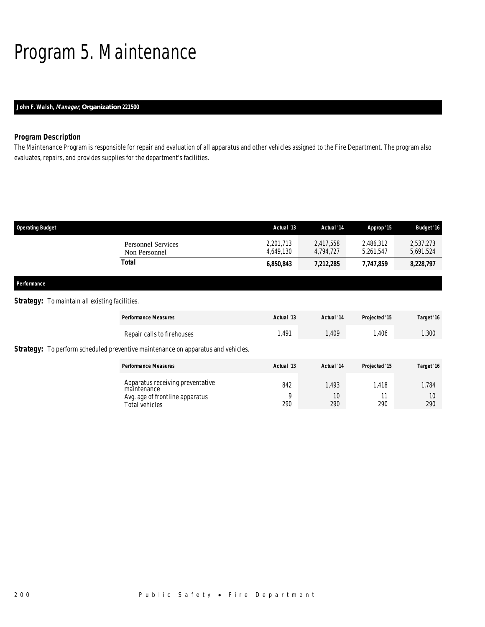## Program 5. Maintenance

## *John F. Walsh, Manager, Organization 221500*

## *Program Description*

The Maintenance Program is responsible for repair and evaluation of all apparatus and other vehicles assigned to the Fire Department. The program also evaluates, repairs, and provides supplies for the department's facilities.

| <b>Operating Budget</b>                               |                                            | Actual '13             | Actual '14             | Approp '15             | <b>Budget '16</b>      |
|-------------------------------------------------------|--------------------------------------------|------------------------|------------------------|------------------------|------------------------|
|                                                       | <b>Personnel Services</b><br>Non Personnel | 2,201,713<br>4,649,130 | 2,417,558<br>4,794,727 | 2,486,312<br>5,261,547 | 2,537,273<br>5,691,524 |
|                                                       | Total                                      | 6,850,843              | 7,212,285              | 7,747,859              | 8,228,797              |
| Performance                                           |                                            |                        |                        |                        |                        |
| <b>Strategy:</b> To maintain all existing facilities. |                                            |                        |                        |                        |                        |
|                                                       | _ _ _ _                                    |                        | .                      | _ _ _ _ _              |                        |

| <b>Performance Measures</b>                                                             | Actual '13 | Actual '14 | Projected '15 | Target '16 |
|-----------------------------------------------------------------------------------------|------------|------------|---------------|------------|
| Repair calls to firehouses                                                              | 1,491      | 1,409      | 1,406         | 1,300      |
| <b>Strategy:</b> To perform scheduled preventive maintenance on apparatus and vehicles. |            |            |               |            |
| <b>Performance Measures</b>                                                             | Actual '13 | Actual '14 | Projected '15 | Target '16 |
| Apparatus receiving preventative<br>maintenance                                         | 842        | .493       | 1.418         | 1,784      |
| Avg. age of frontline apparatus<br>Total vehicles                                       | Q<br>290   | 10<br>290  | 11<br>290     | 10<br>290  |
|                                                                                         |            |            |               |            |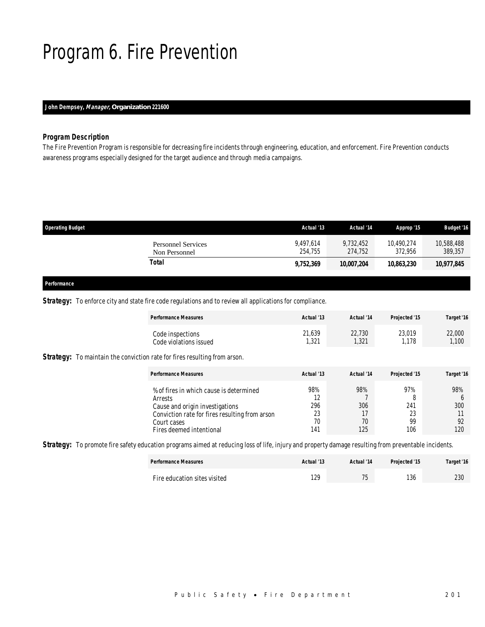## Program 6. Fire Prevention

## *John Dempsey, Manager, Organization 221600*

### *Program Description*

The Fire Prevention Program is responsible for decreasing fire incidents through engineering, education, and enforcement. Fire Prevention conducts awareness programs especially designed for the target audience and through media campaigns.

| <b>Operating Budget</b>                    | Actual '13           | Actual '14           | Approp '15            | <b>Budget '16</b>     |
|--------------------------------------------|----------------------|----------------------|-----------------------|-----------------------|
| <b>Personnel Services</b><br>Non Personnel | 9.497.614<br>254.755 | 9,732,452<br>274.752 | 10,490.274<br>372.956 | 10,588,488<br>389,357 |
| Total                                      | 9,752,369            | 10,007,204           | 10,863,230            | 10,977,845            |
|                                            |                      |                      |                       |                       |

#### *Performance*

### **Strategy:** To enforce city and state fire code regulations and to review all applications for compliance.

| <b>Performance Measures</b> | Actual '13        | Actual '14 | Projected '15 | Target '16 |
|-----------------------------|-------------------|------------|---------------|------------|
| Code inspections            | 21,639            | 22,730     | 23,019        | 22,000     |
| Code violations issued      | 1,32 <sup>1</sup> | ,321       | .178          | 1.100      |

**Strategy:** To maintain the conviction rate for fires resulting from arson.

| <b>Performance Measures</b>                                                                                                                                                        | Actual '13                          | Actual '14                    | Projected '15                 | Target '16              |
|------------------------------------------------------------------------------------------------------------------------------------------------------------------------------------|-------------------------------------|-------------------------------|-------------------------------|-------------------------|
| % of fires in which cause is determined<br>Arrests<br>Cause and origin investigations<br>Conviction rate for fires resulting from arson<br>Court cases<br>Fires deemed intentional | 98%<br>12<br>296<br>23<br>70<br>141 | 98%<br>306<br>17<br>70<br>125 | 97%<br>241<br>23<br>99<br>106 | 98%<br>300<br>92<br>120 |

**Strategy:** To promote fire safety education programs aimed at reducing loss of life, injury and property damage resulting from preventable incidents.

| <b>Performance Measures</b>  | Actual '13  | Actual '14            | Projected '15 | Target '16 |
|------------------------------|-------------|-----------------------|---------------|------------|
| Fire education sites visited | 12C<br>1 Z. | 7 <sub>0</sub><br>ں ا | 10<br> 36     | 230        |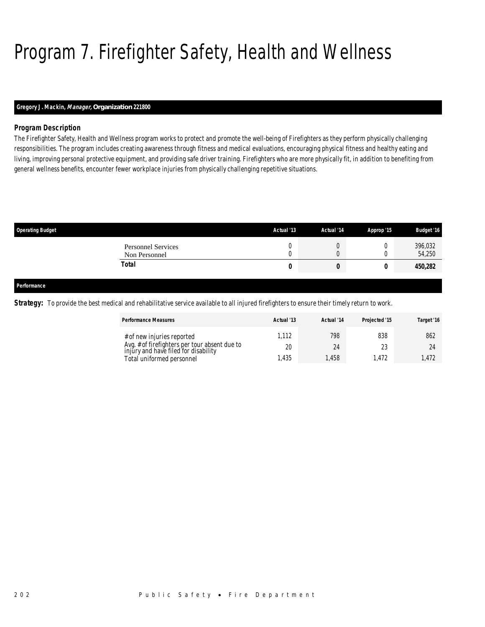# Program 7. Firefighter Safety, Health and Wellness

## *Gregory J. Mackin, Manager, Organization 221800*

## *Program Description*

The Firefighter Safety, Health and Wellness program works to protect and promote the well-being of Firefighters as they perform physically challenging responsibilities. The program includes creating awareness through fitness and medical evaluations, encouraging physical fitness and healthy eating and living, improving personal protective equipment, and providing safe driver training. Firefighters who are more physically fit, in addition to benefiting from general wellness benefits, encounter fewer workplace injuries from physically challenging repetitive situations.

| <b>Operating Budget</b>                    | Actual '13        | Actual '14 | Approp '15 | <b>Budget '16</b> |
|--------------------------------------------|-------------------|------------|------------|-------------------|
| <b>Personnel Services</b><br>Non Personnel | Λ<br>u<br>Λ<br>ν. | v<br>υ     |            | 396,032<br>54,250 |
| Total                                      | U                 | U          |            | 450,282           |
|                                            |                   |            |            |                   |
| Performance                                |                   |            |            |                   |

**Strategy:** To provide the best medical and rehabilitative service available to all injured firefighters to ensure their timely return to work.

| <b>Performance Measures</b>                                                           | Actual '13 | Actual '14 | Projected '15 | Target '16 |
|---------------------------------------------------------------------------------------|------------|------------|---------------|------------|
| # of new injuries reported                                                            |            | 798        | 838           | 862        |
| Avg. # of firefighters per tour absent due to<br>injury and have filed for disability | 20         | 24         | າາ            | 24         |
| Total uniformed personnel                                                             | .435       | ,458       | .472          | 1.472      |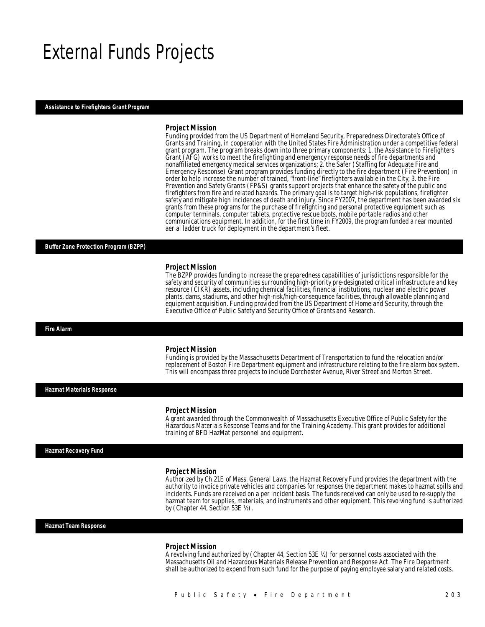## External Funds Projects

#### *Assistance to Firefighters Grant Program*

#### *Project Mission*

Funding provided from the US Department of Homeland Security, Preparedness Directorate's Office of Grants and Training, in cooperation with the United States Fire Administration under a competitive federal grant program. The program breaks down into three primary components: 1. the Assistance to Firefighters Grant (AFG) works to meet the firefighting and emergency response needs of fire departments and nonaffiliated emergency medical services organizations; 2. the Safer (Staffing for Adequate Fire and Emergency Response) Grant program provides funding directly to the fire department (Fire Prevention) in order to help increase the number of trained, "front-line" firefighters available in the City; 3. the Fire Prevention and Safety Grants (FP&S) grants support projects that enhance the safety of the public and firefighters from fire and related hazards. The primary goal is to target high-risk populations, firefighter safety and mitigate high incidences of death and injury. Since FY2007, the department has been awarded six grants from these programs for the purchase of firefighting and personal protective equipment such as computer terminals, computer tablets, protective rescue boots, mobile portable radios and other communications equipment. In addition, for the first time in FY2009, the program funded a rear mounted aerial ladder truck for deployment in the department's fleet.

#### *Buffer Zone Protection Program (BZPP)*

#### *Project Mission*

The BZPP provides funding to increase the preparedness capabilities of jurisdictions responsible for the safety and security of communities surrounding high-priority pre-designated critical infrastructure and key resource (CIKR) assets, including chemical facilities, financial institutions, nuclear and electric power plants, dams, stadiums, and other high-risk/high-consequence facilities, through allowable planning and equipment acquisition. Funding provided from the US Department of Homeland Security, through the Executive Office of Public Safety and Security Office of Grants and Research.

#### *Fire Alarm*

### *Project Mission*

Funding is provided by the Massachusetts Department of Transportation to fund the relocation and/or replacement of Boston Fire Department equipment and infrastructure relating to the fire alarm box system. This will encompass three projects to include Dorchester Avenue, River Street and Morton Street.

*Hazmat Materials Response* 

#### *Project Mission*

A grant awarded through the Commonwealth of Massachusetts Executive Office of Public Safety for the Hazardous Materials Response Teams and for the Training Academy. This grant provides for additional training of BFD HazMat personnel and equipment.

#### *Hazmat Recovery Fund*

#### *Project Mission*

Authorized by Ch.21E of Mass. General Laws, the Hazmat Recovery Fund provides the department with the authority to invoice private vehicles and companies for responses the department makes to hazmat spills and incidents. Funds are received on a per incident basis. The funds received can only be used to re-supply the hazmat team for supplies, materials, and instruments and other equipment. This revolving fund is authorized by (Chapter 44, Section 53E ½).

*Hazmat Team Response* 

#### *Project Mission*

A revolving fund authorized by (Chapter 44, Section 53E ½) for personnel costs associated with the Massachusetts Oil and Hazardous Materials Release Prevention and Response Act. The Fire Department shall be authorized to expend from such fund for the purpose of paying employee salary and related costs.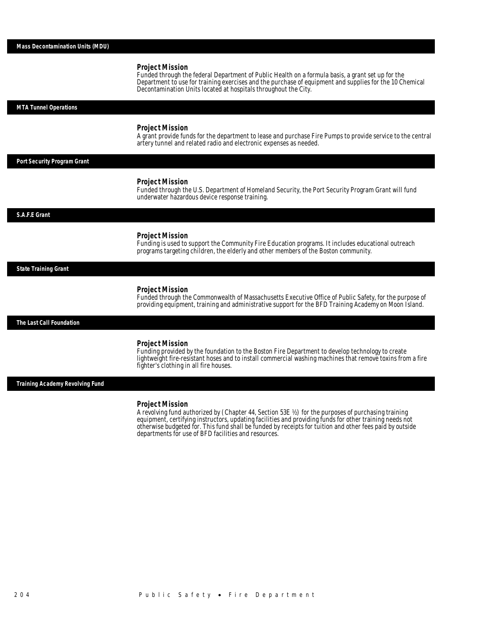#### *Project Mission*

Funded through the federal Department of Public Health on a formula basis, a grant set up for the Department to use for training exercises and the purchase of equipment and supplies for the 10 Chemical Decontamination Units located at hospitals throughout the City.

#### *MTA Tunnel Operations*

#### *Project Mission*

A grant provide funds for the department to lease and purchase Fire Pumps to provide service to the central artery tunnel and related radio and electronic expenses as needed.

### *Port Security Program Grant*

#### *Project Mission*

Funded through the U.S. Department of Homeland Security, the Port Security Program Grant will fund underwater hazardous device response training.

#### *S.A.F.E Grant*

#### *Project Mission*

Funding is used to support the Community Fire Education programs. It includes educational outreach programs targeting children, the elderly and other members of the Boston community.

#### *State Training Grant*

#### *Project Mission*

Funded through the Commonwealth of Massachusetts Executive Office of Public Safety, for the purpose of providing equipment, training and administrative support for the BFD Training Academy on Moon Island.

*The Last Call Foundation* 

#### *Project Mission*

Funding provided by the foundation to the Boston Fire Department to develop technology to create lightweight fire-resistant hoses and to install commercial washing machines that remove toxins from a fire fighter's clothing in all fire houses.

*Training Academy Revolving Fund* 

#### *Project Mission*

A revolving fund authorized by (Chapter 44, Section 53E ½) for the purposes of purchasing training equipment, certifying instructors, updating facilities and providing funds for other training needs not otherwise budgeted for. This fund shall be funded by receipts for tuition and other fees paid by outside departments for use of BFD facilities and resources.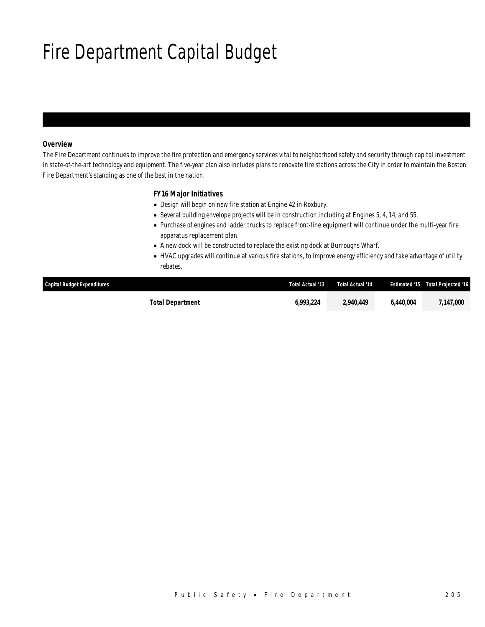# Fire Department Capital Budget

## *Overview*

The Fire Department continues to improve the fire protection and emergency services vital to neighborhood safety and security through capital investment in state-of-the-art technology and equipment. The five-year plan also includes plans to renovate fire stations across the City in order to maintain the Boston Fire Department's standing as one of the best in the nation.

### *FY16 Major Initiatives*

- Design will begin on new fire station at Engine 42 in Roxbury.
- Several building envelope projects will be in construction including at Engines 5, 4, 14, and 55.
- Purchase of engines and ladder trucks to replace front-line equipment will continue under the multi-year fire apparatus replacement plan.
- A new dock will be constructed to replace the existing dock at Burroughs Wharf.
- HVAC upgrades will continue at various fire stations, to improve energy efficiency and take advantage of utility rebates.

| <b>Capital Budget Expenditures</b> | Total Actual '13 | Total Actual '14 |           | <b>Estimated '15 Total Projected '16</b> |
|------------------------------------|------------------|------------------|-----------|------------------------------------------|
| Total Department                   | 6.993.224        | 2,940,449        | 6.440.004 | 7,147,000                                |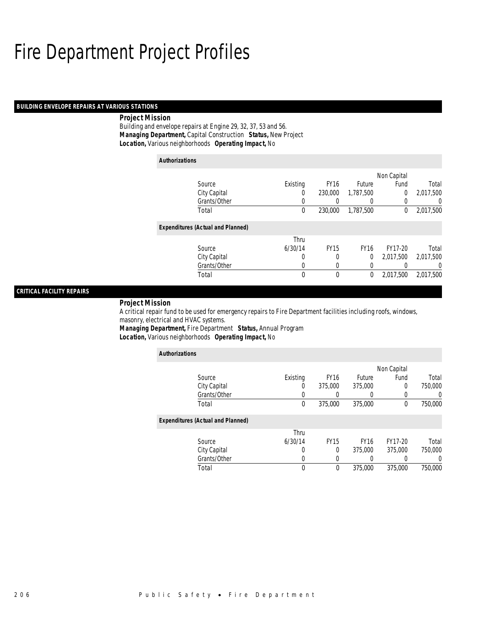## Fire Department Project Profiles

### *BUILDING ENVELOPE REPAIRS AT VARIOUS STATIONS*

### *Project Mission*

Building and envelope repairs at Engine 29, 32, 37, 53 and 56. *Managing Department,* Capital Construction *Status,* New Project*Location,* Various neighborhoods *Operating Impact,* No

| <b>Authorizations</b> |                                          |          |             |             |                |                |  |
|-----------------------|------------------------------------------|----------|-------------|-------------|----------------|----------------|--|
|                       |                                          |          |             |             | Non Capital    |                |  |
|                       | Source                                   | Existing | <b>FY16</b> | Future      | Fund           | Total          |  |
|                       | City Capital                             | 0        | 230,000     | 1,787,500   | $\overline{0}$ | 2,017,500      |  |
|                       | Grants/Other                             | 0        |             |             | 0              | $\Omega$       |  |
|                       | Total                                    | 0        | 230,000     | 1.787.500   | $\theta$       | 2,017,500      |  |
|                       | <b>Expenditures (Actual and Planned)</b> |          |             |             |                |                |  |
|                       |                                          | Thru     |             |             |                |                |  |
|                       | Source                                   | 6/30/14  | <b>FY15</b> | <b>FY16</b> | FY17-20        | Total          |  |
|                       | City Capital                             | 0        | 0           | 0           | 2.017.500      | 2,017,500      |  |
|                       | Grants/Other                             | 0        | 0           | 0           |                | $\overline{0}$ |  |
|                       | Total                                    | $\theta$ | $\theta$    | 0           | 2,017,500      | 2,017,500      |  |

### *CRITICAL FACILITY REPAIRS*

#### *Project Mission*

A critical repair fund to be used for emergency repairs to Fire Department facilities including roofs, windows, masonry, electrical and HVAC systems.

*Managing Department,* Fire Department *Status,* Annual Program*Location,* Various neighborhoods *Operating Impact,* No

| <b>Authorizations</b>                    |          |             |             |                |         |
|------------------------------------------|----------|-------------|-------------|----------------|---------|
|                                          |          |             |             | Non Capital    |         |
| Source                                   | Existing | <b>FY16</b> | Future      | Fund           | Total   |
| City Capital                             | O        | 375,000     | 375,000     | $\overline{0}$ | 750,000 |
| Grants/Other                             |          |             |             | 0              |         |
| Total                                    | 0        | 375,000     | 375,000     | 0              | 750,000 |
| <b>Expenditures (Actual and Planned)</b> |          |             |             |                |         |
|                                          | Thru     |             |             |                |         |
| Source                                   | 6/30/14  | <b>FY15</b> | <b>FY16</b> | FY17-20        | Total   |
| City Capital                             | 0        | $\Omega$    | 375,000     | 375,000        | 750,000 |
| Grants/Other                             | 0        | 0           | 0           | 0              |         |
| Total                                    | $\theta$ | $\theta$    | 375,000     | 375,000        | 750,000 |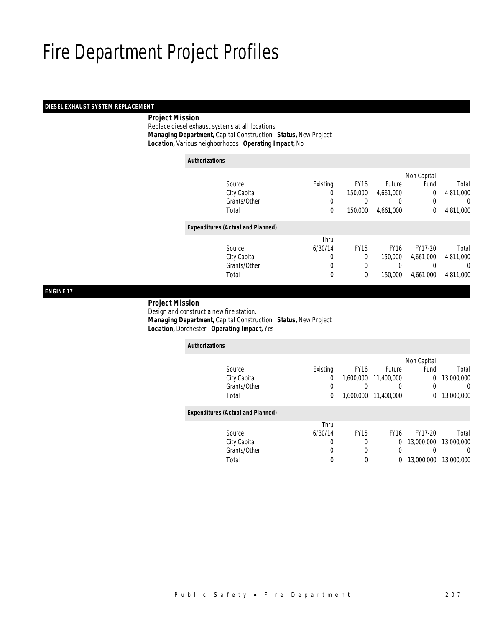## Fire Department Project Profiles

## *DIESEL EXHAUST SYSTEM REPLACEMENT*

### *Project Mission*

 Replace diesel exhaust systems at all locations. *Managing Department,* Capital Construction *Status,* New Project*Location,* Various neighborhoods *Operating Impact,* No

| <b>Authorizations</b> |                                          |             |             |             |             |                  |
|-----------------------|------------------------------------------|-------------|-------------|-------------|-------------|------------------|
|                       |                                          |             |             |             | Non Capital |                  |
|                       | Source                                   | Existing    | <b>FY16</b> | Future      | Fund        | Total            |
|                       | City Capital                             | 0           | 150,000     | 4,661,000   | $\Omega$    | 4,811,000        |
|                       | Grants/Other                             | 0           |             |             | 0           | 0                |
|                       | Total                                    | $\mathbf 0$ | 150,000     | 4,661,000   | 0           | 4,811,000        |
|                       | <b>Expenditures (Actual and Planned)</b> |             |             |             |             |                  |
|                       |                                          | Thru        |             |             |             |                  |
|                       | Source                                   | 6/30/14     | <b>FY15</b> | <b>FY16</b> | FY17-20     | Total            |
|                       | City Capital                             | 0           | $\Omega$    | 150,000     | 4,661,000   | 4,811,000        |
|                       | Grants/Other                             | 0           | 0           |             |             | $\left( \right)$ |
|                       | Total                                    | 0           | $\mathbf 0$ | 150,000     | 4,661,000   | 4,811,000        |

*ENGINE 17* 

## *Project Mission*

 Design and construct a new fire station. *Managing Department,* Capital Construction *Status,* New Project*Location,* Dorchester *Operating Impact,* Yes

| <b>Authorizations</b> |                                          |          |             |             |                |            |
|-----------------------|------------------------------------------|----------|-------------|-------------|----------------|------------|
|                       |                                          |          |             |             | Non Capital    |            |
|                       | Source                                   | Existing | <b>FY16</b> | Future      | Fund           | Total      |
|                       | City Capital                             | 0        | 1.600.000   | 11,400,000  | $\overline{0}$ | 13,000,000 |
|                       | Grants/Other                             | 0        |             |             |                | 0          |
|                       | Total                                    | 0        | 1.600.000   | 11,400,000  | 0              | 13,000,000 |
|                       | <b>Expenditures (Actual and Planned)</b> |          |             |             |                |            |
|                       |                                          | Thru     |             |             |                |            |
|                       | Source                                   | 6/30/14  | <b>FY15</b> | <b>FY16</b> | FY17-20        | Total      |
|                       | City Capital                             | 0        | 0           | 0           | 13,000,000     | 13,000,000 |
|                       | Grants/Other                             | 0        | 0           | 0           |                | 0          |
|                       | Total                                    | 0        | 0           | 0           | 13,000,000     | 13,000,000 |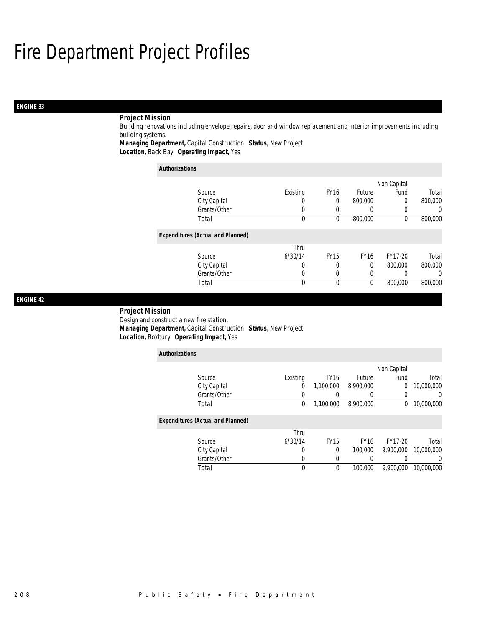## Fire Department Project Profiles

## *ENGINE 33*

## *Project Mission*

Building renovations including envelope repairs, door and window replacement and interior improvements including building systems.

*Managing Department,* Capital Construction *Status,* New Project

*Location,* Back Bay *Operating Impact,* Yes

| <b>Authorizations</b>                    |          |             |             |             |         |
|------------------------------------------|----------|-------------|-------------|-------------|---------|
|                                          |          |             |             | Non Capital |         |
| Source                                   | Existing | <b>FY16</b> | Future      | Fund        | Total   |
| City Capital                             | O        | 0           | 800,000     | 0           | 800,000 |
| Grants/Other                             | 0        |             | 0           | 0           |         |
| Total                                    | 0        | $\theta$    | 800,000     | 0           | 800,000 |
| <b>Expenditures (Actual and Planned)</b> |          |             |             |             |         |
|                                          | Thru     |             |             |             |         |
| Source                                   | 6/30/14  | <b>FY15</b> | <b>FY16</b> | FY17-20     | Total   |
| City Capital                             | 0        |             | 0           | 800,000     | 800,000 |
| Grants/Other                             | 0        | $\Omega$    | 0           | 0           |         |
| Total                                    | 0        | $\Omega$    | 0           | 800,000     | 800,000 |

### *ENGINE 42*

### *Project Mission*

*Authorizations*

Design and construct a new fire station. *Managing Department,* Capital Construction *Status,* New Project*Location,* Roxbury *Operating Impact,* Yes

| <b>Authorizations</b> |                                          |          |             |             |             |            |
|-----------------------|------------------------------------------|----------|-------------|-------------|-------------|------------|
|                       |                                          |          |             |             | Non Capital |            |
|                       | Source                                   | Existing | <b>FY16</b> | Future      | Fund        | Total      |
|                       | City Capital                             | 0        | 1.100.000   | 8,900,000   | 0           | 10,000,000 |
|                       | Grants/Other                             | 0        |             | 0           |             | U          |
|                       | Total                                    | 0        | 1,100,000   | 8,900,000   | 0           | 10,000,000 |
|                       | <b>Expenditures (Actual and Planned)</b> |          |             |             |             |            |
|                       |                                          | Thru     |             |             |             |            |
|                       | Source                                   | 6/30/14  | <b>FY15</b> | <b>FY16</b> | FY17-20     | Total      |
|                       | City Capital                             | 0        | 0           | 100,000     | 9.900.000   | 10,000,000 |
|                       | Grants/Other                             | 0        | 0           |             |             | 0          |
|                       | Total                                    | 0        | 0           | 100,000     | 9,900,000   | 10,000,000 |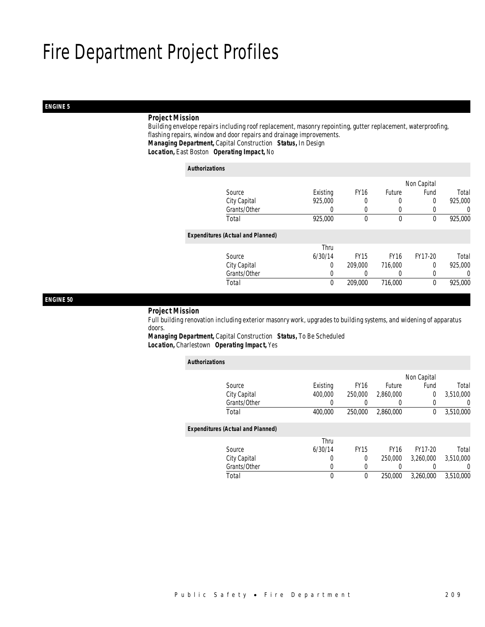# *ENGINE 5*

# *Project Mission*

 Building envelope repairs including roof replacement, masonry repointing, gutter replacement, waterproofing, flashing repairs, window and door repairs and drainage improvements. *Managing Department,* Capital Construction *Status,* In Design*Location,* East Boston *Operating Impact,* No

### *Authorizations*

|                                          |                  |             |               | Non Capital |         |
|------------------------------------------|------------------|-------------|---------------|-------------|---------|
| Source                                   | Existing         | <b>FY16</b> | <b>Future</b> | Fund        | Total   |
| City Capital                             | 925,000          | 0           | 0             | 0           | 925,000 |
| Grants/Other                             | $\left( \right)$ | 0           | $\left($      |             | 0       |
| Total                                    | 925,000          | $\theta$    | $\theta$      | 0           | 925,000 |
| <b>Expenditures (Actual and Planned)</b> |                  |             |               |             |         |
|                                          | Thru             |             |               |             |         |
| Source                                   | 6/30/14          | <b>FY15</b> | <b>FY16</b>   | FY17-20     | Total   |
| City Capital                             | 0                | 209,000     | 716,000       | $\Omega$    | 925,000 |
| Grants/Other                             | 0                |             | $\left($      |             | 0       |
| Total                                    | $\mathbf 0$      | 209,000     | 716,000       | $\theta$    | 925,000 |
|                                          |                  |             |               |             |         |

## *ENGINE 50*

# *Project Mission*

 Full building renovation including exterior masonry work, upgrades to building systems, and widening of apparatus doors.

*Managing Department,* Capital Construction *Status,* To Be Scheduled*Location,* Charlestown *Operating Impact,* Yes

| <b>Authorizations</b>                    |          |             |                  |             |           |
|------------------------------------------|----------|-------------|------------------|-------------|-----------|
|                                          |          |             |                  | Non Capital |           |
| Source                                   | Existing | <b>FY16</b> | <b>Future</b>    | Fund        | Total     |
| City Capital                             | 400,000  | 250,000     | 2.860,000        | 0           | 3.510.000 |
| Grants/Other                             | 0        |             | $\left( \right)$ | 0           | $\left($  |
| Total                                    | 400,000  | 250,000     | 2,860,000        | 0           | 3,510,000 |
| <b>Expenditures (Actual and Planned)</b> |          |             |                  |             |           |
|                                          | Thru     |             |                  |             |           |
| Source                                   | 6/30/14  | <b>FY15</b> | <b>FY16</b>      | FY17-20     | Total     |
| City Capital                             | 0        | $\Omega$    | 250,000          | 3.260.000   | 3,510,000 |
| Grants/Other                             | 0        | 0           | 0                | 0           | $\Omega$  |
| Total                                    | 0        | 0           | 250,000          | 3.260.000   | 3.510.000 |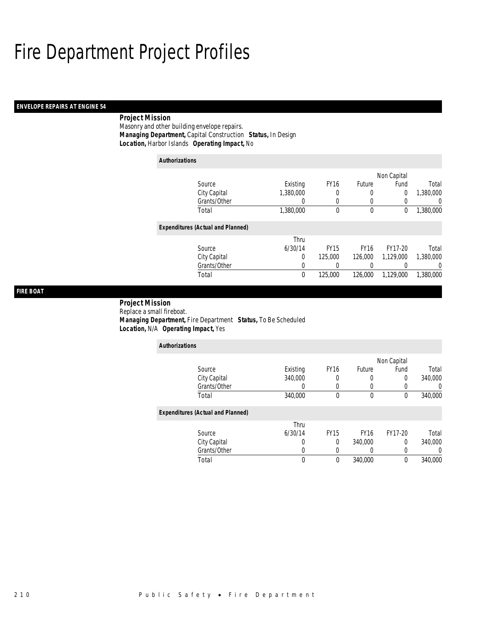# *ENVELOPE REPAIRS AT ENGINE 54*

# *Project Mission*

Masonry and other building envelope repairs. *Managing Department,* Capital Construction *Status,* In Design*Location,* Harbor Islands *Operating Impact,* No

| <b>Authorizations</b> |                                          |           |             |             |             |           |
|-----------------------|------------------------------------------|-----------|-------------|-------------|-------------|-----------|
|                       |                                          |           |             |             | Non Capital |           |
|                       | Source                                   | Existing  | <b>FY16</b> | Future      | Fund        | Total     |
|                       | City Capital                             | 1,380,000 | 0           | 0           | 0           | 1,380,000 |
|                       | Grants/Other                             | 0         | 0           | 0           |             | 0         |
|                       | Total                                    | 1,380,000 | 0           | 0           | 0           | 1,380,000 |
|                       | <b>Expenditures (Actual and Planned)</b> |           |             |             |             |           |
|                       |                                          | Thru      |             |             |             |           |
|                       | Source                                   | 6/30/14   | <b>FY15</b> | <b>FY16</b> | FY17-20     | Total     |
|                       | City Capital                             | 0         | 125,000     | 126,000     | 1.129.000   | 1.380.000 |
|                       | Grants/Other                             | 0         | 0           | 0           |             | 0         |
|                       | Total                                    | 0         | 125,000     | 126,000     | 1,129,000   | 1,380,000 |

# *FIRE BOAT*

## *Project Mission* Replace a small fireboat. *Managing Department,* Fire Department *Status,* To Be Scheduled*Location,* N/A *Operating Impact,* Yes

| <b>Authorizations</b>                    |          |             |             |             |         |
|------------------------------------------|----------|-------------|-------------|-------------|---------|
|                                          |          |             |             | Non Capital |         |
| Source                                   | Existing | <b>FY16</b> | Future      | Fund        | Total   |
| City Capital                             | 340,000  |             | 0           | 0           | 340,000 |
| Grants/Other                             | 0        |             | 0           | 0           |         |
| Total                                    | 340,000  | $\theta$    | 0           | 0           | 340,000 |
| <b>Expenditures (Actual and Planned)</b> |          |             |             |             |         |
|                                          | Thru     |             |             |             |         |
| Source                                   | 6/30/14  | <b>FY15</b> | <b>FY16</b> | FY17-20     | Total   |
| City Capital                             | U        | 0           | 340,000     | $\Omega$    | 340,000 |
| Grants/Other                             | 0        | $\Omega$    | 0           | 0           |         |
| Total                                    | 0        | $\Omega$    | 340,000     | 0           | 340,000 |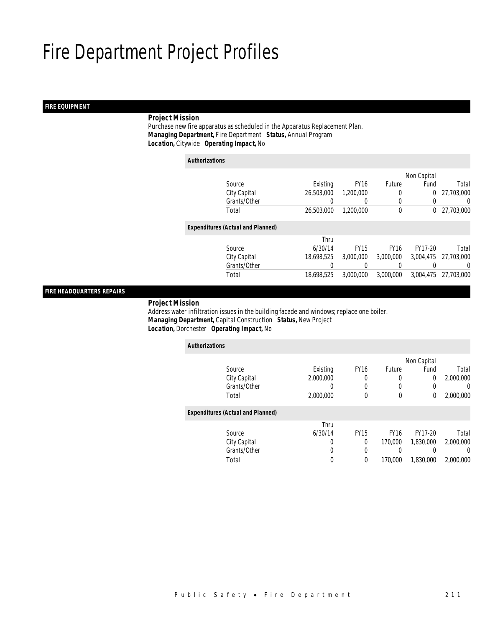# *FIRE EQUIPMENT*

# *Project Mission*

 Purchase new fire apparatus as scheduled in the Apparatus Replacement Plan. *Managing Department,* Fire Department *Status,* Annual Program*Location,* Citywide *Operating Impact,* No

| <b>Authorizations</b> |                                          |            |             |             |                |            |
|-----------------------|------------------------------------------|------------|-------------|-------------|----------------|------------|
|                       |                                          |            |             |             | Non Capital    |            |
|                       | Source                                   | Existing   | <b>FY16</b> | Future      | Fund           | Total      |
|                       | City Capital                             | 26,503,000 | 1,200,000   | 0           | $\overline{0}$ | 27,703,000 |
|                       | Grants/Other                             | $\left($   | $\left($    | 0           | 0              | 0          |
|                       | Total                                    | 26,503,000 | 1,200,000   | $\mathbf 0$ | $\mathbf{0}$   | 27,703,000 |
|                       | <b>Expenditures (Actual and Planned)</b> |            |             |             |                |            |
|                       |                                          | Thru       |             |             |                |            |
|                       | Source                                   | 6/30/14    | <b>FY15</b> | <b>FY16</b> | FY17-20        | Total      |
|                       | City Capital                             | 18,698,525 | 3,000,000   | 3,000,000   | 3,004,475      | 27,703,000 |
|                       | Grants/Other                             | $\left($   | 0           | $\left($    | 0              | 0          |
|                       | Total                                    | 18.698.525 | 3.000.000   | 3.000.000   | 3,004,475      | 27,703,000 |

# *FIRE HEADQUARTERS REPAIRS*

## *Project Mission*

 Address water infiltration issues in the building facade and windows; replace one boiler. *Managing Department,* Capital Construction *Status,* New Project*Location,* Dorchester *Operating Impact,* No

| <b>Authorizations</b>                    |             |             |               |             |           |
|------------------------------------------|-------------|-------------|---------------|-------------|-----------|
|                                          |             |             |               | Non Capital |           |
| Source                                   | Existing    | <b>FY16</b> | <b>Future</b> | Fund        | Total     |
| City Capital                             | 2.000.000   | 0           | 0             | 0           | 2,000,000 |
| Grants/Other                             | 0           | 0           | 0             | 0           | 0         |
| Total                                    | 2,000,000   | $\theta$    | $\mathbf 0$   | 0           | 2,000,000 |
| <b>Expenditures (Actual and Planned)</b> |             |             |               |             |           |
|                                          | Thru        |             |               |             |           |
| Source                                   | 6/30/14     | <b>FY15</b> | <b>FY16</b>   | FY17-20     | Total     |
| City Capital                             | 0           | 0           | 170,000       | 1.830.000   | 2.000.000 |
| Grants/Other                             | 0           | 0           | 0             |             | 0         |
| Total                                    | $\mathbf 0$ | $\theta$    | 170,000       | 1,830,000   | 2.000.000 |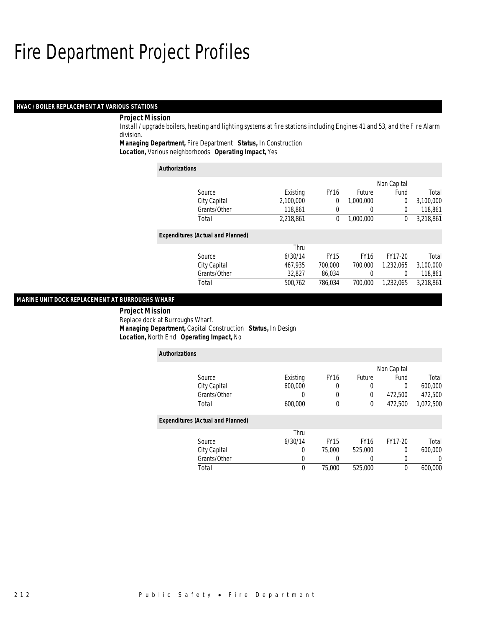# *HVAC / BOILER REPLACEMENT AT VARIOUS STATIONS*

# *Project Mission*

Install / upgrade boilers, heating and lighting systems at fire stations including Engines 41 and 53, and the Fire Alarm division.

*Managing Department,* Fire Department *Status,* In Construction

*Location,* Various neighborhoods *Operating Impact,* Yes

| <b>Authorizations</b>                    |           |             |               |                |           |
|------------------------------------------|-----------|-------------|---------------|----------------|-----------|
|                                          |           |             |               | Non Capital    |           |
| Source                                   | Existing  | <b>FY16</b> | <b>Future</b> | Fund           | Total     |
| City Capital                             | 2,100,000 | 0           | 1.000.000     | $\overline{0}$ | 3,100,000 |
| Grants/Other                             | 118.861   | 0           | 0             | $\Omega$       | 118,861   |
| Total                                    | 2,218,861 | 0           | 1,000,000     | $\theta$       | 3,218,861 |
| <b>Expenditures (Actual and Planned)</b> |           |             |               |                |           |
|                                          | Thru      |             |               |                |           |
| Source                                   | 6/30/14   | <b>FY15</b> | <b>FY16</b>   | FY17-20        | Total     |
| City Capital                             | 467.935   | 700,000     | 700.000       | 1.232.065      | 3,100,000 |
| Grants/Other                             | 32,827    | 86,034      | 0             | $\Omega$       | 118,861   |
| Total                                    | 500.762   | 786.034     | 700,000       | 1.232.065      | 3.218.861 |

# *MARINE UNIT DOCK REPLACEMENT AT BURROUGHS WHARF*

 *Project Mission* Replace dock at Burroughs Wharf. *Managing Department,* Capital Construction *Status,* In Design*Location,* North End *Operating Impact,* No

| <b>Authorizations</b>                    |          |             |             |             |           |
|------------------------------------------|----------|-------------|-------------|-------------|-----------|
|                                          |          |             |             | Non Capital |           |
| Source                                   | Existing | <b>FY16</b> | Future      | Fund        | Total     |
| City Capital                             | 600,000  |             | $\Omega$    | 0           | 600,000   |
| Grants/Other                             | 0        | 0           | 0           | 472,500     | 472,500   |
| Total                                    | 600.000  | $\theta$    | $\theta$    | 472.500     | 1,072,500 |
| <b>Expenditures (Actual and Planned)</b> |          |             |             |             |           |
|                                          | Thru     |             |             |             |           |
| Source                                   | 6/30/14  | <b>FY15</b> | <b>FY16</b> | FY17-20     | Total     |
| City Capital                             | 0        | 75,000      | 525,000     | 0           | 600,000   |
| Grants/Other                             | 0        |             |             | 0           | 0         |
| Total                                    | 0        | 75,000      | 525,000     | 0           | 600,000   |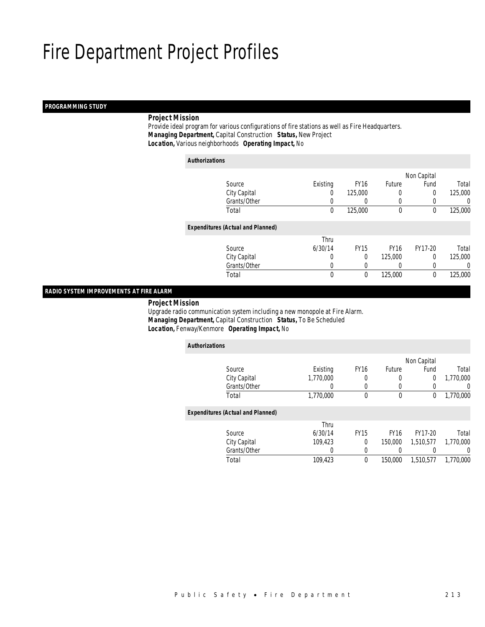## *PROGRAMMING STUDY*

# *Project Mission*

 Provide ideal program for various configurations of fire stations as well as Fire Headquarters. *Managing Department,* Capital Construction *Status,* New Project*Location,* Various neighborhoods *Operating Impact,* No

| <b>Authorizations</b>                    |          |             |             |             |         |
|------------------------------------------|----------|-------------|-------------|-------------|---------|
|                                          |          |             |             | Non Capital |         |
| Source                                   | Existing | <b>FY16</b> | Future      | Fund        | Total   |
| City Capital                             | 0        | 125,000     | 0           | 0           | 125,000 |
| Grants/Other                             | 0        | 0           | 0           | $\Omega$    | 0       |
| Total                                    | 0        | 125,000     | $\theta$    | $\theta$    | 125,000 |
| <b>Expenditures (Actual and Planned)</b> |          |             |             |             |         |
|                                          | Thru     |             |             |             |         |
| Source                                   | 6/30/14  | <b>FY15</b> | <b>FY16</b> | FY17-20     | Total   |
| City Capital                             | 0        | $\Omega$    | 125,000     | 0           | 125,000 |
| Grants/Other                             | 0        | 0           |             | 0           | 0       |
| Total                                    | 0        | $\mathbf 0$ | 125,000     | 0           | 125,000 |

# *RADIO SYSTEM IMPROVEMENTS AT FIRE ALARM*

*Project Mission*

 Upgrade radio communication system including a new monopole at Fire Alarm. *Managing Department,* Capital Construction *Status,* To Be Scheduled*Location,* Fenway/Kenmore *Operating Impact,* No

| <b>Authorizations</b>                    |           |             |             |             |           |
|------------------------------------------|-----------|-------------|-------------|-------------|-----------|
|                                          |           |             |             | Non Capital |           |
| Source                                   | Existing  | <b>FY16</b> | Future      | Fund        | Total     |
| City Capital                             | 1,770,000 | 0           | 0           | 0           | 1,770,000 |
| Grants/Other                             | 0         | 0           | 0           |             | $\left($  |
| Total                                    | 1,770,000 | 0           | $\mathbf 0$ | 0           | 1,770,000 |
| <b>Expenditures (Actual and Planned)</b> |           |             |             |             |           |
|                                          | Thru      |             |             |             |           |
| Source                                   | 6/30/14   | <b>FY15</b> | <b>FY16</b> | FY17-20     | Total     |
| City Capital                             | 109.423   | $\theta$    | 150,000     | 1.510.577   | 1.770.000 |
| Grants/Other                             | 0         | 0           |             |             | $\left($  |
| Total                                    | 109,423   | $\theta$    | 150,000     | 1,510,577   | 1,770,000 |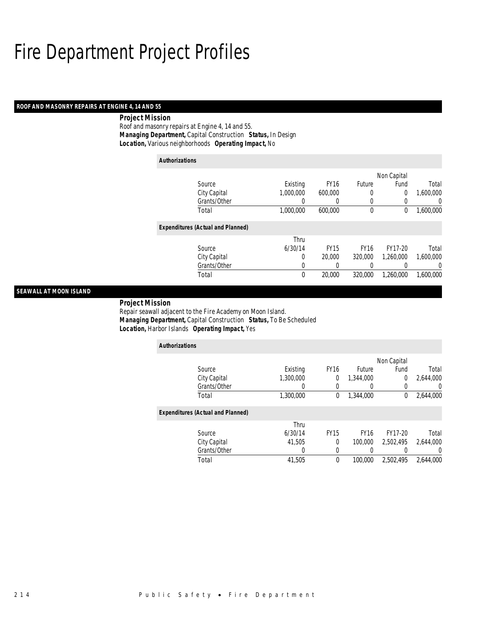## *ROOF AND MASONRY REPAIRS AT ENGINE 4, 14 AND 55*

## *Project Mission*

Roof and masonry repairs at Engine 4, 14 and 55. *Managing Department,* Capital Construction *Status,* In Design*Location,* Various neighborhoods *Operating Impact,* No

| <b>Authorizations</b>                    |           |             |             |             |           |
|------------------------------------------|-----------|-------------|-------------|-------------|-----------|
|                                          |           |             |             | Non Capital |           |
| Source                                   | Existing  | <b>FY16</b> | Future      | Fund        | Total     |
| City Capital                             | 1.000.000 | 600.000     | 0           | 0           | 1,600,000 |
| Grants/Other                             |           | 0           | 0           |             | 0         |
| Total                                    | 1,000,000 | 600,000     | 0           | 0           | 1,600,000 |
| <b>Expenditures (Actual and Planned)</b> |           |             |             |             |           |
|                                          | Thru      |             |             |             |           |
| Source                                   | 6/30/14   | <b>FY15</b> | <b>FY16</b> | FY17-20     | Total     |
| City Capital                             | 0         | 20,000      | 320,000     | 1.260.000   | 1.600.000 |
| Grants/Other                             | 0         | 0           | 0           |             | 0         |
| Total                                    | 0         | 20,000      | 320,000     | 1.260.000   | 1,600,000 |

# *SEAWALL AT MOON ISLAND*

 *Project Mission* Repair seawall adjacent to the Fire Academy on Moon Island. *Managing Department,* Capital Construction *Status,* To Be Scheduled*Location,* Harbor Islands *Operating Impact,* Yes

| <b>Authorizations</b>                    |           |             |             |              |                  |
|------------------------------------------|-----------|-------------|-------------|--------------|------------------|
|                                          |           |             |             | Non Capital  |                  |
| Source                                   | Existing  | <b>FY16</b> | Future      | Fund         | Total            |
| City Capital                             | 1,300,000 | 0           | 1,344,000   | 0            | 2,644,000        |
| Grants/Other                             | 0         | 0           | 0           | 0            | U                |
| Total                                    | 1,300,000 | $\theta$    | 1.344.000   | $\mathbf{0}$ | 2,644,000        |
| <b>Expenditures (Actual and Planned)</b> |           |             |             |              |                  |
|                                          | Thru      |             |             |              |                  |
| Source                                   | 6/30/14   | <b>FY15</b> | <b>FY16</b> | FY17-20      | Total            |
| City Capital                             | 41.505    | 0           | 100,000     | 2.502.495    | 2.644.000        |
| Grants/Other                             | 0         | $\Omega$    |             | $\left($     | $\left( \right)$ |
| Total                                    | 41,505    | $\theta$    | 100,000     | 2.502.495    | 2.644.000        |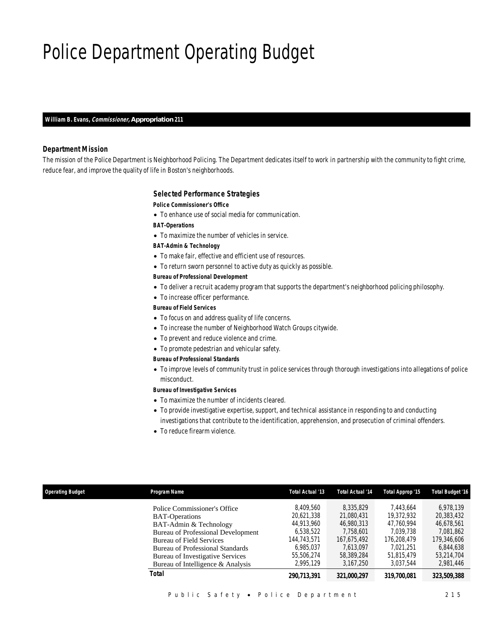# Police Department Operating Budget

*William B. Evans, Commissioner, Appropriation 211* 

## *Department Mission*

The mission of the Police Department is Neighborhood Policing. The Department dedicates itself to work in partnership with the community to fight crime, reduce fear, and improve the quality of life in Boston's neighborhoods.

### *Selected Performance Strategies*

#### *Police Commissioner's Office*

• To enhance use of social media for communication.

*BAT-Operations* 

• To maximize the number of vehicles in service.

### *BAT-Admin & Technology*

- To make fair, effective and efficient use of resources.
- To return sworn personnel to active duty as quickly as possible.

## *Bureau of Professional Development*

- To deliver a recruit academy program that supports the department's neighborhood policing philosophy.
- To increase officer performance.

## *Bureau of Field Services*

- To focus on and address quality of life concerns.
- To increase the number of Neighborhood Watch Groups citywide.
- To prevent and reduce violence and crime.
- To promote pedestrian and vehicular safety.

### *Bureau of Professional Standards*

• To improve levels of community trust in police services through thorough investigations into allegations of police misconduct.

## *Bureau of Investigative Services*

- To maximize the number of incidents cleared.
- To provide investigative expertise, support, and technical assistance in responding to and conducting investigations that contribute to the identification, apprehension, and prosecution of criminal offenders.
- To reduce firearm violence.

| Program Name<br><b>Operating Budget</b>                                                                                                                                                                                                                                             | Total Actual '13                                                                                          | <b>Total Actual '14</b>                                                                                   | Total Approp '15                                                                                          | <b>Total Budget '16</b>                                                                                   |
|-------------------------------------------------------------------------------------------------------------------------------------------------------------------------------------------------------------------------------------------------------------------------------------|-----------------------------------------------------------------------------------------------------------|-----------------------------------------------------------------------------------------------------------|-----------------------------------------------------------------------------------------------------------|-----------------------------------------------------------------------------------------------------------|
| Police Commissioner's Office<br><b>BAT-Operations</b><br>BAT-Admin & Technology<br><b>Bureau of Professional Development</b><br><b>Bureau of Field Services</b><br><b>Bureau of Professional Standards</b><br>Bureau of Investigative Services<br>Bureau of Intelligence & Analysis | 8.409.560<br>20.621.338<br>44.913.960<br>6,538,522<br>144.743.571<br>6.985.037<br>55,506,274<br>2.995.129 | 8.335.829<br>21,080,431<br>46,980,313<br>7.758.601<br>167.675.492<br>7.613.097<br>58.389.284<br>3.167.250 | 7.443.664<br>19,372,932<br>47.760.994<br>7.039.738<br>176,208,479<br>7.021.251<br>51.815.479<br>3.037.544 | 6.978.139<br>20,383,432<br>46.678.561<br>7.081.862<br>179,346,606<br>6,844,638<br>53.214.704<br>2.981.446 |
| Total                                                                                                                                                                                                                                                                               | 290.713.391                                                                                               | 321,000,297                                                                                               | 319,700,081                                                                                               | 323,509,388                                                                                               |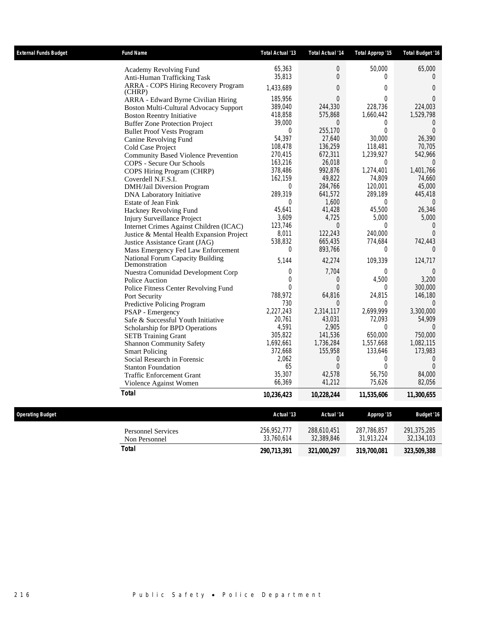| <b>External Funds Budget</b> | <b>Fund Name</b>                                         | Total Actual '13 | Total Actual '14 | Total Approp '15 | Total Budget '16  |
|------------------------------|----------------------------------------------------------|------------------|------------------|------------------|-------------------|
|                              | Academy Revolving Fund                                   | 65,363           | $\overline{0}$   | 50,000           | 65,000            |
|                              | Anti-Human Trafficking Task                              | 35,813           | $\Omega$         | $\theta$         | $\Omega$          |
|                              | <b>ARRA - COPS Hiring Recovery Program</b><br>(CHRP)     | 1,433,689        | $\Omega$         | $\overline{0}$   | $\overline{0}$    |
|                              | ARRA - Edward Byrne Civilian Hiring                      | 185,956          | $\overline{0}$   | $\boldsymbol{0}$ | $\Omega$          |
|                              | Boston Multi-Cultural Advocacy Support                   | 389,040          | 244,330          | 228.736          | 224.003           |
|                              | <b>Boston Reentry Initiative</b>                         | 418,858          | 575,868          | 1,660,442        | 1,529,798         |
|                              | <b>Buffer Zone Protection Project</b>                    | 39,000           | $\Omega$         | 0                | $\theta$          |
|                              | <b>Bullet Proof Vests Program</b>                        | $\Omega$         | 255,170          | $\Omega$         | $\Omega$          |
|                              | Canine Revolving Fund                                    | 54,397           | 27,640           | 30,000           | 26,390            |
|                              | Cold Case Project                                        | 108,478          | 136,259          | 118,481          | 70,705            |
|                              | <b>Community Based Violence Prevention</b>               | 270.415          | 672,311          | 1,239,927        | 542,966           |
|                              | COPS - Secure Our Schools                                | 163,216          | 26,018           | 0                | $\theta$          |
|                              | COPS Hiring Program (CHRP)                               | 378,486          | 992,876          | 1,274,401        | 1,401,766         |
|                              | Coverdell N.F.S.I.                                       | 162.159          | 49.822           | 74.809           | 74.660            |
|                              | DMH/Jail Diversion Program                               | 0                | 284,766          | 120,001          | 45,000            |
|                              | DNA Laboratory Initiative                                | 289,319          | 641,572          | 289,189          | 445,418           |
|                              | <b>Estate of Jean Fink</b>                               | $\Omega$         | 1.600            | $\theta$         | $\Omega$          |
|                              | Hackney Revolving Fund                                   | 45,641           | 41,428           | 45,500           | 26,346            |
|                              | Injury Surveillance Project                              | 3,609            | 4,725            | 5,000            | 5,000             |
|                              | Internet Crimes Against Children (ICAC)                  | 123.746          | $\Omega$         | $\theta$         | $\Omega$          |
|                              | Justice & Mental Health Expansion Project                | 8,011            | 122,243          | 240,000          | $\overline{0}$    |
|                              | Justice Assistance Grant (JAG)                           | 538,832          | 665,435          | 774,684          | 742,443           |
|                              | Mass Emergency Fed Law Enforcement                       | $\Omega$         | 893,766          | $\theta$         | $\Omega$          |
|                              | <b>National Forum Capacity Building</b><br>Demonstration | 5,144            | 42,274           | 109,339          | 124,717           |
|                              | Nuestra Comunidad Development Corp                       | $\overline{0}$   | 7,704            | $\overline{0}$   | $\theta$          |
|                              | Police Auction                                           | $\Omega$         | $\overline{0}$   | 4,500            | 3,200             |
|                              | Police Fitness Center Revolving Fund                     | $\Omega$         | $\Omega$         | $\theta$         | 300,000           |
|                              | Port Security                                            | 788,972          | 64,816           | 24,815           | 146,180           |
|                              | Predictive Policing Program                              | 730              | $\Omega$         | $\theta$         | $\Omega$          |
|                              | <b>PSAP</b> - Emergency                                  | 2,227,243        | 2,314,117        | 2,699,999        | 3,300,000         |
|                              | Safe & Successful Youth Initiative                       | 20,761           | 43,031           | 72,093           | 54,909            |
|                              | Scholarship for BPD Operations                           | 4,591            | 2,905            | $\theta$         | $\Omega$          |
|                              | <b>SETB</b> Training Grant                               | 305,822          | 141,536          | 650,000          | 750,000           |
|                              | <b>Shannon Community Safety</b>                          | 1,692,661        | 1,736,284        | 1,557,668        | 1,082,115         |
|                              | <b>Smart Policing</b>                                    | 372,668          | 155,958          | 133,646          | 173,983           |
|                              | Social Research in Forensic                              | 2,062            | 0                | 0                | $\overline{0}$    |
|                              | <b>Stanton Foundation</b>                                | 65               | $\overline{0}$   | 0                | $\Omega$          |
|                              | <b>Traffic Enforcement Grant</b>                         | 35,307           | 42,578           | 56,750           | 84,000            |
|                              | Violence Against Women                                   | 66,369           | 41,212           | 75,626           | 82,056            |
|                              | <b>Total</b>                                             | 10,236,423       | 10,228,244       | 11,535,606       | 11,300,655        |
| <b>Operating Budget</b>      |                                                          | Actual '13       | Actual '14       | Approp '15       | <b>Budget '16</b> |
|                              |                                                          |                  |                  |                  |                   |
|                              | <b>Personnel Services</b>                                | 256,952,777      | 288,610,451      | 287,786,857      | 291,375,285       |
|                              | Non Personnel                                            | 33,760,614       | 32,389,846       | 31,913,224       | 32,134,103        |
|                              | <b>Total</b>                                             | 290,713,391      | 321,000,297      | 319,700,081      | 323,509,388       |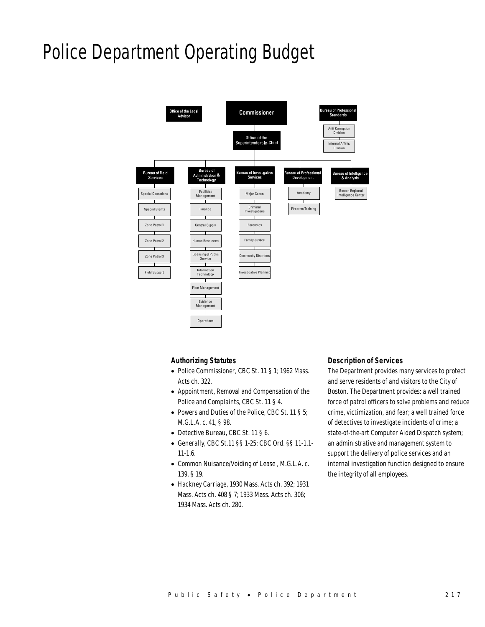# Police Department Operating Budget



# *Authorizing Statutes*

- Police Commissioner, CBC St. 11 § 1; 1962 Mass. Acts ch. 322.
- Appointment, Removal and Compensation of the Police and Complaints, CBC St. 11 § 4.
- Powers and Duties of the Police, CBC St. 11 § 5; M.G.L.A. c. 41, § 98.
- Detective Bureau, CBC St. 11 § 6.
- Generally, CBC St.11 §§ 1-25; CBC Ord. §§ 11-1.1- 11-1.6.
- Common Nuisance/Voiding of Lease , M.G.L.A. c. 139, § 19.
- Hackney Carriage, 1930 Mass. Acts ch. 392; 1931 Mass. Acts ch. 408 § 7; 1933 Mass. Acts ch. 306; 1934 Mass. Acts ch. 280.

## *Description of Services*

The Department provides many services to protect and serve residents of and visitors to the City of Boston. The Department provides: a well trained force of patrol officers to solve problems and reduce crime, victimization, and fear; a well trained force of detectives to investigate incidents of crime; a state-of-the-art Computer Aided Dispatch system; an administrative and management system to support the delivery of police services and an internal investigation function designed to ensure the integrity of all employees.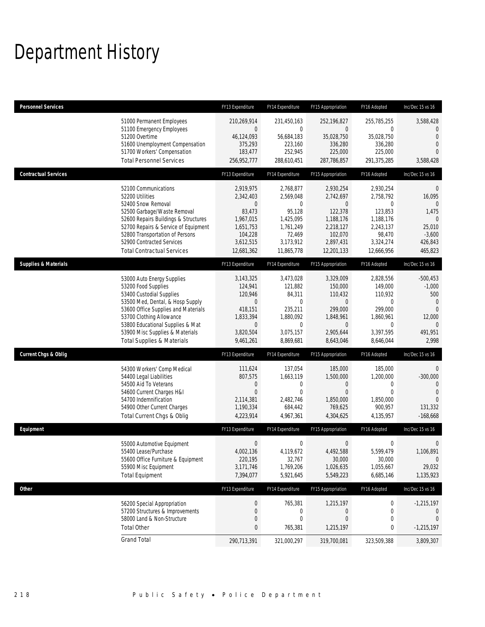# Department History

| <b>Personnel Services</b>                                                 |                                                                                                                                                                                                                                                                               | FY13 Expenditure                                                                                                | FY14 Expenditure                                                                                                | FY15 Appropriation                                                                                                 | FY16 Adopted                                                                                                     | Inc/Dec 15 vs 16                                                                                                  |
|---------------------------------------------------------------------------|-------------------------------------------------------------------------------------------------------------------------------------------------------------------------------------------------------------------------------------------------------------------------------|-----------------------------------------------------------------------------------------------------------------|-----------------------------------------------------------------------------------------------------------------|--------------------------------------------------------------------------------------------------------------------|------------------------------------------------------------------------------------------------------------------|-------------------------------------------------------------------------------------------------------------------|
| 51200 Overtime                                                            | 51000 Permanent Employees<br>51100 Emergency Employees<br>51600 Unemployment Compensation<br>51700 Workers' Compensation<br><b>Total Personnel Services</b>                                                                                                                   | 210,269,914<br>0<br>46,124,093<br>375,293<br>183,477<br>256,952,777                                             | 231,450,163<br>$\mathbf 0$<br>56,684,183<br>223,160<br>252,945<br>288,610,451                                   | 252,196,827<br>0<br>35,028,750<br>336,280<br>225,000<br>287,786,857                                                | 255,785,255<br>$\mathbf 0$<br>35,028,750<br>336.280<br>225,000<br>291,375,285                                    | 3,588,428<br>$\mathbf{0}$<br>$\overline{0}$<br>$\mathbf 0$<br>$\Omega$<br>3,588,428                               |
| <b>Contractual Services</b>                                               |                                                                                                                                                                                                                                                                               | FY13 Expenditure                                                                                                | FY14 Expenditure                                                                                                | FY15 Appropriation                                                                                                 | FY16 Adopted                                                                                                     | Inc/Dec 15 vs 16                                                                                                  |
| 52200 Utilities<br>52400 Snow Removal                                     | 52100 Communications<br>52500 Garbage/Waste Removal<br>52600 Repairs Buildings & Structures<br>52700 Repairs & Service of Equipment<br>52800 Transportation of Persons<br>52900 Contracted Services<br><b>Total Contractual Services</b>                                      | 2,919,975<br>2,342,403<br>0<br>83,473<br>1,967,015<br>1,651,753<br>104,228<br>3,612,515<br>12,681,362           | 2,768,877<br>2,569,048<br>$\mathbf{0}$<br>95,128<br>1,425,095<br>1,761,249<br>72,469<br>3,173,912<br>11,865,778 | 2,930,254<br>2,742,697<br>$\mathbf{0}$<br>122,378<br>1,188,176<br>2,218,127<br>102,070<br>2,897,431<br>12,201,133  | 2,930,254<br>2,758,792<br>0<br>123,853<br>1,188,176<br>2,243,137<br>98,470<br>3,324,274<br>12,666,956            | $\mathbf 0$<br>16,095<br>$\mathbf{0}$<br>1,475<br>$\Omega$<br>25,010<br>$-3,600$<br>426,843<br>465,823            |
| <b>Supplies &amp; Materials</b>                                           |                                                                                                                                                                                                                                                                               | FY13 Expenditure                                                                                                | FY14 Expenditure                                                                                                | FY15 Appropriation                                                                                                 | FY16 Adopted                                                                                                     | Inc/Dec 15 vs 16                                                                                                  |
| 53200 Food Supplies                                                       | 53000 Auto Energy Supplies<br>53400 Custodial Supplies<br>53500 Med, Dental, & Hosp Supply<br>53600 Office Supplies and Materials<br>53700 Clothing Allowance<br>53800 Educational Supplies & Mat<br>53900 Misc Supplies & Materials<br><b>Total Supplies &amp; Materials</b> | 3,143,325<br>124,941<br>120,946<br>$\mathbf 0$<br>418.151<br>1,833,394<br>$\mathbf 0$<br>3,820,504<br>9,461,261 | 3,473,028<br>121,882<br>84,311<br>$\mathbf 0$<br>235,211<br>1,880,092<br>$\mathbf 0$<br>3,075,157<br>8,869,681  | 3,329,009<br>150,000<br>110,432<br>$\mathbf 0$<br>299,000<br>1,848,961<br>$\overline{0}$<br>2,905,644<br>8,643,046 | 2,828,556<br>149,000<br>110,932<br>$\mathbf 0$<br>299.000<br>1,860,961<br>$\mathbf{0}$<br>3,397,595<br>8,646,044 | $-500,453$<br>$-1,000$<br>500<br>$\overline{0}$<br>$\overline{0}$<br>12,000<br>$\overline{0}$<br>491,951<br>2,998 |
| <b>Current Chgs &amp; Oblig</b>                                           |                                                                                                                                                                                                                                                                               | FY13 Expenditure                                                                                                | FY14 Expenditure                                                                                                | FY15 Appropriation                                                                                                 | FY16 Adopted                                                                                                     | Inc/Dec 15 vs 16                                                                                                  |
| 54400 Legal Liabilities<br>54500 Aid To Veterans<br>54700 Indemnification | 54300 Workers' Comp Medical<br>54600 Current Charges H&I<br>54900 Other Current Charges<br>Total Current Chgs & Oblig                                                                                                                                                         | 111,624<br>807,575<br>$\mathbf 0$<br>$\overline{0}$<br>2,114,381<br>1,190,334<br>4,223,914                      | 137,054<br>1,663,119<br>$\mathbf 0$<br>$\mathbf{0}$<br>2,482,746<br>684,442<br>4,967,361                        | 185,000<br>1,500,000<br>0<br>$\mathbf{0}$<br>1,850,000<br>769,625<br>4,304,625                                     | 185,000<br>1,200,000<br>0<br>$\Omega$<br>1,850,000<br>900,957<br>4,135,957                                       | $\mathbf{0}$<br>$-300,000$<br>$\mathbf{0}$<br>$\Omega$<br>131,332<br>$-168,668$                                   |
| Equipment                                                                 |                                                                                                                                                                                                                                                                               | FY13 Expenditure                                                                                                | FY14 Expenditure                                                                                                | FY15 Appropriation                                                                                                 | FY16 Adopted                                                                                                     | Inc/Dec 15 vs 16                                                                                                  |
| 55400 Lease/Purchase<br>55900 Misc Equipment<br><b>Total Equipment</b>    | 55000 Automotive Equipment<br>55600 Office Furniture & Equipment                                                                                                                                                                                                              | $\boldsymbol{0}$<br>4.002.136<br>220,195<br>3,171,746<br>7,394,077                                              | $\boldsymbol{0}$<br>4,119,672<br>32,767<br>1,769,206<br>5,921,645                                               | $\mathbf 0$<br>4,492,588<br>30,000<br>1,026,635<br>5,549,223                                                       | 0<br>5,599,479<br>30,000<br>1,055,667<br>6,685,146                                                               | 0<br>1,106,891<br>$\mathbf 0$<br>29,032<br>1,135,923                                                              |
| Other                                                                     |                                                                                                                                                                                                                                                                               | FY13 Expenditure                                                                                                | FY14 Expenditure                                                                                                | FY15 Appropriation                                                                                                 | FY16 Adopted                                                                                                     | Inc/Dec 15 vs 16                                                                                                  |
| <b>Total Other</b>                                                        | 56200 Special Appropriation<br>57200 Structures & Improvements<br>58000 Land & Non-Structure                                                                                                                                                                                  | $\pmb{0}$<br>0<br>$\mathbf 0$<br>0                                                                              | 765,381<br>0<br>$\boldsymbol{0}$<br>765,381                                                                     | 1,215,197<br>0<br>$\boldsymbol{0}$<br>1,215,197                                                                    | 0<br>0<br>0<br>0                                                                                                 | $-1,215,197$<br>$\theta$<br>$\mathbf 0$<br>$-1,215,197$                                                           |
| <b>Grand Total</b>                                                        |                                                                                                                                                                                                                                                                               | 290,713,391                                                                                                     | 321,000,297                                                                                                     | 319,700,081                                                                                                        | 323,509,388                                                                                                      | 3,809,307                                                                                                         |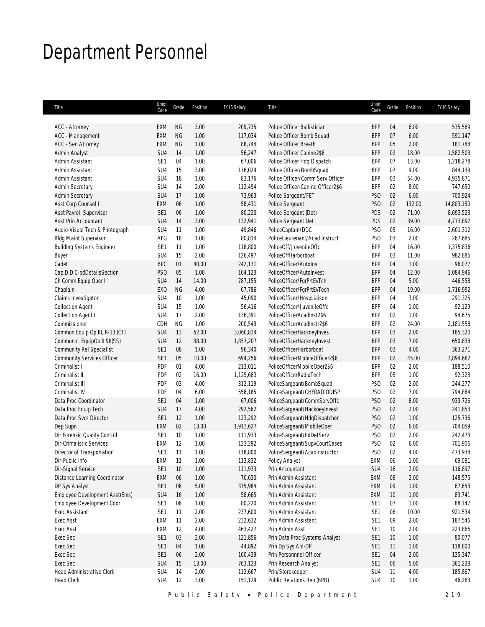# Department Personnel

| Title                             | Union<br>Code   | Grade     | Position     | FY16 Salary | Title                             | Union<br>Code                      | Grade    | Position | FY16 Salary           |
|-----------------------------------|-----------------|-----------|--------------|-------------|-----------------------------------|------------------------------------|----------|----------|-----------------------|
| <b>ACC</b> - Attorney             | EXM             | <b>NG</b> | 3.00         | 209,735     | Police Officer Ballistician       | <b>BPP</b>                         | 04       | 6.00     | 535,569               |
| ACC - Management                  | EXM             | <b>NG</b> | 1.00         | 117,034     | Police Officer Bomb Squad         | <b>BPP</b>                         | 07       | 6.00     | 591,147               |
| <b>ACC - Sen Attorney</b>         | <b>EXM</b>      | <b>NG</b> | 1.00         | 88,744      | Police Officer Breath             | <b>BPP</b>                         | 05       | 2.00     | 181,788               |
| Admin Analyst                     | SU4             | 14        | 1.00         | 56,247      | Police Officer Canine2\$6         | <b>BPP</b>                         | 02       | 18.00    | 1,582,503             |
| Admin Assistant                   | SE <sub>1</sub> | 04        | 1.00         | 67,006      | Police Officer Hdq Dispatch       | <b>BPP</b>                         | 07       | 13.00    | 1,218,278             |
| Admin Assistant                   | SU <sub>4</sub> | 15        | 3.00         | 176,029     | Police Officer/BombSquad          | <b>BPP</b>                         | 07       | 9.00     | 844,139               |
| Admin Assistant                   | SU <sub>4</sub> | 18        | 1.00         | 83,176      | Police Officer/Comm Serv Officer  | <b>BPP</b>                         | 03       | 54.00    | 4,935,871             |
| <b>Admin Secretary</b>            | SU <sub>4</sub> | 14        | 2.00         | 112,494     | Police Officer-Canine Officer2\$6 | <b>BPP</b>                         | 02       | 8.00     | 747,650               |
| <b>Admin Secretary</b>            |                 | 17        |              |             |                                   |                                    |          |          |                       |
|                                   | SU4             |           | 1.00<br>1.00 | 73,963      | Police Sargeant/FET               | PS <sub>0</sub><br>PS <sub>O</sub> | 02<br>02 | 6.00     | 700,924<br>14,803,150 |
| Asst Corp Counsel I               | <b>EXM</b>      | 06        |              | 58,431      | Police Sergeant                   |                                    |          | 132.00   |                       |
| Asst Payroll Supervisor           | SE1             | 06        | 1.00         | 80,220      | Police Sergeant (Det)             | PDS                                | 02       | 71.00    | 8,693,523             |
| Asst Prin Accountant              | SU <sub>4</sub> | 14        | 3.00         | 132,941     | Police Sergeant Det               | PDS                                | 02       | 39.00    | 4,773,892             |
| Audio-Visual Tech & Photograph    | SU <sub>4</sub> | 11        | 1.00         | 49,846      | PoliceCaptain/DDC                 | PS <sub>O</sub>                    | 05       | 16.00    | 2,601,312             |
| <b>Bldg Maint Supervisor</b>      | AFG             | 18        | 1.00         | 80,814      | PoliceLieutenant/Acad Instruct    | PS <sub>0</sub>                    | 03       | 2.00     | 267,685               |
| <b>Building Systems Engineer</b>  | SE <sub>1</sub> | 11        | 1.00         | 118,800     | PoliceOff/JuvenileOffc            | <b>BPP</b>                         | 04       | 16.00    | 1,375,836             |
| <b>Buyer</b>                      | SU <sub>4</sub> | 15        | 2.00         | 126,497     | PoliceOffHarborboat               | <b>BPP</b>                         | 03       | 11.00    | 982,885               |
| Cadet                             | <b>BPC</b>      | 01        | 40.00        | 242,131     | PoliceOfficer/AutoInv             | <b>BPP</b>                         | 04       | 1.00     | 96,077                |
| Cap.D.D.C-pdDetailsSection        | PS <sub>O</sub> | $05\,$    | 1.00         | 164,123     | PoliceOfficer/AutoInvest          | <b>BPP</b>                         | 04       | 12.00    | 1,084,946             |
| Ch Comm Equip Oper I              | SU4             | 14        | 14.00        | 787,155     | PoliceOfficer/FgrPrtEvTch         | <b>BPP</b>                         | 04       | 5.00     | 446,558               |
| Chaplain                          | EX <sub>O</sub> | NG        | 4.00         | 67,786      | PoliceOfficer/FgrPrtEvTech        | <b>BPP</b>                         | 04       | 19.00    | 1,716,992             |
| Claims Investigator               | SU4             | 10        | 1.00         | 45,090      | PoliceOfficer/HospLiaison         | <b>BPP</b>                         | 04       | 3.00     | 291,325               |
| <b>Collection Agent</b>           | SU4             | 15        | 1.00         | 56,416      | PoliceOfficer/JuvenileOffc        | <b>BPP</b>                         | 04       | 1.00     | 92,129                |
| Collection Agent I                | SU <sub>4</sub> | 17        | 2.00         | 136,391     | PoliceOfficerAcadInst2\$6         | <b>BPP</b>                         | 02       | 1.00     | 94,675                |
| Commissioner                      | CDH             | <b>NG</b> | 1.00         | 200,549     | PoliceOfficerAcadInstr2\$6        | <b>BPP</b>                         | 02       | 24.00    | 2,181,558             |
| Commun Equip Op III, R-13 (CT)    | SU <sub>4</sub> | 13        | 62.00        | 3,060,834   | PoliceOfficerHackneyInves         | <b>BPP</b>                         | 03       | 2.00     | 185,320               |
| Communic. EquipOp II 9II(SS)      | SU <sub>4</sub> | 12        | 38.00        | 1,857,207   | PoliceOfficerHackneyInvest        | <b>BPP</b>                         | 03       | 7.00     | 650,838               |
| Community Rel Specialist          | SE1             | $08\,$    | 1.00         | 96,340      | PoliceOfficerHarborboat           | <b>BPP</b>                         | 03       | 4.00     | 363,271               |
| <b>Community Services Officer</b> | SE1             | $05\,$    | 10.00        | 694,256     | PoliceOfficerMobileOfficer2\$6    | <b>BPP</b>                         | 02       | 45.00    | 3,894,682             |
| Criminalist I                     | PDF             | 01        | 4.00         | 213,011     | PoliceOfficerMobileOper2\$6       | <b>BPP</b>                         | 02       | 2.00     | 188,510               |
| Criminalist II                    | PDF             | 02        | 16.00        | 1,125,683   | PoliceOfficerRadioTech            | <b>BPP</b>                         | 05       | 1.00     | 92,323                |
| Criminalist III                   | PDF             | 03        | 4.00         | 312,119     | PoliceSargeant/BombSquad          | PS <sub>0</sub>                    | 02       | 2.00     | 244,277               |
| Criminalist IV                    | PDF             | 04        | 6.00         | 558,185     | PoliceSargeant/CHFRADIODISP       | PS <sub>O</sub>                    | 02       | 7.00     | 794,884               |
| Data Proc Coordinator             | SE1             | 04        | 1.00         | 67,006      | PoliceSargeant/CommServOffc       | PS <sub>O</sub>                    | 02       | 8.00     | 933,726               |
| Data Proc Equip Tech              | SU4             | 17        | 4.00         | 292,562     | PoliceSargeant/HackneyInvest      | PS <sub>0</sub>                    | 02       | 2.00     | 241,853               |
| Data Proc Svcs Director           | SE1             | 12        | 1.00         | 123,292     | PoliceSargeant/HdqDispatcher      | PS <sub>O</sub>                    | 02       | 1.00     | 125,736               |
| Dep Supn                          | <b>EXM</b>      | 02        | 13.00        | 1,913,627   | PoliceSargeant/MobileOper         | PS <sub>O</sub>                    | 02       | 6.00     | 704,059               |
| Dir Forensic Quality Control      | SE1             | 10        | 1.00         | 111,933     | PoliceSargeant/PdDetServ          | PS <sub>O</sub>                    | 02       | 2.00     | 242,473               |
| Dir-Crimalistic Services          | EXM             | 12        | 1.00         | 123,292     | PoliceSargeant/SupvCourtCases     | PS <sub>O</sub>                    | 02       | 6.00     | 701,906               |
| Director of Transportation        | SE <sub>1</sub> | 11        | 1.00         | 118,800     | PoliceSergeant/AcadInstructor     | PS <sub>O</sub>                    | 02       | 4.00     | 473,934               |
| Dir-Public Info                   | EXM             | 11        | 1.00         | 113,832     | Policy Analyst                    | EXM                                | 06       | 1.00     | 69,081                |
|                                   |                 |           |              |             | Prin Accountant                   |                                    |          |          |                       |
| Dir-Signal Service                | SE1             | 10        | 1.00         | 111,933     |                                   | SU4                                | 16       | 2.00     | 116,897               |
| Distance Learning Coordinator     | EXM             | 06        | 1.00         | 70,630      | Prin Admin Assistant              | EXM                                | 08       | 2.00     | 148,575               |
| DP Sys Analyst                    | SE <sub>1</sub> | 06        | $5.00$       | 375,984     | Prin Admin Assistant              | EXM                                | 09       | 1.00     | 87,653                |
| Employee Development Asst(Ems)    | SU4             | 16        | 1.00         | 58,665      | Prin Admin Assistant              | EXM                                | 10       | 1.00     | 83,741                |
| Employee Development Coor         | SE <sub>1</sub> | 06        | 1.00         | 80,220      | Prin Admin Assistant              | SE <sub>1</sub>                    | 07       | 1.00     | 88,147                |
| Exec Assistant                    | SE1             | 11        | 2.00         | 237,600     | Prin Admin Assistant              | SE <sub>1</sub>                    | 08       | 10.00    | 921,534               |
| Exec Asst                         | <b>EXM</b>      | 11        | 2.00         | 232,632     | Prin Admin Assistant              | SE <sub>1</sub>                    | 09       | 2.00     | 187,546               |
| Exec Asst                         | EXM             | 12        | 4.00         | 463,427     | Prin Admin Asst                   | SE <sub>1</sub>                    | 10       | 2.00     | 223,866               |
| Exec Sec                          | SE <sub>1</sub> | 03        | 2.00         | 121,856     | Prin Data Proc Systems Analyst    | SE <sub>1</sub>                    | 10       | 1.00     | 80,077                |
| Exec Sec                          | SE <sub>1</sub> | 04        | 1.00         | 44,892      | Prin Dp Sys Anl-DP                | SE <sub>1</sub>                    | 11       | 1.00     | 118,800               |
| Exec Sec                          | SE1             | 06        | 2.00         | 160,439     | Prin Personnnel Officer           | SE <sub>1</sub>                    | 04       | 2.00     | 125,347               |
| Exec Sec                          | SU4             | 15        | 13.00        | 763,123     | Prin Research Analyst             | SE <sub>1</sub>                    | 06       | 5.00     | 361,238               |
| Head Administrative Clerk         | SU4             | 14        | 2.00         | 112,667     | Prin/Storekeeper                  | SU4                                | 11       | 4.00     | 185,867               |
| <b>Head Clerk</b>                 | SU4             | 12        | 3.00         | 151,129     | Public Relations Rep (BPD)        | SU4                                | 10       | 1.00     | 46,263                |
|                                   |                 |           |              |             |                                   |                                    |          |          |                       |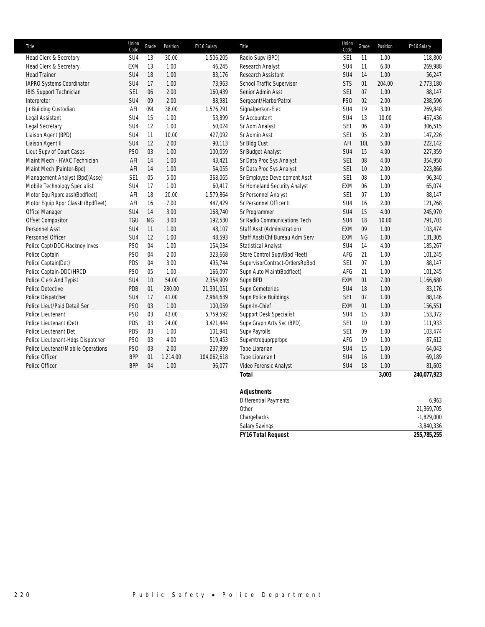| Title                               | Union<br>Code   | Grade     | Position | FY16 Salary | Title                          | Union<br>Code   | Grade | Position | FY16 Salary |
|-------------------------------------|-----------------|-----------|----------|-------------|--------------------------------|-----------------|-------|----------|-------------|
| Head Clerk & Secretary              | SU <sub>4</sub> | 13        | 30.00    | 1,506,205   | Radio Supv (BPD)               | SE1             | 11    | 1.00     | 118,800     |
| Head Clerk & Secretary.             | <b>EXM</b>      | 13        | 1.00     | 46,245      | Research Analyst               | SU <sub>4</sub> | 11    | 6.00     | 269,988     |
| <b>Head Trainer</b>                 | SU <sub>4</sub> | 18        | 1.00     | 83,176      | Research Assistant             | SU <sub>4</sub> | 14    | 1.00     | 56,247      |
| IAPRO Systems Coordinator           | SU <sub>4</sub> | 17        | 1.00     | 73,963      | School Traffic Supervisor      | <b>STS</b>      | 01    | 204.00   | 2,773,180   |
| <b>IBIS Support Technician</b>      | SE1             | 06        | 2.00     | 160,439     | Senior Admin Asst              | SE <sub>1</sub> | 07    | 1.00     | 88,147      |
| Interpreter                         | SU <sub>4</sub> | 09        | 2.00     | 88,981      | Sergeant/HarborPatrol          | PS <sub>O</sub> | 02    | 2.00     | 238,596     |
| Jr Building Custodian               | AFI             | 09L       | 38.00    | 1,576,291   | Signalperson-Elec              | SU <sub>4</sub> | 19    | 3.00     | 269,848     |
| Legal Assistant                     | SU <sub>4</sub> | 15        | 1.00     | 53,899      | Sr Accountant                  | SU <sub>4</sub> | 13    | 10.00    | 457,436     |
| Legal Secretary                     | SU <sub>4</sub> | 12        | 1.00     | 50,024      | Sr Adm Analyst                 | SE <sub>1</sub> | 06    | 4.00     | 306,515     |
| Liaison Agent (BPD)                 | SU <sub>4</sub> | 11        | 10.00    | 427,092     | Sr Admin Asst                  | SE <sub>1</sub> | 05    | 2.00     | 147,226     |
| Liaison Agent II                    | SU <sub>4</sub> | 12        | 2.00     | 90,113      | Sr Bldg Cust                   | AFI             | 10L   | 5.00     | 222,142     |
| Lieut Supv of Court Cases           | PS <sub>O</sub> | 03        | 1.00     | 100,059     | Sr Budget Analyst              | SU <sub>4</sub> | 15    | 4.00     | 227,359     |
| Maint Mech - HVAC Technician        | AFI             | 14        | 1.00     | 43,421      | Sr Data Proc Sys Analyst       | SE <sub>1</sub> | 08    | 4.00     | 354,950     |
| Maint Mech (Painter-Bpd)            | AFI             | 14        | 1.00     | 54,055      | Sr Data Proc Sys Analyst       | SE <sub>1</sub> | 10    | 2.00     | 223,866     |
| Management Analyst (Bpd)(Asse)      | SE1             | 05        | 5.00     | 368,065     | Sr Employee Development Asst   | SE <sub>1</sub> | 08    | 1.00     | 96,340      |
| Mobile Technology Specialist        | SU <sub>4</sub> | 17        | 1.00     | 60,417      | Sr Homeland Security Analyst   | EXM             | 06    | 1.00     | 65,074      |
| Motor Equ RpprclassI(Bpdfleet)      | AFI             | 18        | 20.00    | 1,579,864   | Sr Personnel Analyst           | SE <sub>1</sub> | 07    | 1.00     | 88,147      |
| Motor Equip Rppr ClassII (Bpdfleet) | AFI             | 16        | 7.00     | 447,429     | Sr Personnel Officer II        | SU <sub>4</sub> | 16    | 2.00     | 121,268     |
| Office Manager                      | SU4             | 14        | 3.00     | 168,740     | Sr Programmer                  | SU4             | 15    | 4.00     | 245,970     |
| Offset Compositor                   | <b>TGU</b>      | <b>NG</b> | 3.00     | 192,530     | Sr Radio Communications Tech   | SU <sub>4</sub> | 18    | 10.00    | 791,703     |
| Personnel Asst                      | SU4             | 11        | 1.00     | 48,107      | Staff Asst (Administration)    | EXM             | 09    | 1.00     | 103,474     |
| Personnel Officer                   | SU4             | 12        | 1.00     | 48,593      | Staff Asst/Chf Bureau Adm Serv | EXM             | NG    | 1.00     | 131,305     |
| Police Capt/DDC-Hackney Inves       | PS <sub>O</sub> | 04        | 1.00     | 154,034     | <b>Statistical Analyst</b>     | SU4             | 14    | 4.00     | 185,267     |
| Police Captain                      | PS <sub>O</sub> | 04        | 2.00     | 323,668     | Store Control Supv(Bpd Fleet)  | AFG             | 21    | 1.00     | 101,245     |
| Police Captain(Det)                 | PDS             | 04        | 3.00     | 495,744     | SupervisorContract-OrdersRpBpd | SE <sub>1</sub> | 07    | 1.00     | 88,147      |
| Police Captain-DDC/HRCD             | PS <sub>O</sub> | 05        | 1.00     | 166,097     | Supn Auto Maint(Bpdfleet)      | AFG             | 21    | 1.00     | 101,245     |
| Police Clerk And Typist             | SU <sub>4</sub> | 10        | 54.00    | 2,354,909   | Supn BPD                       | EXM             | 01    | 7.00     | 1,166,680   |
| Police Detective                    | PDB             | 01        | 280.00   | 21,391,051  | Supn Cemeteries                | SU <sub>4</sub> | 18    | 1.00     | 83,176      |
| Police Dispatcher                   | SU <sub>4</sub> | 17        | 41.00    | 2,964,639   | Supn Police Buildings          | SE <sub>1</sub> | 07    | 1.00     | 88,146      |
| Police Lieut/Paid Detail Ser        | PS <sub>O</sub> | 03        | 1.00     | 100,059     | Supn-In-Chief                  | EXM             | 01    | 1.00     | 156,551     |
| Police Lieutenant                   | PS <sub>O</sub> | 03        | 43.00    | 5,759,592   | Support Desk Specialist        | SU <sub>4</sub> | 15    | 3.00     | 153,372     |
| Police Lieutenant (Det)             | PDS             | 03        | 24.00    | 3,421,444   | Supv Graph Arts Svc (BPD)      | SE <sub>1</sub> | 10    | 1.00     | 111,933     |
| Police Lieutenant Det               | PDS             | 03        | 1.00     | 101,941     | Supv Payrolls                  | SE <sub>1</sub> | 09    | 1.00     | 103,474     |
| Police Lieutenant-Hdqs Dispatcher   | PS <sub>O</sub> | 03        | 4.00     | 519,453     | Supvmtrequprpprbpd             | AFG             | 19    | 1.00     | 87,612      |
| Police Lieutenat/Mobile Operations  | PS <sub>O</sub> | 03        | 2.00     | 237,999     | Tape Librarian                 | SU4             | 15    | 1.00     | 64,043      |
| Police Officer                      | <b>BPP</b>      | 01        | 1,214.00 | 104,062,618 | Tape Librarian I               | SU <sub>4</sub> | 16    | 1.00     | 69,189      |
| Police Officer                      | <b>BPP</b>      | 04        | 1.00     | 96,077      | Video Forensic Analyst         | SU4             | 18    | 1.00     | 81,603      |
|                                     |                 |           |          |             | <b>Total</b>                   |                 |       | 3,003    | 240,077,923 |

| <b>FY16 Total Request</b>    | 255,785,255  |
|------------------------------|--------------|
| <b>Salary Savings</b>        | $-3,840,336$ |
| Chargebacks                  | $-1,829,000$ |
| Other                        | 21,369,705   |
| <b>Differential Payments</b> | 6,963        |
| <b>Adjustments</b>           |              |
|                              |              |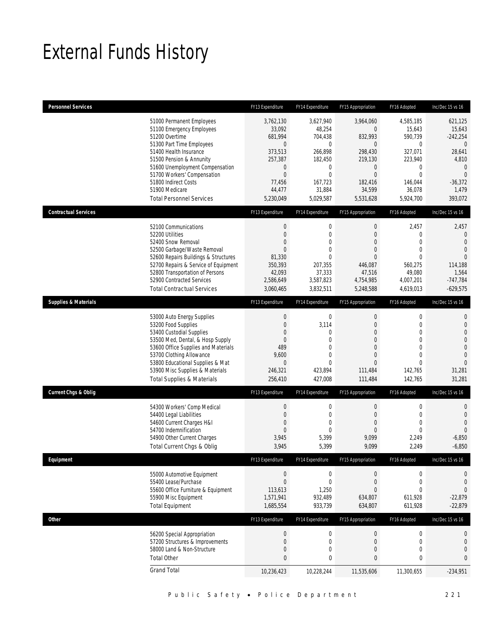# External Funds History

| <b>Personnel Services</b>       |                                                                                                                                                                                                                                                                                                            | FY13 Expenditure                                                                                                          | FY14 Expenditure                                                                                                                      | FY15 Appropriation                                                                                                                                  | FY16 Adopted                                                                                                                         | Inc/Dec 15 vs 16                                                                                                                        |
|---------------------------------|------------------------------------------------------------------------------------------------------------------------------------------------------------------------------------------------------------------------------------------------------------------------------------------------------------|---------------------------------------------------------------------------------------------------------------------------|---------------------------------------------------------------------------------------------------------------------------------------|-----------------------------------------------------------------------------------------------------------------------------------------------------|--------------------------------------------------------------------------------------------------------------------------------------|-----------------------------------------------------------------------------------------------------------------------------------------|
|                                 | 51000 Permanent Employees<br>51100 Emergency Employees<br>51200 Overtime<br>51300 Part Time Employees<br>51400 Health Insurance<br>51500 Pension & Annunity<br>51600 Unemployment Compensation<br>51700 Workers' Compensation<br>51800 Indirect Costs<br>51900 Medicare<br><b>Total Personnel Services</b> | 3,762,130<br>33,092<br>681,994<br>$\mathbf{0}$<br>373,513<br>257,387<br>0<br>$\mathbf 0$<br>77,456<br>44,477<br>5,230,049 | 3,627,940<br>48,254<br>704,438<br>$\mathbf{0}$<br>266,898<br>182,450<br>$\mathbf 0$<br>$\mathbf{0}$<br>167,723<br>31,884<br>5,029,587 | 3,964,060<br>$\overline{0}$<br>832,993<br>$\overline{0}$<br>298,430<br>219,130<br>$\mathbf 0$<br>$\boldsymbol{0}$<br>182,416<br>34,599<br>5,531,628 | 4,585,185<br>15,643<br>590,739<br>$\mathbf 0$<br>327,071<br>223,940<br>0<br>$\mathbf 0$<br>146,044<br>36,078<br>5,924,700            | 621,125<br>15,643<br>$-242,254$<br>$\overline{0}$<br>28,641<br>4,810<br>$\mathbf{0}$<br>$\overline{0}$<br>$-36,372$<br>1,479<br>393,072 |
| <b>Contractual Services</b>     |                                                                                                                                                                                                                                                                                                            | FY13 Expenditure                                                                                                          | FY14 Expenditure                                                                                                                      | FY15 Appropriation                                                                                                                                  | FY16 Adopted                                                                                                                         | Inc/Dec 15 vs 16                                                                                                                        |
|                                 | 52100 Communications<br>52200 Utilities<br>52400 Snow Removal<br>52500 Garbage/Waste Removal<br>52600 Repairs Buildings & Structures<br>52700 Repairs & Service of Equipment<br>52800 Transportation of Persons<br>52900 Contracted Services<br><b>Total Contractual Services</b>                          | $\boldsymbol{0}$<br>$\mathbf 0$<br>$\mathbf{0}$<br>$\mathbf 0$<br>81,330<br>350,393<br>42,093<br>2,586,649<br>3,060,465   | $\boldsymbol{0}$<br>$\mathbf 0$<br>$\theta$<br>$\overline{0}$<br>$\Omega$<br>207,355<br>37,333<br>3,587,823<br>3,832,511              | $\boldsymbol{0}$<br>$\overline{0}$<br>$\mathbf{0}$<br>$\overline{0}$<br>$\overline{0}$<br>446,087<br>47,516<br>4,754,985<br>5,248,588               | 2,457<br>$\mathbf 0$<br>$\mathbf{0}$<br>$\mathbf{0}$<br>$\mathbf{0}$<br>560,275<br>49,080<br>4,007,201<br>4,619,013                  | 2,457<br>0<br>$\mathbf{0}$<br>$\overline{0}$<br>$\overline{0}$<br>114.188<br>1,564<br>$-747,784$<br>$-629,575$                          |
| <b>Supplies &amp; Materials</b> |                                                                                                                                                                                                                                                                                                            | FY13 Expenditure                                                                                                          | FY14 Expenditure                                                                                                                      | FY15 Appropriation                                                                                                                                  | FY16 Adopted                                                                                                                         | Inc/Dec 15 vs 16                                                                                                                        |
|                                 | 53000 Auto Energy Supplies<br>53200 Food Supplies<br>53400 Custodial Supplies<br>53500 Med, Dental, & Hosp Supply<br>53600 Office Supplies and Materials<br>53700 Clothing Allowance<br>53800 Educational Supplies & Mat<br>53900 Misc Supplies & Materials<br><b>Total Supplies &amp; Materials</b>       | 0<br>0<br>$\mathbf{0}$<br>$\mathbf 0$<br>489<br>9,600<br>0<br>246,321<br>256,410                                          | $\mathbf 0$<br>3,114<br>0<br>$\overline{0}$<br>0<br>$\overline{0}$<br>$\overline{0}$<br>423,894<br>427,008                            | $\mathbf 0$<br>$\mathbf{0}$<br>$\Omega$<br>$\overline{0}$<br>$\overline{0}$<br>$\mathbf{0}$<br>$\mathbf{0}$<br>111,484<br>111,484                   | $\boldsymbol{0}$<br>$\mathbf 0$<br>$\mathbf{0}$<br>$\mathbf 0$<br>$\mathbf{0}$<br>$\mathbf{0}$<br>$\mathbf{0}$<br>142,765<br>142,765 | $\mathbf 0$<br>$\mathbf 0$<br>$\overline{0}$<br>$\overline{0}$<br>$\mathbf 0$<br>$\overline{0}$<br>$\overline{0}$<br>31,281<br>31,281   |
| <b>Current Chgs &amp; Oblig</b> |                                                                                                                                                                                                                                                                                                            | FY13 Expenditure                                                                                                          | FY14 Expenditure                                                                                                                      | FY15 Appropriation                                                                                                                                  | FY16 Adopted                                                                                                                         | Inc/Dec 15 vs 16                                                                                                                        |
|                                 | 54300 Workers' Comp Medical<br>54400 Legal Liabilities<br>54600 Current Charges H&I<br>54700 Indemnification<br>54900 Other Current Charges<br>Total Current Chgs & Oblig                                                                                                                                  | $\boldsymbol{0}$<br>$\mathbf 0$<br>$\mathbf{0}$<br>$\mathbf 0$<br>3,945<br>3,945                                          | $\boldsymbol{0}$<br>$\mathbf 0$<br>0<br>$\overline{0}$<br>5,399<br>5,399                                                              | $\boldsymbol{0}$<br>$\mathbf{0}$<br>$\mathbf{0}$<br>$\mathbf{0}$<br>9,099<br>9,099                                                                  | $\boldsymbol{0}$<br>$\mathbf 0$<br>$\mathbf{0}$<br>$\mathbf{0}$<br>2,249<br>2,249                                                    | $\mathbf 0$<br>$\mathbf{0}$<br>$\overline{0}$<br>$\Omega$<br>$-6,850$<br>$-6,850$                                                       |
| Equipment                       |                                                                                                                                                                                                                                                                                                            | FY13 Expenditure                                                                                                          | FY14 Expenditure                                                                                                                      | FY15 Appropriation                                                                                                                                  | FY16 Adopted                                                                                                                         | Inc/Dec 15 vs 16                                                                                                                        |
|                                 | 55000 Automotive Equipment<br>55400 Lease/Purchase<br>55600 Office Furniture & Equipment<br>55900 Misc Equipment<br><b>Total Equipment</b>                                                                                                                                                                 | $\boldsymbol{0}$<br>$\boldsymbol{0}$<br>113,613<br>1,571,941<br>1,685,554                                                 | $\boldsymbol{0}$<br>$\mathbf 0$<br>1,250<br>932,489<br>933,739                                                                        | $\boldsymbol{0}$<br>$\boldsymbol{0}$<br>$\overline{0}$<br>634,807<br>634,807                                                                        | $\boldsymbol{0}$<br>$\boldsymbol{0}$<br>$\mathbf{0}$<br>611,928<br>611,928                                                           | 0<br>$\mathbf 0$<br>$\mathbf 0$<br>$-22,879$<br>$-22,879$                                                                               |
| Other                           |                                                                                                                                                                                                                                                                                                            | FY13 Expenditure                                                                                                          | FY14 Expenditure                                                                                                                      | FY15 Appropriation                                                                                                                                  | FY16 Adopted                                                                                                                         | Inc/Dec 15 vs 16                                                                                                                        |
|                                 | 56200 Special Appropriation<br>57200 Structures & Improvements<br>58000 Land & Non-Structure<br><b>Total Other</b>                                                                                                                                                                                         | $\boldsymbol{0}$<br>$\mathbf 0$<br>0<br>$\bf{0}$                                                                          | $\boldsymbol{0}$<br>$\mathbf 0$<br>0<br>$\bf{0}$                                                                                      | $\boldsymbol{0}$<br>$\boldsymbol{0}$<br>$\boldsymbol{0}$<br>$\bf{0}$                                                                                | $\boldsymbol{0}$<br>$\mathbf 0$<br>$\boldsymbol{0}$<br>$\bf{0}$                                                                      | 0<br>$\boldsymbol{0}$<br>$\mathbf{0}$<br>0                                                                                              |
|                                 | <b>Grand Total</b>                                                                                                                                                                                                                                                                                         | 10,236,423                                                                                                                | 10,228,244                                                                                                                            | 11,535,606                                                                                                                                          | 11,300,655                                                                                                                           | $-234,951$                                                                                                                              |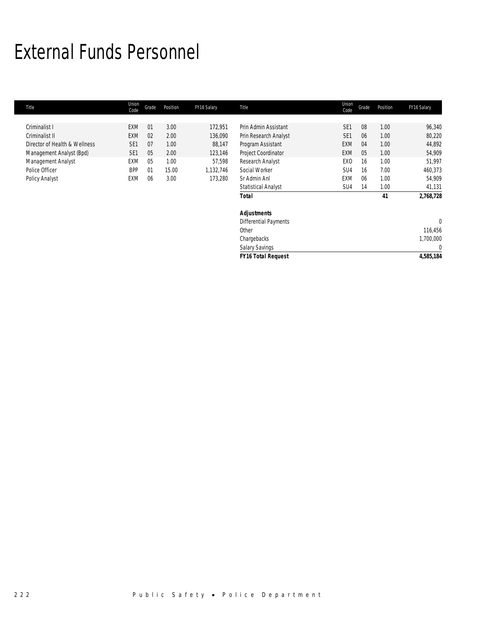# External Funds Personnel

| Title                         | Union<br>Code   | Grade | Position | FY16 Salary | Title                        | Union<br>Code   | Grade | Position | FY16 Salary  |
|-------------------------------|-----------------|-------|----------|-------------|------------------------------|-----------------|-------|----------|--------------|
|                               |                 |       |          |             |                              |                 |       |          |              |
| Criminalist I                 | <b>EXM</b>      | 01    | 3.00     | 172,951     | Prin Admin Assistant         | SE <sub>1</sub> | 08    | 1.00     | 96,340       |
| Criminalist II                | <b>EXM</b>      | 02    | 2.00     | 136,090     | Prin Research Analyst        | SE <sub>1</sub> | 06    | 1.00     | 80,220       |
| Director of Health & Wellness | SE <sub>1</sub> | 07    | 1.00     | 88,147      | Program Assistant            | <b>EXM</b>      | 04    | 1.00     | 44,892       |
| Management Analyst (Bpd)      | SE <sub>1</sub> | 05    | 2.00     | 123,146     | Project Coordinator          | EXM             | 05    | 1.00     | 54,909       |
| Management Analyst            | <b>EXM</b>      | 05    | 1.00     | 57,598      | Research Analyst             | EX <sub>0</sub> | 16    | 1.00     | 51,997       |
| Police Officer                | <b>BPP</b>      | 01    | 15.00    | 1,132,746   | Social Worker                | SU4             | 16    | 7.00     | 460,373      |
| Policy Analyst                | EXM             | 06    | 3.00     | 173,280     | Sr Admin Anl                 | <b>EXM</b>      | 06    | 1.00     | 54,909       |
|                               |                 |       |          |             | <b>Statistical Analyst</b>   | SU <sub>4</sub> | 14    | 1.00     | 41,131       |
|                               |                 |       |          |             | Total                        |                 |       | 41       | 2,768,728    |
|                               |                 |       |          |             | <b>Adjustments</b>           |                 |       |          |              |
|                               |                 |       |          |             | <b>Differential Payments</b> |                 |       |          | $\mathbf{0}$ |
|                               |                 |       |          |             | Other                        |                 |       |          | 116,456      |
|                               |                 |       |          |             | Chargebacks                  |                 |       |          | 1,700,000    |
|                               |                 |       |          |             | <b>Salary Savings</b>        |                 |       |          | $\mathbf{0}$ |
|                               |                 |       |          |             | <b>FY16 Total Request</b>    |                 |       |          | 4,585,184    |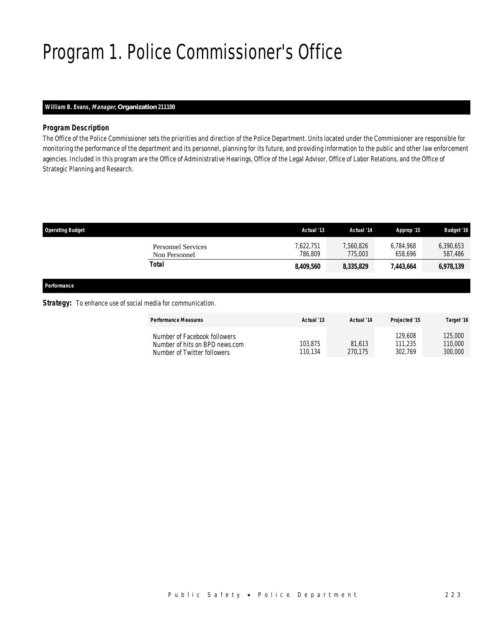# Program 1. Police Commissioner's Office

# *William B. Evans, Manager, Organization 211100*

## *Program Description*

The Office of the Police Commissioner sets the priorities and direction of the Police Department. Units located under the Commissioner are responsible for monitoring the performance of the department and its personnel, planning for its future, and providing information to the public and other law enforcement agencies. Included in this program are the Office of Administrative Hearings, Office of the Legal Advisor, Office of Labor Relations, and the Office of Strategic Planning and Research.

| <b>Operating Budget</b>                    | Actual '13           | Actual '14           | Approp '15           | <b>Budget '16</b>    |
|--------------------------------------------|----------------------|----------------------|----------------------|----------------------|
| <b>Personnel Services</b><br>Non Personnel | 7,622,751<br>786.809 | 7,560,826<br>775,003 | 6.784.968<br>658.696 | 6,390,653<br>587,486 |
| Total                                      | 8,409,560            | 8,335,829            | 7.443.664            | 6,978,139            |
|                                            |                      |                      |                      |                      |

*Performance* 

### **Strategy:** To enhance use of social media for communication.

| <b>Performance Measures</b>                                                                   | Actual '13         | Actual '14        | Projected '15                 | Target '16                    |
|-----------------------------------------------------------------------------------------------|--------------------|-------------------|-------------------------------|-------------------------------|
| Number of Facebook followers<br>Number of hits on BPD news.com<br>Number of Twitter followers | 103,875<br>110.134 | 81.613<br>270.175 | 129,608<br>111,235<br>302.769 | 125,000<br>110,000<br>300,000 |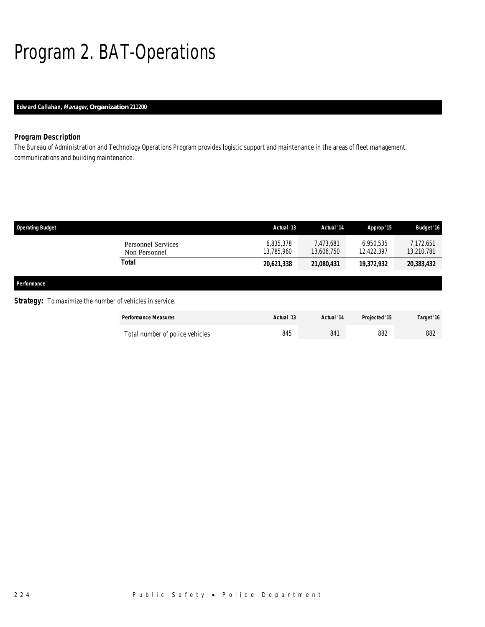# Program 2. BAT-Operations

# *Edward Callahan, Manager, Organization 211200*

# *Program Description*

The Bureau of Administration and Technology Operations Program provides logistic support and maintenance in the areas of fleet management, communications and building maintenance.

| <b>Operating Budget</b> |                                                                 | Actual '13              | Actual '14              | Approp '15              | <b>Budget '16</b>       |
|-------------------------|-----------------------------------------------------------------|-------------------------|-------------------------|-------------------------|-------------------------|
|                         | Personnel Services<br>Non Personnel                             | 6,835,378<br>13,785,960 | 7.473.681<br>13,606,750 | 6.950.535<br>12,422,397 | 7,172,651<br>13,210,781 |
|                         | Total                                                           | 20,621,338              | 21,080,431              | 19,372,932              | 20,383,432              |
| Performance             |                                                                 |                         |                         |                         |                         |
|                         | <b>Strategy:</b> To maximize the number of vehicles in service. |                         |                         |                         |                         |
|                         | <b>Performance Measures</b>                                     | Actual '13              | Actual '14              | <b>Projected '15</b>    | Target '16              |

| Total number of police vehicles | 845 | 84 | 882 | 882 |
|---------------------------------|-----|----|-----|-----|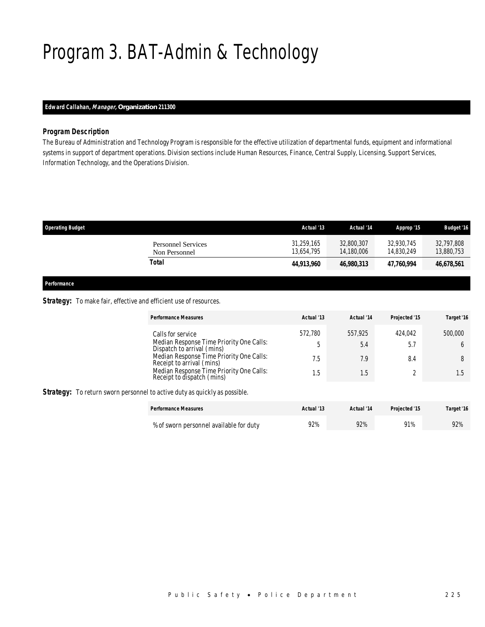# Program 3. BAT-Admin & Technology

# *Edward Callahan, Manager, Organization 211300*

## *Program Description*

The Bureau of Administration and Technology Program is responsible for the effective utilization of departmental funds, equipment and informational systems in support of department operations. Division sections include Human Resources, Finance, Central Supply, Licensing, Support Services, Information Technology, and the Operations Division.

| <b>Operating Budget</b>                    | Actual '13               | Actual '14               | Approp '15               | <b>Budget '16</b>        |
|--------------------------------------------|--------------------------|--------------------------|--------------------------|--------------------------|
| <b>Personnel Services</b><br>Non Personnel | 31,259,165<br>13.654.795 | 32.800.307<br>14,180,006 | 32.930.745<br>14.830.249 | 32.797.808<br>13,880,753 |
| Total                                      | 44,913,960               | 46,980,313               | 47.760.994               | 46,678,561               |
|                                            |                          |                          |                          |                          |

*Performance* 

## Strategy: To make fair, effective and efficient use of resources.

|                                                                                   | <b>Performance Measures</b>                                                                                                                                                                                                                    | Actual '13                 | Actual '14                   | Projected '15         | Target '16          |  |  |
|-----------------------------------------------------------------------------------|------------------------------------------------------------------------------------------------------------------------------------------------------------------------------------------------------------------------------------------------|----------------------------|------------------------------|-----------------------|---------------------|--|--|
|                                                                                   | Calls for service<br>Median Response Time Priority One Calls:<br>Dispatch to arrival (mins)<br>Median Response Time Priority One Calls:<br>Receipt to arrival (mins)<br>Median Response Time Priority One Calls:<br>Receipt to dispatch (mins) | 572.780<br>b<br>7.5<br>1.5 | 557.925<br>5.4<br>7.9<br>1.5 | 424.042<br>5.7<br>8.4 | 500,000<br>8<br>1.5 |  |  |
| <b>Strategy:</b> To return sworn personnel to active duty as quickly as possible. |                                                                                                                                                                                                                                                |                            |                              |                       |                     |  |  |
|                                                                                   | <b>Performance Measures</b>                                                                                                                                                                                                                    | Actual '13                 | Actual '14                   | Projected '15         | Target '16          |  |  |

| % of sworn personnel available for duty | 92% | 92% | 91% | 92% |
|-----------------------------------------|-----|-----|-----|-----|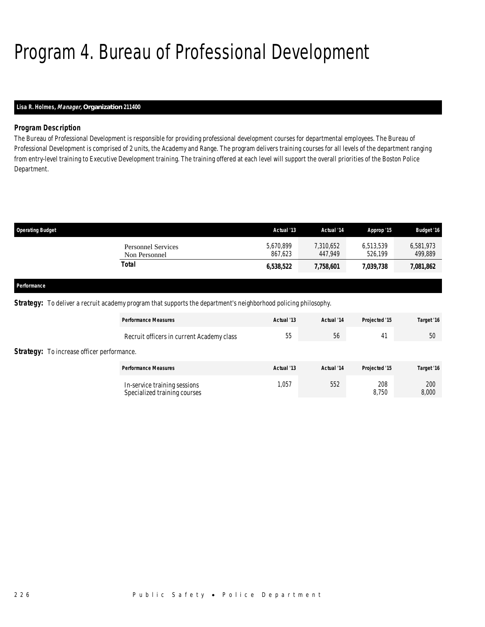# Program 4. Bureau of Professional Development

# *Lisa R. Holmes, Manager, Organization 211400*

# *Program Description*

The Bureau of Professional Development is responsible for providing professional development courses for departmental employees. The Bureau of Professional Development is comprised of 2 units, the Academy and Range. The program delivers training courses for all levels of the department ranging from entry-level training to Executive Development training. The training offered at each level will support the overall priorities of the Boston Police Department.

| <b>Operating Budget</b>                                   |                                            | Actual '13           | Actual '14           | Approp '15           | <b>Budget '16</b>    |
|-----------------------------------------------------------|--------------------------------------------|----------------------|----------------------|----------------------|----------------------|
|                                                           | <b>Personnel Services</b><br>Non Personnel | 5,670,899<br>867.623 | 7,310,652<br>447.949 | 6,513,539<br>526.199 | 6,581,973<br>499,889 |
|                                                           | Total                                      | 6,538,522            | 7,758,601            | 7,039,738            | 7,081,862            |
| $\mathbf{a}$ . $\mathbf{b}$ . The same state $\mathbf{b}$ |                                            |                      |                      |                      |                      |

#### *Performance*

*Strategy:* To deliver a recruit academy program that supports the department's neighborhood policing philosophy.

|                                                   | <b>Performance Measures</b>                                  | Actual '13 | Actual '14 | Projected '15 | Target '16   |
|---------------------------------------------------|--------------------------------------------------------------|------------|------------|---------------|--------------|
|                                                   | Recruit officers in current Academy class                    | 55         | 56         | $4^{\circ}$   | 50           |
| <b>Strategy:</b> To increase officer performance. |                                                              |            |            |               |              |
|                                                   | <b>Performance Measures</b>                                  | Actual '13 | Actual '14 | Projected '15 | Target '16   |
|                                                   | In-service training sessions<br>Specialized training courses | 1,057      | 552        | 208<br>8,750  | 200<br>8,000 |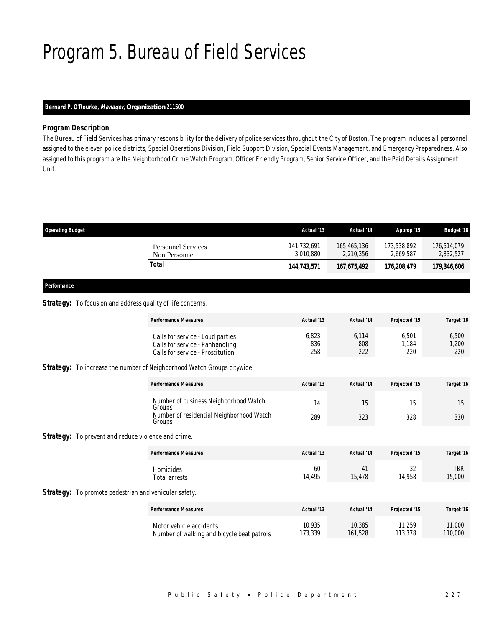# Program 5. Bureau of Field Services

# *Bernard P. O'Rourke, Manager, Organization 211500*

# *Program Description*

The Bureau of Field Services has primary responsibility for the delivery of police services throughout the City of Boston. The program includes all personnel assigned to the eleven police districts, Special Operations Division, Field Support Division, Special Events Management, and Emergency Preparedness. Also assigned to this program are the Neighborhood Crime Watch Program, Officer Friendly Program, Senior Service Officer, and the Paid Details Assignment Unit.

| <b>Operating Budget</b>                                            |                                                                                                         | Actual '13               | Actual '14               | Approp '15               | <b>Budget '16</b>        |
|--------------------------------------------------------------------|---------------------------------------------------------------------------------------------------------|--------------------------|--------------------------|--------------------------|--------------------------|
|                                                                    | <b>Personnel Services</b><br>Non Personnel                                                              | 141,732,691<br>3,010,880 | 165,465,136<br>2,210,356 | 173,538,892<br>2,669,587 | 176,514,079<br>2,832,527 |
|                                                                    | <b>Total</b>                                                                                            | 144,743,571              | 167,675,492              | 176,208,479              | 179,346,606              |
| Performance                                                        |                                                                                                         |                          |                          |                          |                          |
| <b>Strategy:</b> To focus on and address quality of life concerns. |                                                                                                         |                          |                          |                          |                          |
|                                                                    | <b>Performance Measures</b>                                                                             | Actual '13               | Actual '14               | Projected '15            | Target '16               |
|                                                                    | Calls for service - Loud parties<br>Calls for service - Panhandling<br>Calls for service - Prostitution | 6,823<br>836<br>258      | 6,114<br>808<br>222      | 6,501<br>1,184<br>220    | 6,500<br>1,200<br>220    |
|                                                                    | Strategy: To increase the number of Neighborhood Watch Groups citywide.                                 |                          |                          |                          |                          |
|                                                                    | <b>Performance Measures</b>                                                                             | Actual '13               | Actual '14               | Projected '15            | Target '16               |
|                                                                    | Number of business Neighborhood Watch<br>Groups                                                         | 14                       | 15                       | 15                       | 15                       |
|                                                                    | Number of residential Neighborhood Watch<br>Groups                                                      | 289                      | 323                      | 328                      | 330                      |
| <b>Strategy:</b> To prevent and reduce violence and crime.         |                                                                                                         |                          |                          |                          |                          |
|                                                                    | <b>Performance Measures</b>                                                                             | Actual '13               | Actual '14               | Projected '15            | Target '16               |
|                                                                    | Homicides<br><b>Total arrests</b>                                                                       | 60<br>14,495             | 41<br>15,478             | 32<br>14,958             | <b>TBR</b><br>15,000     |
| <b>Strategy:</b> To promote pedestrian and vehicular safety.       |                                                                                                         |                          |                          |                          |                          |
|                                                                    | <b>Performance Measures</b>                                                                             | Actual '13               | Actual '14               | Projected '15            | Target '16               |
|                                                                    | Motor vehicle accidents<br>Number of walking and bicycle beat patrols                                   | 10.935<br>173,339        | 10,385<br>161,528        | 11.259<br>113,378        | 11,000<br>110,000        |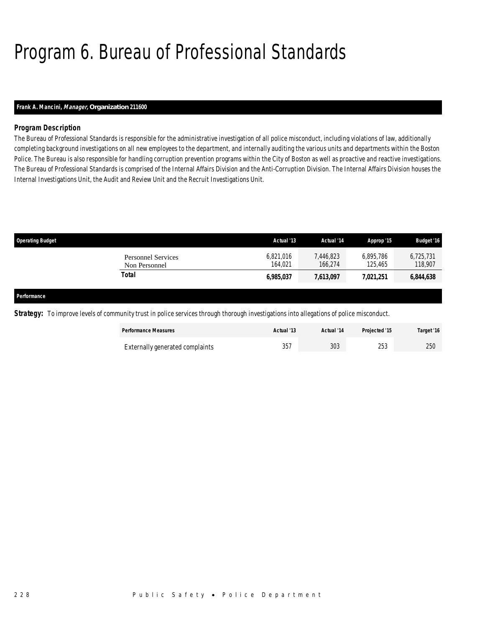# Program 6. Bureau of Professional Standards

# *Frank A. Mancini, Manager, Organization 211600*

# *Program Description*

The Bureau of Professional Standards is responsible for the administrative investigation of all police misconduct, including violations of law, additionally completing background investigations on all new employees to the department, and internally auditing the various units and departments within the Boston Police. The Bureau is also responsible for handling corruption prevention programs within the City of Boston as well as proactive and reactive investigations. The Bureau of Professional Standards is comprised of the Internal Affairs Division and the Anti-Corruption Division. The Internal Affairs Division houses the Internal Investigations Unit, the Audit and Review Unit and the Recruit Investigations Unit.

| <b>Operating Budget</b>             | Actual '13           | Actual '14           | Approp '15           | <b>Budget '16</b>    |
|-------------------------------------|----------------------|----------------------|----------------------|----------------------|
| Personnel Services<br>Non Personnel | 6,821,016<br>164.021 | 7.446.823<br>166,274 | 6.895.786<br>125,465 | 6,725,731<br>118,907 |
| Total                               | 6,985,037            | 7,613,097            | 7,021,251            | 6,844,638            |
|                                     |                      |                      |                      |                      |

*Performance* 

**Strategy:** To improve levels of community trust in police services through thorough investigations into allegations of police misconduct.

| <b>Performance Measures</b>     | Actual '13 | Actual '14 | Projected '15 | Target '16 |
|---------------------------------|------------|------------|---------------|------------|
| Externally generated complaints | 357        | 303        | วธว<br>ل ل ک  | 250        |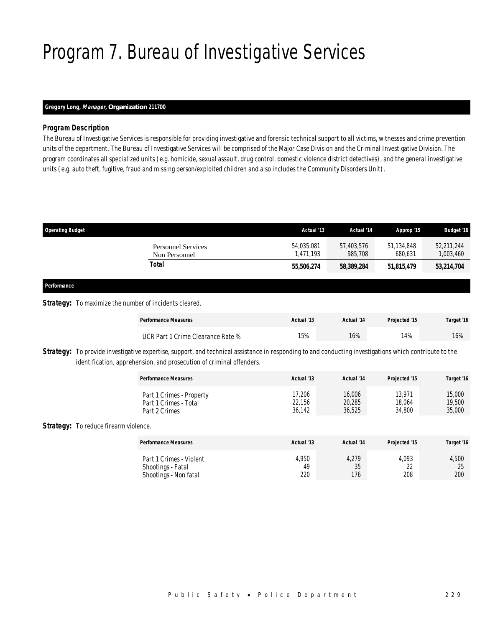# Program 7. Bureau of Investigative Services

## *Gregory Long, Manager, Organization 211700*

## *Program Description*

The Bureau of Investigative Services is responsible for providing investigative and forensic technical support to all victims, witnesses and crime prevention units of the department. The Bureau of Investigative Services will be comprised of the Major Case Division and the Criminal Investigative Division. The program coordinates all specialized units (e.g. homicide, sexual assault, drug control, domestic violence district detectives), and the general investigative units (e.g. auto theft, fugitive, fraud and missing person/exploited children and also includes the Community Disorders Unit).

| <b>Operating Budget</b>                                       |                                            | Actual '13              | Actual '14            | Approp '15            | <b>Budget '16</b>       |  |
|---------------------------------------------------------------|--------------------------------------------|-------------------------|-----------------------|-----------------------|-------------------------|--|
|                                                               | <b>Personnel Services</b><br>Non Personnel | 54,035,081<br>1,471,193 | 57,403,576<br>985,708 | 51,134,848<br>680,631 | 52,211,244<br>1,003,460 |  |
|                                                               | <b>Total</b>                               | 55,506,274              | 58,389,284            | 51,815,479            | 53,214,704              |  |
| Performance                                                   |                                            |                         |                       |                       |                         |  |
| <b>Strategy:</b> To maximize the number of incidents cleared. |                                            |                         |                       |                       |                         |  |
|                                                               | <b>Performance Measures</b>                | Actual '13              | Actual '14            | Projected '15         | Target '16              |  |
|                                                               |                                            |                         |                       |                       |                         |  |

Strategy: To provide investigative expertise, support, and technical assistance in responding to and conducting investigations which contribute to the identification, apprehension, and prosecution of criminal offenders.

| <b>Performance Measures</b> | Actual '13 | Actual '14 | Projected '15 | Target '16 |
|-----------------------------|------------|------------|---------------|------------|
| Part 1 Crimes - Property    | 17.206     | 16,006     | 13.971        | 15,000     |
| Part 1 Crimes - Total       | 22,156     | 20,285     | 18.064        | 19,500     |
| Part 2 Crimes               | 36,142     | 36,525     | 34,800        | 35,000     |

UCR Part 1 Crime Clearance Rate % 15% 16% 16% 16% 16% 16% 16%

### **Strategy:** To reduce firearm violence.

| <b>Performance Measures</b>                                           | Actual '13         | Actual '14         | Projected '15             | Target '16         |
|-----------------------------------------------------------------------|--------------------|--------------------|---------------------------|--------------------|
| Part 1 Crimes - Violent<br>Shootings - Fatal<br>Shootings - Non fatal | 4,950<br>49<br>220 | 4,279<br>35<br>176 | 4.093<br>ົາາ<br>∠∠<br>208 | 4,500<br>25<br>200 |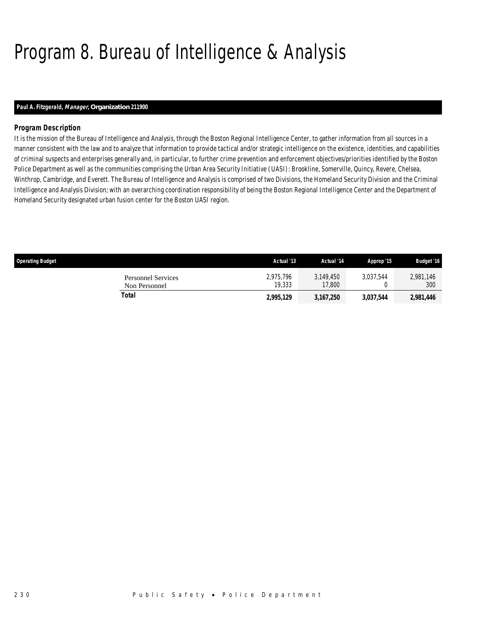# Program 8. Bureau of Intelligence & Analysis

# *Paul A. Fitzgerald, Manager, Organization 211900*

# *Program Description*

It is the mission of the Bureau of Intelligence and Analysis, through the Boston Regional Intelligence Center, to gather information from all sources in a manner consistent with the law and to analyze that information to provide tactical and/or strategic intelligence on the existence, identities, and capabilities of criminal suspects and enterprises generally and, in particular, to further crime prevention and enforcement objectives/priorities identified by the Boston Police Department as well as the communities comprising the Urban Area Security Initiative (UASI): Brookline, Somerville, Quincy, Revere, Chelsea, Winthrop, Cambridge, and Everett. The Bureau of Intelligence and Analysis is comprised of two Divisions, the Homeland Security Division and the Criminal Intelligence and Analysis Division; with an overarching coordination responsibility of being the Boston Regional Intelligence Center and the Department of Homeland Security designated urban fusion center for the Boston UASI region.

| <b>Operating Budget</b>             | Actual '13          | Actual '14          | Approp '15 | <b>Budget '16</b> |
|-------------------------------------|---------------------|---------------------|------------|-------------------|
| Personnel Services<br>Non Personnel | 2.975.796<br>19,333 | 3.149.450<br>17,800 | 3.037.544  | 2.981.146<br>300  |
| Total                               | 2,995,129           | 3,167,250           | 3,037,544  | 2,981,446         |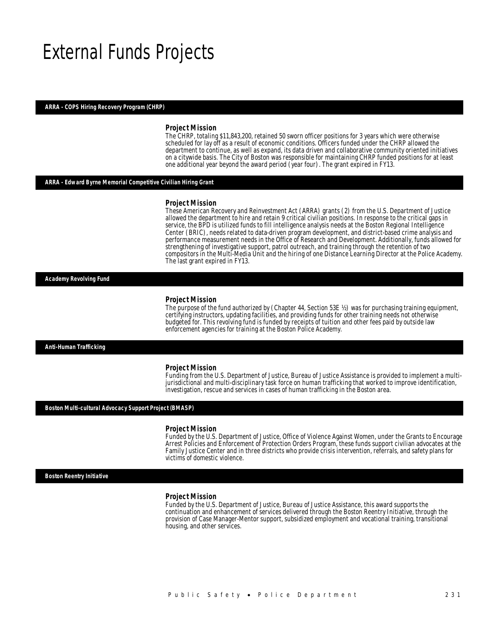# External Funds Projects

### *ARRA - COPS Hiring Recovery Program (CHRP)*

#### *Project Mission*

The CHRP, totaling \$11,843,200, retained 50 sworn officer positions for 3 years which were otherwise scheduled for lay off as a result of economic conditions. Officers funded under the CHRP allowed the department to continue, as well as expand, its data driven and collaborative community oriented initiatives on a citywide basis. The City of Boston was responsible for maintaining CHRP funded positions for at least one additional year beyond the award period (year four). The grant expired in FY13.

### *ARRA - Edward Byrne Memorial Competitive Civilian Hiring Grant*

#### *Project Mission*

These American Recovery and Reinvestment Act (ARRA) grants (2) from the U.S. Department of Justice allowed the department to hire and retain 9 critical civilian positions. In response to the critical gaps in service, the BPD is utilized funds to fill intelligence analysis needs at the Boston Regional Intelligence Center (BRIC), needs related to data-driven program development, and district-based crime analysis and performance measurement needs in the Office of Research and Development. Additionally, funds allowed for strengthening of investigative support, patrol outreach, and training through the retention of two compositors in the Multi-Media Unit and the hiring of one Distance Learning Director at the Police Academy. The last grant expired in FY13.

*Academy Revolving Fund* 

#### *Project Mission*

The purpose of the fund authorized by (Chapter 44, Section 53E ½) was for purchasing training equipment, certifying instructors, updating facilities, and providing funds for other training needs not otherwise budgeted for. This revolving fund is funded by receipts of tuition and other fees paid by outside law enforcement agencies for training at the Boston Police Academy.

*Anti-Human Trafficking* 

#### *Project Mission*

Funding from the U.S. Department of Justice, Bureau of Justice Assistance is provided to implement a multijurisdictional and multi-disciplinary task force on human trafficking that worked to improve identification, investigation, rescue and services in cases of human trafficking in the Boston area.

#### *Boston Multi-cultural Advocacy Support Project (BMASP)*

#### *Project Mission*

Funded by the U.S. Department of Justice, Office of Violence Against Women, under the Grants to Encourage Arrest Policies and Enforcement of Protection Orders Program, these funds support civilian advocates at the Family Justice Center and in three districts who provide crisis intervention, referrals, and safety plans for victims of domestic violence.

*Boston Reentry Initiative* 

#### *Project Mission*

Funded by the U.S. Department of Justice, Bureau of Justice Assistance, this award supports the continuation and enhancement of services delivered through the Boston Reentry Initiative, through the provision of Case Manager-Mentor support, subsidized employment and vocational training, transitional housing, and other services.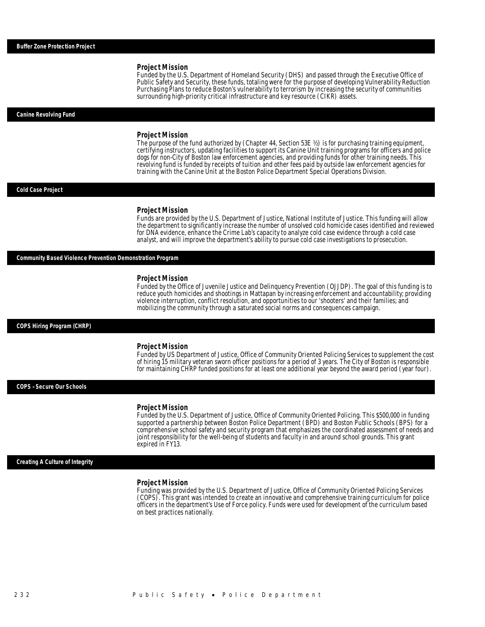Funded by the U.S. Department of Homeland Security (DHS) and passed through the Executive Office of Public Safety and Security, these funds, totaling were for the purpose of developing Vulnerability Reduction Purchasing Plans to reduce Boston's vulnerability to terrorism by increasing the security of communities surrounding high-priority critical infrastructure and key resource (CIKR) assets.

#### *Canine Revolving Fund*

#### *Project Mission*

The purpose of the fund authorized by (Chapter 44, Section 53E ½) is for purchasing training equipment, certifying instructors, updating facilities to support its Canine Unit training programs for officers and police dogs for non-City of Boston law enforcement agencies, and providing funds for other training needs. This revolving fund is funded by receipts of tuition and other fees paid by outside law enforcement agencies for training with the Canine Unit at the Boston Police Department Special Operations Division.

#### *Cold Case Project*

#### *Project Mission*

Funds are provided by the U.S. Department of Justice, National Institute of Justice. This funding will allow the department to significantly increase the number of unsolved cold homicide cases identified and reviewed for DNA evidence, enhance the Crime Lab's capacity to analyze cold case evidence through a cold case analyst, and will improve the department's ability to pursue cold case investigations to prosecution.

# *Community Based Violence Prevention Demonstration Program*

#### *Project Mission*

Funded by the Office of Juvenile Justice and Delinquency Prevention (OJJDP). The goal of this funding is to reduce youth homicides and shootings in Mattapan by increasing enforcement and accountability; providing violence interruption, conflict resolution, and opportunities to our 'shooters' and their families; and mobilizing the community through a saturated social norms and consequences campaign.

#### *COPS Hiring Program (CHRP)*

#### *Project Mission*

Funded by US Department of Justice, Office of Community Oriented Policing Services to supplement the cost of hiring 15 military veteran sworn officer positions for a period of 3 years. The City of Boston is responsible for maintaining CHRP funded positions for at least one additional year beyond the award period (year four).

### *COPS –Secure Our Schools*

#### *Project Mission*

Funded by the U.S. Department of Justice, Office of Community Oriented Policing. This \$500,000 in funding supported a partnership between Boston Police Department (BPD) and Boston Public Schools (BPS) for a comprehensive school safety and security program that emphasizes the coordinated assessment of needs and joint responsibility for the well-being of students and faculty in and around school grounds. This grant expired in FY13.

#### *Creating A Culture of Integrity*

#### *Project Mission*

Funding was provided by the U.S. Department of Justice, Office of Community Oriented Policing Services (COPS). This grant was intended to create an innovative and comprehensive training curriculum for police officers in the department's Use of Force policy. Funds were used for development of the curriculum based on best practices nationally.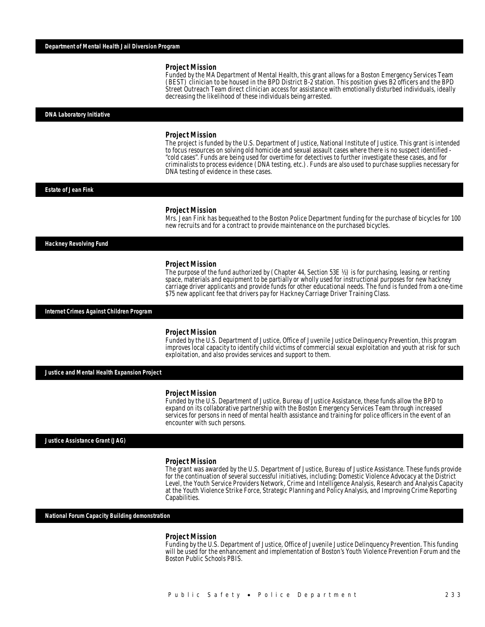Funded by the MA Department of Mental Health, this grant allows for a Boston Emergency Services Team (BEST) clinician to be housed in the BPD District B-2 station. This position gives B2 officers and the BPD Street Outreach Team direct clinician access for assistance with emotionally disturbed individuals, ideally decreasing the likelihood of these individuals being arrested.

#### *DNA Laboratory Initiative*

#### *Project Mission*

The project is funded by the U.S. Department of Justice, National Institute of Justice. This grant is intended to focus resources on solving old homicide and sexual assault cases where there is no suspect identified - "cold cases". Funds are being used for overtime for detectives to further investigate these cases, and for criminalists to process evidence (DNA testing, etc.). Funds are also used to purchase supplies necessary for DNA testing of evidence in these cases.

#### *Estate of Jean Fink*

#### *Project Mission*

Mrs. Jean Fink has bequeathed to the Boston Police Department funding for the purchase of bicycles for 100 new recruits and for a contract to provide maintenance on the purchased bicycles.

*Hackney Revolving Fund* 

#### *Project Mission*

The purpose of the fund authorized by (Chapter 44, Section 53E ½) is for purchasing, leasing, or renting space, materials and equipment to be partially or wholly used for instructional purposes for new hackney carriage driver applicants and provide funds for other educational needs. The fund is funded from a one-time \$75 new applicant fee that drivers pay for Hackney Carriage Driver Training Class.

*Internet Crimes Against Children Program* 

#### *Project Mission*

Funded by the U.S. Department of Justice, Office of Juvenile Justice Delinquency Prevention, this program improves local capacity to identify child victims of commercial sexual exploitation and youth at risk for such exploitation, and also provides services and support to them.

*Justice and Mental Health Expansion Project* 

#### *Project Mission*

Funded by the U.S. Department of Justice, Bureau of Justice Assistance, these funds allow the BPD to expand on its collaborative partnership with the Boston Emergency Services Team through increased services for persons in need of mental health assistance and training for police officers in the event of an encounter with such persons.

*Justice Assistance Grant (JAG)* 

#### *Project Mission*

The grant was awarded by the U.S. Department of Justice, Bureau of Justice Assistance. These funds provide for the continuation of several successful initiatives, including: Domestic Violence Advocacy at the District Level, the Youth Service Providers Network, Crime and Intelligence Analysis, Research and Analysis Capacity at the Youth Violence Strike Force, Strategic Planning and Policy Analysis, and Improving Crime Reporting Capabilities.

*National Forum Capacity Building demonstration* 

#### *Project Mission*

Funding by the U.S. Department of Justice, Office of Juvenile Justice Delinquency Prevention. This funding will be used for the enhancement and implementation of Boston's Youth Violence Prevention Forum and the Boston Public Schools PBIS.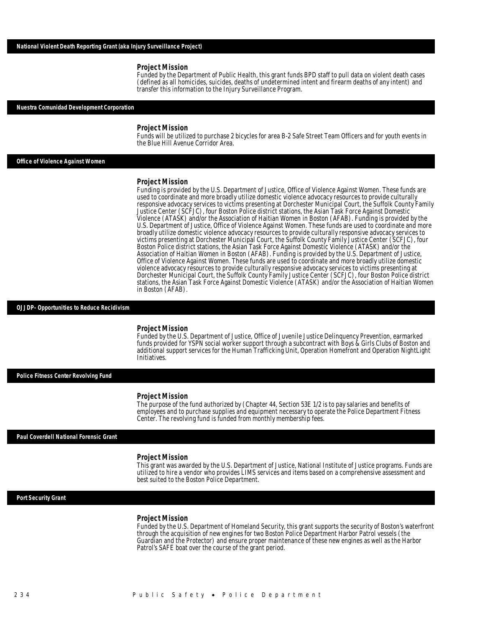Funded by the Department of Public Health, this grant funds BPD staff to pull data on violent death cases (defined as all homicides, suicides, deaths of undetermined intent and firearm deaths of any intent) and transfer this information to the Injury Surveillance Program.

#### *Nuestra Comunidad Development Corporation*

#### *Project Mission*

Funds will be utilized to purchase 2 bicycles for area B-2 Safe Street Team Officers and for youth events in the Blue Hill Avenue Corridor Area.

### *Office of Violence Against Women*

#### *Project Mission*

Funding is provided by the U.S. Department of Justice, Office of Violence Against Women. These funds are used to coordinate and more broadly utilize domestic violence advocacy resources to provide culturally responsive advocacy services to victims presenting at Dorchester Municipal Court, the Suffolk County Family Justice Center (SCFJC), four Boston Police district stations, the Asian Task Force Against Domestic Violence (ATASK) and/or the Association of Haitian Women in Boston (AFAB). Funding is provided by the U.S. Department of Justice, Office of Violence Against Women. These funds are used to coordinate and more broadly utilize domestic violence advocacy resources to provide culturally responsive advocacy services to victims presenting at Dorchester Municipal Court, the Suffolk County Family Justice Center (SCFJC), four Boston Police district stations, the Asian Task Force Against Domestic Violence (ATASK) and/or the Association of Haitian Women in Boston (AFAB). Funding is provided by the U.S. Department of Justice, Office of Violence Against Women. These funds are used to coordinate and more broadly utilize domestic violence advocacy resources to provide culturally responsive advocacy services to victims presenting at Dorchester Municipal Court, the Suffolk County Family Justice Center (SCFJC), four Boston Police district stations, the Asian Task Force Against Domestic Violence (ATASK) and/or the Association of Haitian Women in Boston (AFAB).

#### *OJJDP- Opportunities to Reduce Recidivism*

#### *Project Mission*

Funded by the U.S. Department of Justice, Office of Juvenile Justice Delinquency Prevention, earmarked funds provided for YSPN social worker support through a subcontract with Boys & Girls Clubs of Boston and additional support services for the Human Trafficking Unit, Operation Homefront and Operation NightLight Initiatives.

*Police Fitness Center Revolving Fund* 

#### *Project Mission*

The purpose of the fund authorized by (Chapter 44, Section 53E 1/2 is to pay salaries and benefits of employees and to purchase supplies and equipment necessary to operate the Police Department Fitness Center. The revolving fund is funded from monthly membership fees.

#### *Paul Coverdell National Forensic Grant*

#### *Project Mission*

This grant was awarded by the U.S. Department of Justice, National Institute of Justice programs. Funds are utilized to hire a vendor who provides LIMS services and items based on a comprehensive assessment and best suited to the Boston Police Department.

#### *Port Security Grant*

### *Project Mission*

Funded by the U.S. Department of Homeland Security, this grant supports the security of Boston's waterfront through the acquisition of new engines for two Boston Police Department Harbor Patrol vessels (the Guardian and the Protector) and ensure proper maintenance of these new engines as well as the Harbor Patrol's SAFE boat over the course of the grant period.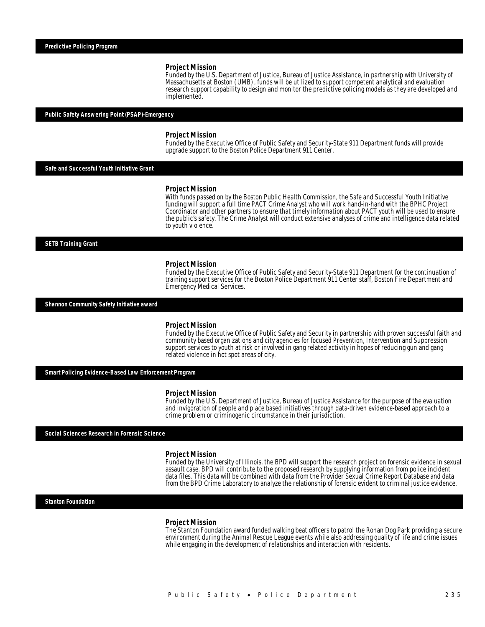Funded by the U.S. Department of Justice, Bureau of Justice Assistance, in partnership with University of Massachusetts at Boston (UMB), funds will be utilized to support competent analytical and evaluation research support capability to design and monitor the predictive policing models as they are developed and implemented.

#### *Public Safety Answering Point (PSAP)-Emergency*

#### *Project Mission*

Funded by the Executive Office of Public Safety and Security-State 911 Department funds will provide upgrade support to the Boston Police Department 911 Center.

*Safe and Successful Youth Initiative Grant* 

#### *Project Mission*

With funds passed on by the Boston Public Health Commission, the Safe and Successful Youth Initiative funding will support a full time PACT Crime Analyst who will work hand-in-hand with the BPHC Project Coordinator and other partners to ensure that timely information about PACT youth will be used to ensure the public's safety. The Crime Analyst will conduct extensive analyses of crime and intelligence data related to youth violence.

*SETB Training Grant* 

#### *Project Mission*

Funded by the Executive Office of Public Safety and Security-State 911 Department for the continuation of training support services for the Boston Police Department 911 Center staff, Boston Fire Department and Emergency Medical Services.

*Shannon Community Safety Initiative award* 

#### *Project Mission*

Funded by the Executive Office of Public Safety and Security in partnership with proven successful faith and community based organizations and city agencies for focused Prevention, Intervention and Suppression support services to youth at risk or involved in gang related activity in hopes of reducing gun and gang related violence in hot spot areas of city.

*Smart Policing Evidence-Based Law Enforcement Program* 

#### *Project Mission*

Funded by the U.S. Department of Justice, Bureau of Justice Assistance for the purpose of the evaluation and invigoration of people and place based initiatives through data-driven evidence-based approach to a crime problem or criminogenic circumstance in their jurisdiction.

*Social Sciences Research in Forensic Science* 

#### *Project Mission*

Funded by the University of Illinois, the BPD will support the research project on forensic evidence in sexual assault case. BPD will contribute to the proposed research by supplying information from police incident data files. This data will be combined with data from the Provider Sexual Crime Report Database and data from the BPD Crime Laboratory to analyze the relationship of forensic evident to criminal justice evidence.

### *Stanton Foundation*

#### *Project Mission*

The Stanton Foundation award funded walking beat officers to patrol the Ronan Dog Park providing a secure environment during the Animal Rescue League events while also addressing quality of life and crime issues while engaging in the development of relationships and interaction with residents.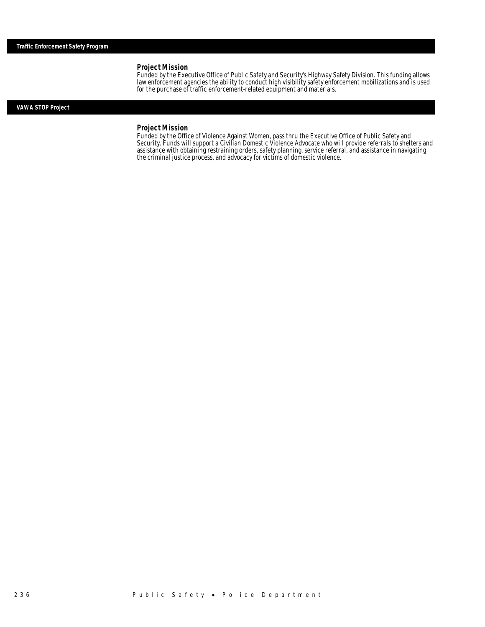Funded by the Executive Office of Public Safety and Security's Highway Safety Division. This funding allows law enforcement agencies the ability to conduct high visibility safety enforcement mobilizations and is used for the purchase of traffic enforcement-related equipment and materials.

# *VAWA STOP Project*

# *Project Mission*

Funded by the Office of Violence Against Women, pass thru the Executive Office of Public Safety and Security. Funds will support a Civilian Domestic Violence Advocate who will provide referrals to shelters and assistance with obtaining restraining orders, safety planning, service referral, and assistance in navigating the criminal justice process, and advocacy for victims of domestic violence.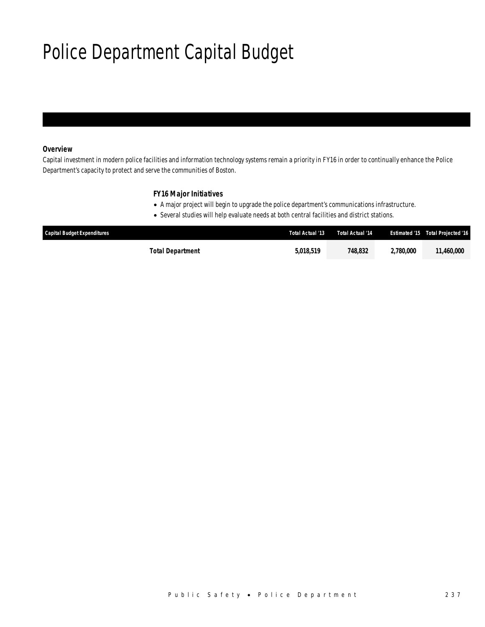# Police Department Capital Budget

# *Overview*

Capital investment in modern police facilities and information technology systems remain a priority in FY16 in order to continually enhance the Police Department's capacity to protect and serve the communities of Boston.

# *FY16 Major Initiatives*

- A major project will begin to upgrade the police department's communications infrastructure.
- Several studies will help evaluate needs at both central facilities and district stations.

| <b>Capital Budget Expenditures</b> | Total Actual '13 | Total Actual '14 | <b>Estimated '15</b> | Total Projected '16 |
|------------------------------------|------------------|------------------|----------------------|---------------------|
| Total Department                   | 5.018.519        | 748.832          | 2,780,000            | 11.460,000          |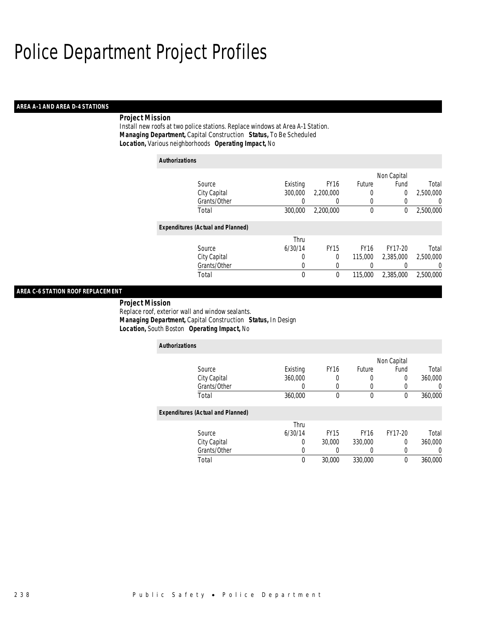## *AREA A-1 AND AREA D-4 STATIONS*

# *Project Mission*

Install new roofs at two police stations. Replace windows at Area A-1 Station. *Managing Department,* Capital Construction *Status,* To Be Scheduled*Location,* Various neighborhoods *Operating Impact,* No

| <b>Authorizations</b>                    |          |                  |             |                |           |
|------------------------------------------|----------|------------------|-------------|----------------|-----------|
|                                          |          |                  |             | Non Capital    |           |
| Source                                   | Existing | FY <sub>16</sub> | Future      | Fund           | Total     |
| City Capital                             | 300,000  | 2,200,000        | 0           | $\overline{0}$ | 2.500.000 |
| Grants/Other                             | 0        | $\left( \right)$ | 0           |                | U         |
| Total                                    | 300,000  | 2,200,000        | $\mathbf 0$ | 0              | 2,500,000 |
| <b>Expenditures (Actual and Planned)</b> |          |                  |             |                |           |
|                                          | Thru     |                  |             |                |           |
| Source                                   | 6/30/14  | <b>FY15</b>      | <b>FY16</b> | FY17-20        | Total     |
| City Capital                             | 0        | 0                | 115,000     | 2.385.000      | 2.500.000 |
| Grants/Other                             | 0        | 0                |             |                | 0         |
| Total                                    | 0        | 0                | 115,000     | 2,385,000      | 2,500,000 |

# *AREA C-6 STATION ROOF REPLACEMENT*

 *Project Mission* Replace roof, exterior wall and window sealants. *Managing Department,* Capital Construction *Status,* In Design*Location,* South Boston *Operating Impact,* No

| <b>Authorizations</b>                    |          |             |             |             |         |
|------------------------------------------|----------|-------------|-------------|-------------|---------|
|                                          |          |             |             | Non Capital |         |
| Source                                   | Existing | <b>FY16</b> | Future      | Fund        | Total   |
| City Capital                             | 360,000  | 0           | 0           | 0           | 360,000 |
| Grants/Other                             |          | 0           | 0           | 0           |         |
| Total                                    | 360,000  | 0           | 0           | 0           | 360,000 |
| <b>Expenditures (Actual and Planned)</b> |          |             |             |             |         |
|                                          | Thru     |             |             |             |         |
| Source                                   | 6/30/14  | <b>FY15</b> | <b>FY16</b> | FY17-20     | Total   |
| City Capital                             | 0        | 30,000      | 330,000     | $\Omega$    | 360,000 |
| Grants/Other                             | 0        | 0           | 0           | 0           |         |
| Total                                    | $\theta$ | 30,000      | 330,000     | 0           | 360,000 |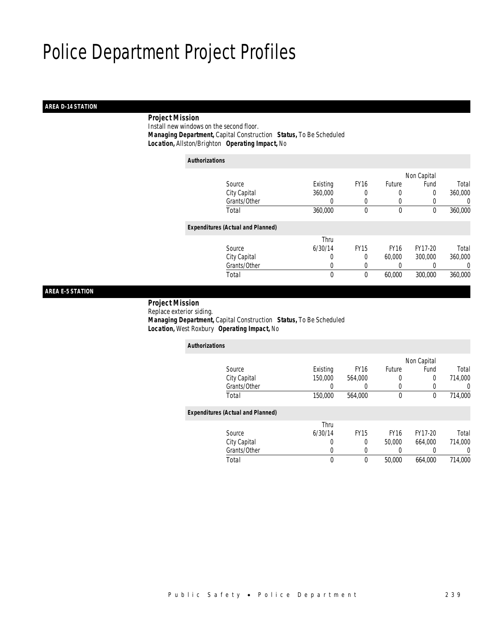# *AREA D-14 STATION*

# *Project Mission*

 Install new windows on the second floor. *Managing Department,* Capital Construction *Status,* To Be Scheduled*Location,* Allston/Brighton *Operating Impact,* No

| Authorizations |                                          |          |             |             |             |         |
|----------------|------------------------------------------|----------|-------------|-------------|-------------|---------|
|                |                                          |          |             |             | Non Capital |         |
|                | Source                                   | Existing | <b>FY16</b> | Future      | Fund        | Total   |
|                | City Capital                             | 360,000  | 0           |             | 0           | 360,000 |
|                | Grants/Other                             | 0        | 0           | $\left($    |             | 0       |
|                | Total                                    | 360,000  | $\theta$    | $\theta$    | $\theta$    | 360,000 |
|                | <b>Expenditures (Actual and Planned)</b> |          |             |             |             |         |
|                |                                          | Thru     |             |             |             |         |
|                | Source                                   | 6/30/14  | <b>FY15</b> | <b>FY16</b> | FY17-20     | Total   |
|                | City Capital                             | 0        | $\theta$    | 60,000      | 300,000     | 360,000 |
|                | Grants/Other                             | 0        | 0           | $\left($    |             | 0       |
|                | Total                                    | 0        | 0           | 60,000      | 300,000     | 360,000 |

# *AREA E-5 STATION*

 *Project Mission* Replace exterior siding. *Managing Department,* Capital Construction *Status,* To Be Scheduled*Location,* West Roxbury *Operating Impact,* No

| <b>Authorizations</b>                    |          |             |             |             |         |
|------------------------------------------|----------|-------------|-------------|-------------|---------|
|                                          |          |             |             | Non Capital |         |
| Source                                   | Existing | <b>FY16</b> | Future      | Fund        | Total   |
| City Capital                             | 150,000  | 564.000     | 0           | $\Omega$    | 714,000 |
| Grants/Other                             | 0        | 0           | 0           | 0           | 0       |
| Total                                    | 150,000  | 564.000     | 0           | 0           | 714,000 |
| <b>Expenditures (Actual and Planned)</b> |          |             |             |             |         |
|                                          | Thru     |             |             |             |         |
| Source                                   | 6/30/14  | <b>FY15</b> | <b>FY16</b> | FY17-20     | Total   |
| City Capital                             | 0        | $\Omega$    | 50,000      | 664.000     | 714.000 |
| Grants/Other                             | 0        | 0           |             | 0           | 0       |
| Total                                    | 0        | $\theta$    | 50,000      | 664.000     | 714.000 |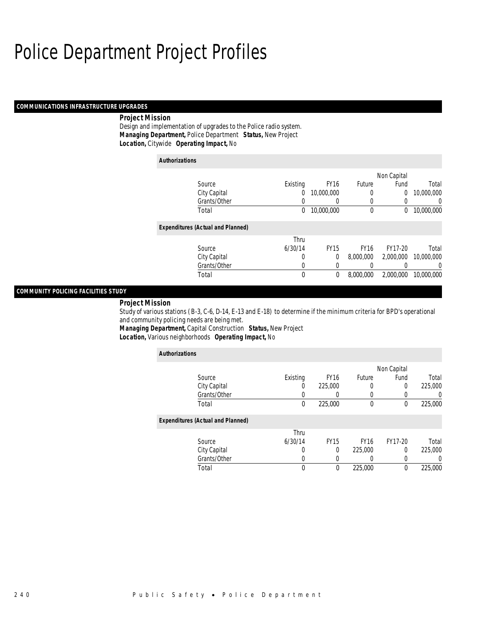## *COMMUNICATIONS INFRASTRUCTURE UPGRADES*

## *Project Mission*

Design and implementation of upgrades to the Police radio system. *Managing Department,* Police Department *Status,* New Project*Location,* Citywide *Operating Impact,* No

| <b>Authorizations</b>                    |          |             |             |             |            |
|------------------------------------------|----------|-------------|-------------|-------------|------------|
|                                          |          |             |             | Non Capital |            |
| Source                                   | Existing | <b>FY16</b> | Future      | Fund        | Total      |
| City Capital                             | 0        | 10,000,000  | 0           | 0           | 10,000,000 |
| Grants/Other                             | 0        | 0           | 0           | 0           | 0          |
| Total                                    | 0        | 10,000,000  | 0           | 0           | 10,000,000 |
| <b>Expenditures (Actual and Planned)</b> |          |             |             |             |            |
|                                          | Thru     |             |             |             |            |
| Source                                   | 6/30/14  | <b>FY15</b> | <b>FY16</b> | FY17-20     | Total      |
| City Capital                             | 0        | 0           | 8,000,000   | 2,000,000   | 10,000,000 |
| Grants/Other                             | 0        | 0           |             |             | 0          |
| Total                                    | 0        | 0           | 8,000,000   | 2,000,000   | 10,000,000 |

# *COMMUNITY POLICING FACILITIES STUDY*

*Project Mission* 

Study of various stations (B-3, C-6, D-14, E-13 and E-18) to determine if the minimum criteria for BPD's operational and community policing needs are being met.

*Managing Department,* Capital Construction *Status,* New Project*Location,* Various neighborhoods *Operating Impact,* No

| <b>Authorizations</b>                    |          |                  |             |             |                  |
|------------------------------------------|----------|------------------|-------------|-------------|------------------|
|                                          |          |                  |             | Non Capital |                  |
| Source                                   | Existing | FY <sub>16</sub> | Future      | Fund        | Total            |
| City Capital                             | 0        | 225,000          |             | 0           | 225,000          |
| Grants/Other                             |          |                  |             |             | 0                |
| Total                                    | 0        | 225,000          | $\theta$    | 0           | 225,000          |
| <b>Expenditures (Actual and Planned)</b> |          |                  |             |             |                  |
|                                          | Thru     |                  |             |             |                  |
| Source                                   | 6/30/14  | <b>FY15</b>      | <b>FY16</b> | FY17-20     | Total            |
| City Capital                             | 0        | 0                | 225,000     | 0           | 225,000          |
| Grants/Other                             | 0        |                  |             | 0           | $\left( \right)$ |
| Total                                    | 0        | 0                | 225,000     | 0           | 225,000          |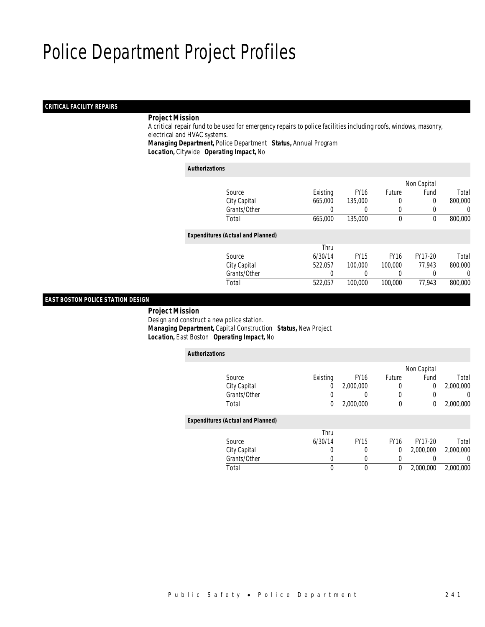## *CRITICAL FACILITY REPAIRS*

## *Project Mission*

 A critical repair fund to be used for emergency repairs to police facilities including roofs, windows, masonry, electrical and HVAC systems. *Managing Department,* Police Department *Status,* Annual Program

*Location,* Citywide *Operating Impact,* No

### *Authorizations*

|                                          |          |             |               | Non Capital |         |
|------------------------------------------|----------|-------------|---------------|-------------|---------|
| Source                                   | Existing | <b>FY16</b> | <b>Future</b> | Fund        | Total   |
| City Capital                             | 665,000  | 135,000     |               | 0           | 800,000 |
| Grants/Other                             |          |             |               |             | 0       |
| Total                                    | 665,000  | 135,000     | $\mathbf 0$   | $\theta$    | 800,000 |
| <b>Expenditures (Actual and Planned)</b> |          |             |               |             |         |
|                                          | Thru     |             |               |             |         |
| Source                                   | 6/30/14  | <b>FY15</b> | <b>FY16</b>   | FY17-20     | Total   |
| City Capital                             | 522,057  | 100,000     | 100,000       | 77.943      | 800,000 |
| Grants/Other                             |          |             |               |             | 0       |
| Total                                    | 522,057  | 100,000     | 100,000       | 77,943      | 800,000 |
|                                          |          |             |               |             |         |

# *EAST BOSTON POLICE STATION DESIGN*

 *Project Mission* Design and construct a new police station. *Managing Department,* Capital Construction *Status,* New Project*Location,* East Boston *Operating Impact,* No

| <b>Authorizations</b> |                                          |          |             |             |             |           |
|-----------------------|------------------------------------------|----------|-------------|-------------|-------------|-----------|
|                       |                                          |          |             |             | Non Capital |           |
|                       | Source                                   | Existing | <b>FY16</b> | Future      | Fund        | Total     |
|                       | City Capital                             | 0        | 2,000,000   | $\left($    | 0           | 2,000,000 |
|                       | Grants/Other                             |          |             | $\left($    |             | 0         |
|                       | Total                                    | 0        | 2,000,000   | $\mathbf 0$ | 0           | 2,000,000 |
|                       | <b>Expenditures (Actual and Planned)</b> |          |             |             |             |           |
|                       |                                          | Thru     |             |             |             |           |
|                       | Source                                   | 6/30/14  | <b>FY15</b> | <b>FY16</b> | FY17-20     | Total     |
|                       | City Capital                             | 0        | 0           | 0           | 2.000.000   | 2,000,000 |
|                       | Grants/Other                             | 0        | 0           | 0           |             | 0         |
|                       | Total                                    | 0        | $\theta$    | 0           | 2.000.000   | 2.000.000 |
|                       |                                          |          |             |             |             |           |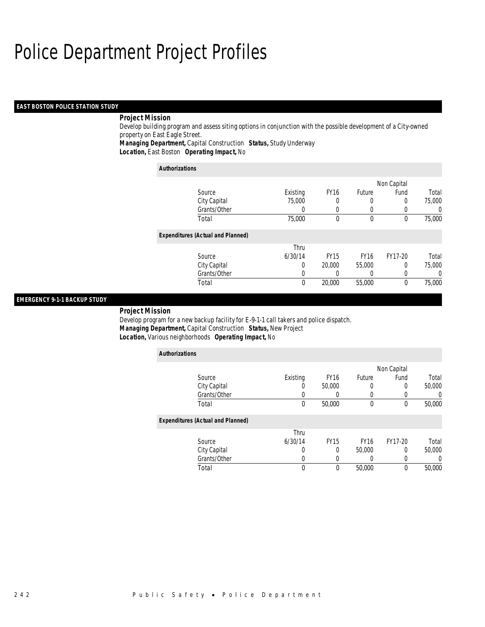## *EAST BOSTON POLICE STATION STUDY*

# *Project Mission*

Develop building program and assess siting options in conjunction with the possible development of a City-owned property on East Eagle Street.

*Managing Department,* Capital Construction *Status,* Study Underway

*Location,* East Boston *Operating Impact,* No

| <b>Authorizations</b>                    |          |             |             |             |                  |
|------------------------------------------|----------|-------------|-------------|-------------|------------------|
|                                          |          |             |             | Non Capital |                  |
| Source                                   | Existing | <b>FY16</b> | Future      | Fund        | Total            |
| City Capital                             | 75,000   | 0           | 0           | 0           | 75,000           |
| Grants/Other                             | O        |             |             | $\theta$    | $\left( \right)$ |
| Total                                    | 75,000   | $\theta$    | 0           | 0           | 75,000           |
| <b>Expenditures (Actual and Planned)</b> |          |             |             |             |                  |
|                                          | Thru     |             |             |             |                  |
| Source                                   | 6/30/14  | <b>FY15</b> | <b>FY16</b> | FY17-20     | Total            |
| City Capital                             | 0        | 20,000      | 55,000      | 0           | 75,000           |
| Grants/Other                             | 0        | 0           | 0           | 0           |                  |
| Total                                    | 0        | 20,000      | 55,000      | 0           | 75,000           |

## *EMERGENCY 9-1-1 BACKUP STUDY*

#### *Project Mission*

Develop program for a new backup facility for E-9-1-1 call takers and police dispatch. *Managing Department,* Capital Construction *Status,* New Project*Location,* Various neighborhoods *Operating Impact,* No

| <b>Authorizations</b>                    |          |             |             |             |        |
|------------------------------------------|----------|-------------|-------------|-------------|--------|
|                                          |          |             |             | Non Capital |        |
| Source                                   | Existing | <b>FY16</b> | Future      | Fund        | Total  |
| City Capital                             | O        | 50,000      |             | 0           | 50,000 |
| Grants/Other                             |          |             |             |             | 0      |
| Total                                    | 0        | 50,000      | $\mathbf 0$ | $\theta$    | 50,000 |
| <b>Expenditures (Actual and Planned)</b> |          |             |             |             |        |
|                                          | Thru     |             |             |             |        |
| Source                                   | 6/30/14  | <b>FY15</b> | <b>FY16</b> | FY17-20     | Total  |
| City Capital                             | 0        | 0           | 50,000      | 0           | 50,000 |
| Grants/Other                             |          |             |             |             |        |
| Total                                    | 0        | $\mathbf 0$ | 50,000      | 0           | 50,000 |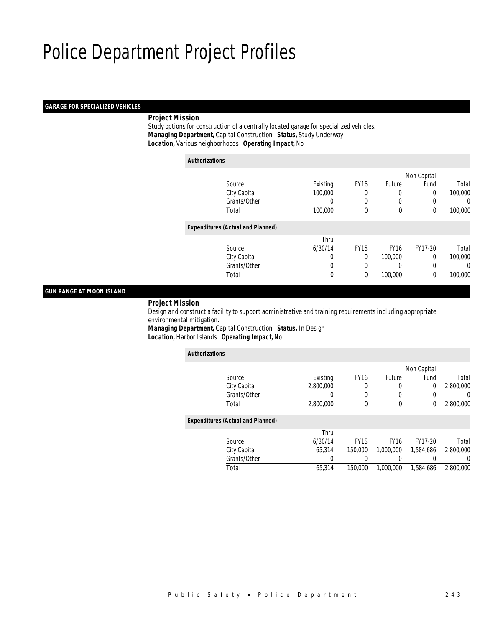### *GARAGE FOR SPECIALIZED VEHICLES*

## *Project Mission*

*Authorizations*

 Study options for construction of a centrally located garage for specialized vehicles. *Managing Department,* Capital Construction *Status,* Study Underway*Location,* Various neighborhoods *Operating Impact,* No

| <b>Authorizations</b>                    |              |             |             |              |         |
|------------------------------------------|--------------|-------------|-------------|--------------|---------|
|                                          |              |             |             | Non Capital  |         |
| Source                                   | Existing     | <b>FY16</b> | Future      | Fund         | Total   |
| City Capital                             | 100,000      | $\left($    | $\left($    | 0            | 100,000 |
| Grants/Other                             | 0            |             | $\left($    |              | 0       |
| Total                                    | 100,000      | $\theta$    | $\theta$    | $\theta$     | 100,000 |
| <b>Expenditures (Actual and Planned)</b> |              |             |             |              |         |
|                                          | Thru         |             |             |              |         |
| Source                                   | 6/30/14      | <b>FY15</b> | <b>FY16</b> | FY17-20      | Total   |
| City Capital                             | 0            | $\Omega$    | 100,000     | $\Omega$     | 100,000 |
| Grants/Other                             | 0            |             |             |              | 0       |
| Total                                    | $\mathbf{0}$ | $\mathbf 0$ | 100,000     | $\mathbf{0}$ | 100,000 |
|                                          |              |             |             |              |         |

# *GUN RANGE AT MOON ISLAND*

## *Project Mission*

 Design and construct a facility to support administrative and training requirements including appropriate environmental mitigation. *Managing Department,* Capital Construction *Status,* In Design

*Location,* Harbor Islands *Operating Impact,* No

| <b>Authorizations</b> |                                          |           |             |             |             |           |
|-----------------------|------------------------------------------|-----------|-------------|-------------|-------------|-----------|
|                       |                                          |           |             |             | Non Capital |           |
|                       | Source                                   | Existing  | <b>FY16</b> | Future      | Fund        | Total     |
|                       | City Capital                             | 2,800,000 | 0           | 0           | 0           | 2,800,000 |
|                       | Grants/Other                             | 0         | $\left($    | 0           | $\Omega$    | 0         |
|                       | Total                                    | 2,800,000 | 0           | $\mathbf 0$ | 0           | 2,800,000 |
|                       | <b>Expenditures (Actual and Planned)</b> |           |             |             |             |           |
|                       |                                          | Thru      |             |             |             |           |
|                       | Source                                   | 6/30/14   | <b>FY15</b> | <b>FY16</b> | FY17-20     | Total     |
|                       | City Capital                             | 65.314    | 150,000     | 1.000.000   | 1.584.686   | 2,800,000 |
|                       | Grants/Other                             | 0         |             |             |             | 0         |
|                       | Total                                    | 65.314    | 150,000     | 1.000.000   | 1.584.686   | 2,800,000 |
|                       |                                          |           |             |             |             |           |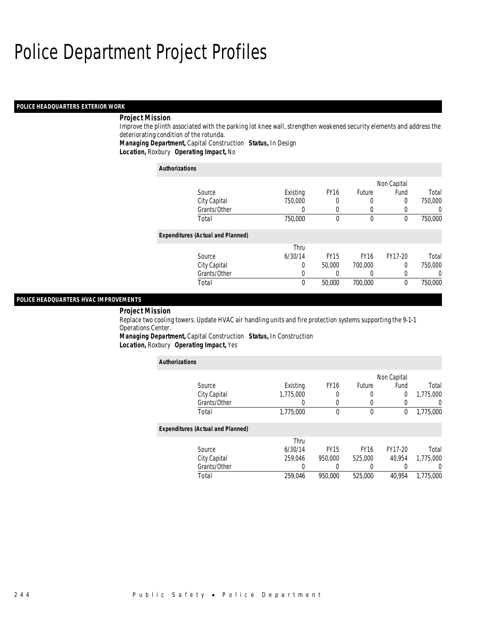## *POLICE HEADQUARTERS EXTERIOR WORK*

## *Project Mission*

Improve the plinth associated with the parking lot knee wall, strengthen weakened security elements and address the deteriorating condition of the rotunda.

*Managing Department,* Capital Construction *Status,* In Design

*Location,* Roxbury *Operating Impact,* No

| <b>Authorizations</b>                    |          |             |             |         |         |  |
|------------------------------------------|----------|-------------|-------------|---------|---------|--|
|                                          |          |             |             |         |         |  |
| Source                                   | Existing | <b>FY16</b> | Future      | Fund    | Total   |  |
| City Capital                             | 750,000  | 0           | 0           | 0       | 750,000 |  |
| Grants/Other                             | O        | 0           |             | 0       | 0       |  |
| Total                                    | 750,000  | $\theta$    | $\theta$    | 0       | 750,000 |  |
| <b>Expenditures (Actual and Planned)</b> |          |             |             |         |         |  |
|                                          | Thru     |             |             |         |         |  |
| Source                                   | 6/30/14  | <b>FY15</b> | <b>FY16</b> | FY17-20 | Total   |  |
| City Capital                             | 0        | 50,000      | 700,000     | 0       | 750,000 |  |
| Grants/Other                             | 0        |             |             | 0       | 0       |  |
| Total                                    | 0        | 50,000      | 700,000     | 0       | 750,000 |  |

# *POLICE HEADQUARTERS HVAC IMPROVEMENTS*

## *Project Mission*

Replace two cooling towers. Update HVAC air handling units and fire protection systems supporting the 9-1-1 Operations Center.

*Managing Department,* Capital Construction *Status,* In Construction*Location,* Roxbury *Operating Impact,* Yes

| <b>Authorizations</b>                    |           |             |             |                |           |  |
|------------------------------------------|-----------|-------------|-------------|----------------|-----------|--|
|                                          |           |             |             | Non Capital    |           |  |
| Source                                   | Existing  | <b>FY16</b> | Future      | Fund           | Total     |  |
| City Capital                             | 1,775,000 | 0           | 0           | $\overline{0}$ | 1,775,000 |  |
| Grants/Other                             |           | 0           | 0           | 0              |           |  |
| Total                                    | 1,775,000 | $\theta$    | 0           | 0              | 1,775,000 |  |
| <b>Expenditures (Actual and Planned)</b> |           |             |             |                |           |  |
|                                          | Thru      |             |             |                |           |  |
| Source                                   | 6/30/14   | <b>FY15</b> | <b>FY16</b> | FY17-20        | Total     |  |
| City Capital                             | 259.046   | 950,000     | 525,000     | 40.954         | 1.775.000 |  |
| Grants/Other                             | 0         |             | 0           | 0              |           |  |
| Total                                    | 259.046   | 950.000     | 525,000     | 40.954         | 1.775.000 |  |